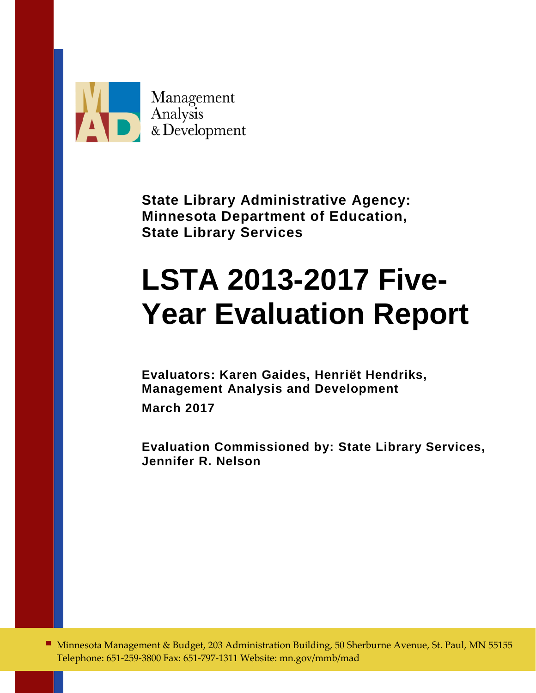

**State Library Administrative Agency: Minnesota Department of Education, State Library Services**

# **LSTA 2013-2017 Five-Year Evaluation Report**

**Evaluators: Karen Gaides, Henriët Hendriks, Management Analysis and Development** 

**March 2017**

**Evaluation Commissioned by: State Library Services, Jennifer R. Nelson** 

■ Minnesota Management & Budget, 203 Administration Building, 50 Sherburne Avenue, St. Paul, MN 55155 Telephone: 651-259-3800 Fax: 651-797-1311 Website: mn.gov/mmb/mad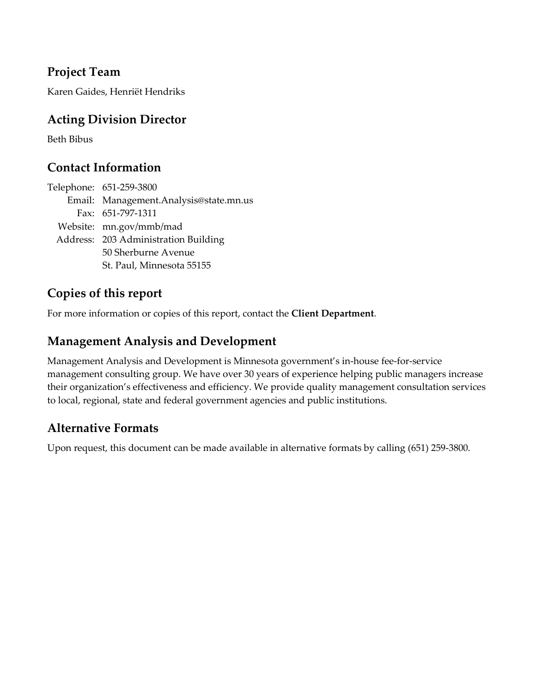### **Project Team**

Karen Gaides, Henriët Hendriks

### **Acting Division Director**

Beth Bibus

### **Contact Information**

Telephone: 651-259-3800 Email: Management.Analysis@state.mn.us Fax: 651-797-1311 Website: mn.gov/mmb/mad Address: 203 Administration Building 50 Sherburne Avenue St. Paul, Minnesota 55155

### **Copies of this report**

For more information or copies of this report, contact the **Client Department**.

### **Management Analysis and Development**

Management Analysis and Development is Minnesota government's in-house fee-for-service management consulting group. We have over 30 years of experience helping public managers increase their organization's effectiveness and efficiency. We provide quality management consultation services to local, regional, state and federal government agencies and public institutions.

### **Alternative Formats**

Upon request, this document can be made available in alternative formats by calling (651) 259-3800.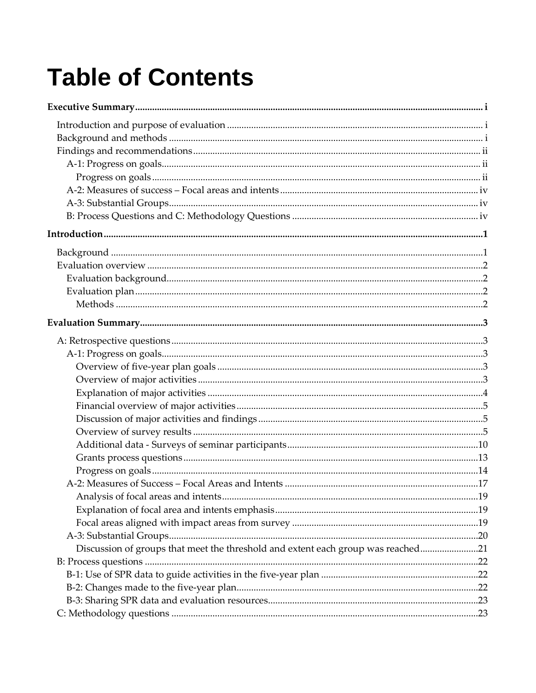# **Table of Contents**

| Discussion of groups that meet the threshold and extent each group was reached21 |  |
|----------------------------------------------------------------------------------|--|
|                                                                                  |  |
|                                                                                  |  |
|                                                                                  |  |
|                                                                                  |  |
|                                                                                  |  |
|                                                                                  |  |
|                                                                                  |  |
|                                                                                  |  |
|                                                                                  |  |
|                                                                                  |  |
|                                                                                  |  |
|                                                                                  |  |
|                                                                                  |  |
|                                                                                  |  |
|                                                                                  |  |
|                                                                                  |  |
|                                                                                  |  |
|                                                                                  |  |
|                                                                                  |  |
|                                                                                  |  |
|                                                                                  |  |
|                                                                                  |  |
|                                                                                  |  |
|                                                                                  |  |
|                                                                                  |  |
|                                                                                  |  |
|                                                                                  |  |
|                                                                                  |  |
|                                                                                  |  |
|                                                                                  |  |
|                                                                                  |  |
|                                                                                  |  |
|                                                                                  |  |
|                                                                                  |  |
|                                                                                  |  |
|                                                                                  |  |
|                                                                                  |  |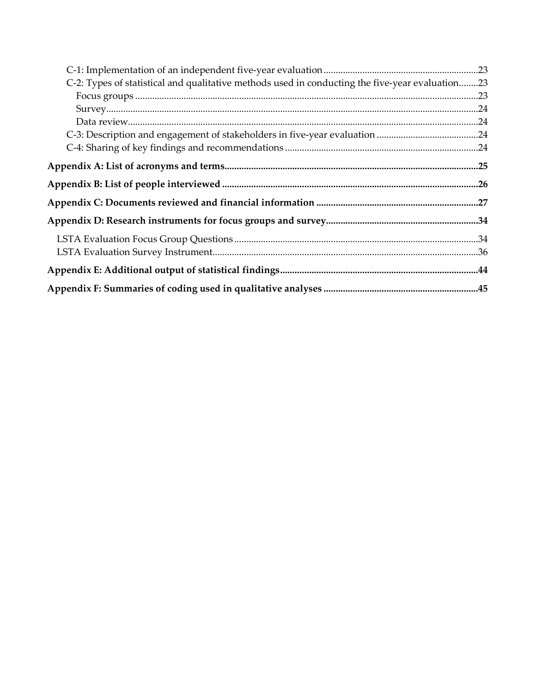| C-2: Types of statistical and qualitative methods used in conducting the five-year evaluation23 |  |
|-------------------------------------------------------------------------------------------------|--|
|                                                                                                 |  |
|                                                                                                 |  |
|                                                                                                 |  |
|                                                                                                 |  |
|                                                                                                 |  |
|                                                                                                 |  |
|                                                                                                 |  |
|                                                                                                 |  |
|                                                                                                 |  |
|                                                                                                 |  |
|                                                                                                 |  |
|                                                                                                 |  |
| Appendix F: Summaries of coding used in qualitative analyses ………………………………………………………45            |  |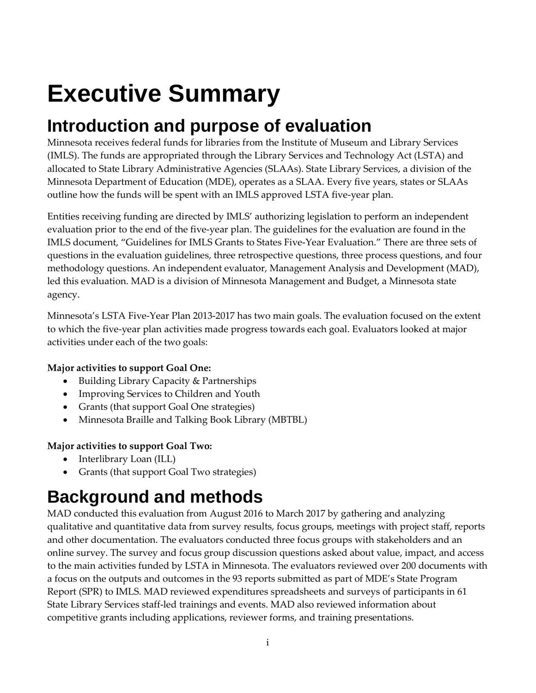# <span id="page-4-0"></span>**Executive Summary**

## <span id="page-4-1"></span>**Introduction and purpose of evaluation**

Minnesota receives federal funds for libraries from the Institute of Museum and Library Services (IMLS). The funds are appropriated through the Library Services and Technology Act (LSTA) and allocated to State Library Administrative Agencies (SLAAs). State Library Services, a division of the Minnesota Department of Education (MDE), operates as a SLAA. Every five years, states or SLAAs outline how the funds will be spent with an IMLS approved LSTA five-year plan.

Entities receiving funding are directed by IMLS' authorizing legislation to perform an independent evaluation prior to the end of the five-year plan. The guidelines for the evaluation are found in the IMLS document, "Guidelines for IMLS Grants to States Five-Year Evaluation." There are three sets of questions in the evaluation guidelines, three retrospective questions, three process questions, and four methodology questions. An independent evaluator, Management Analysis and Development (MAD), led this evaluation. MAD is a division of Minnesota Management and Budget, a Minnesota state agency.

Minnesota's LSTA Five-Year Plan 2013-2017 has two main goals. The evaluation focused on the extent to which the five-year plan activities made progress towards each goal. Evaluators looked at major activities under each of the two goals:

### **Major activities to support Goal One:**

- Building Library Capacity & Partnerships
- Improving Services to Children and Youth
- Grants (that support Goal One strategies)
- Minnesota Braille and Talking Book Library (MBTBL)

### **Major activities to support Goal Two:**

- Interlibrary Loan (ILL)
- Grants (that support Goal Two strategies)

## <span id="page-4-2"></span>**Background and methods**

MAD conducted this evaluation from August 2016 to March 2017 by gathering and analyzing qualitative and quantitative data from survey results, focus groups, meetings with project staff, reports and other documentation. The evaluators conducted three focus groups with stakeholders and an online survey. The survey and focus group discussion questions asked about value, impact, and access to the main activities funded by LSTA in Minnesota. The evaluators reviewed over 200 documents with a focus on the outputs and outcomes in the 93 reports submitted as part of MDE's State Program Report (SPR) to IMLS. MAD reviewed expenditures spreadsheets and surveys of participants in 61 State Library Services staff-led trainings and events. MAD also reviewed information about competitive grants including applications, reviewer forms, and training presentations.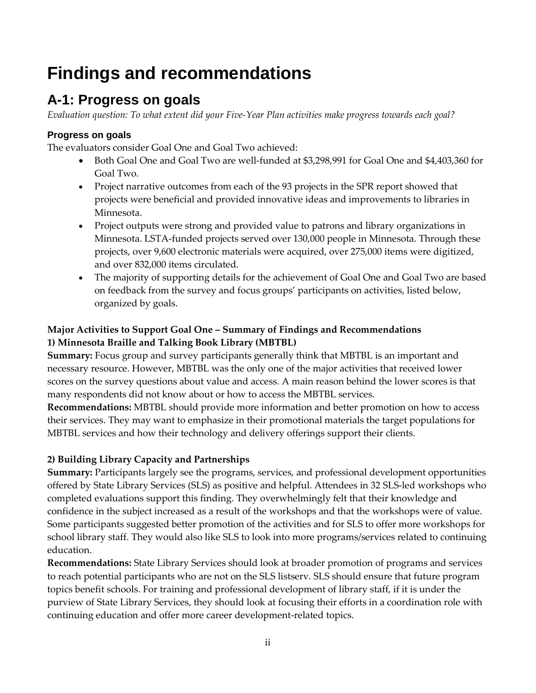## <span id="page-5-0"></span>**Findings and recommendations**

### <span id="page-5-1"></span>**A-1: Progress on goals**

*Evaluation question: To what extent did your Five-Year Plan activities make progress towards each goal?*

### <span id="page-5-2"></span>**Progress on goals**

The evaluators consider Goal One and Goal Two achieved:

- Both Goal One and Goal Two are well-funded at \$3,298,991 for Goal One and \$4,403,360 for Goal Two.
- Project narrative outcomes from each of the 93 projects in the SPR report showed that projects were beneficial and provided innovative ideas and improvements to libraries in Minnesota.
- Project outputs were strong and provided value to patrons and library organizations in Minnesota. LSTA-funded projects served over 130,000 people in Minnesota. Through these projects, over 9,600 electronic materials were acquired, over 275,000 items were digitized, and over 832,000 items circulated.
- The majority of supporting details for the achievement of Goal One and Goal Two are based on feedback from the survey and focus groups' participants on activities, listed below, organized by goals.

### **Major Activities to Support Goal One – Summary of Findings and Recommendations 1) Minnesota Braille and Talking Book Library (MBTBL)**

**Summary:** Focus group and survey participants generally think that MBTBL is an important and necessary resource. However, MBTBL was the only one of the major activities that received lower scores on the survey questions about value and access. A main reason behind the lower scores is that many respondents did not know about or how to access the MBTBL services.

**Recommendations:** MBTBL should provide more information and better promotion on how to access their services. They may want to emphasize in their promotional materials the target populations for MBTBL services and how their technology and delivery offerings support their clients.

### **2) Building Library Capacity and Partnerships**

**Summary:** Participants largely see the programs, services, and professional development opportunities offered by State Library Services (SLS) as positive and helpful. Attendees in 32 SLS-led workshops who completed evaluations support this finding. They overwhelmingly felt that their knowledge and confidence in the subject increased as a result of the workshops and that the workshops were of value. Some participants suggested better promotion of the activities and for SLS to offer more workshops for school library staff. They would also like SLS to look into more programs/services related to continuing education.

**Recommendations:** State Library Services should look at broader promotion of programs and services to reach potential participants who are not on the SLS listserv. SLS should ensure that future program topics benefit schools. For training and professional development of library staff, if it is under the purview of State Library Services, they should look at focusing their efforts in a coordination role with continuing education and offer more career development-related topics.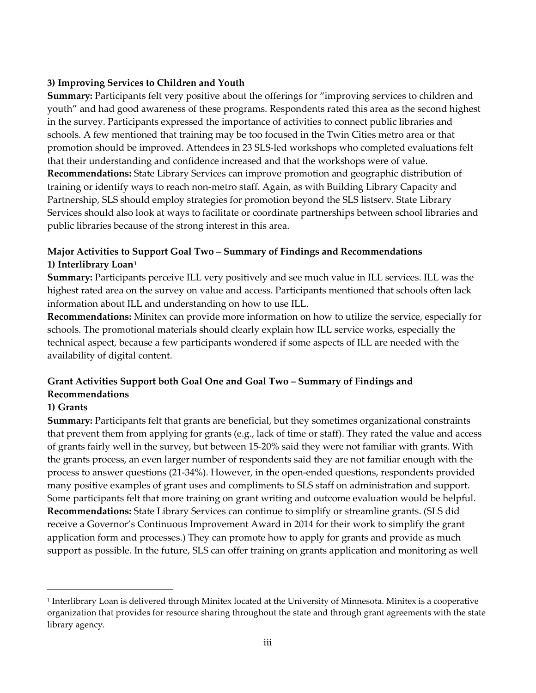#### **3) Improving Services to Children and Youth**

**Summary:** Participants felt very positive about the offerings for "improving services to children and youth" and had good awareness of these programs. Respondents rated this area as the second highest in the survey. Participants expressed the importance of activities to connect public libraries and schools. A few mentioned that training may be too focused in the Twin Cities metro area or that promotion should be improved. Attendees in 23 SLS-led workshops who completed evaluations felt that their understanding and confidence increased and that the workshops were of value. **Recommendations:** State Library Services can improve promotion and geographic distribution of training or identify ways to reach non-metro staff. Again, as with Building Library Capacity and Partnership, SLS should employ strategies for promotion beyond the SLS listserv. State Library Services should also look at ways to facilitate or coordinate partnerships between school libraries and public libraries because of the strong interest in this area.

### **Major Activities to Support Goal Two – Summary of Findings and Recommendations 1) Interlibrary Loan[1](#page-6-0)**

**Summary:** Participants perceive ILL very positively and see much value in ILL services. ILL was the highest rated area on the survey on value and access. Participants mentioned that schools often lack information about ILL and understanding on how to use ILL.

**Recommendations:** Minitex can provide more information on how to utilize the service, especially for schools. The promotional materials should clearly explain how ILL service works, especially the technical aspect, because a few participants wondered if some aspects of ILL are needed with the availability of digital content.

### **Grant Activities Support both Goal One and Goal Two – Summary of Findings and Recommendations**

### **1) Grants**

 $\overline{a}$ 

**Summary:** Participants felt that grants are beneficial, but they sometimes organizational constraints that prevent them from applying for grants (e.g., lack of time or staff). They rated the value and access of grants fairly well in the survey, but between 15-20% said they were not familiar with grants. With the grants process, an even larger number of respondents said they are not familiar enough with the process to answer questions (21-34%). However, in the open-ended questions, respondents provided many positive examples of grant uses and compliments to SLS staff on administration and support. Some participants felt that more training on grant writing and outcome evaluation would be helpful. **Recommendations:** State Library Services can continue to simplify or streamline grants. (SLS did receive a Governor's Continuous Improvement Award in 2014 for their work to simplify the grant application form and processes.) They can promote how to apply for grants and provide as much support as possible. In the future, SLS can offer training on grants application and monitoring as well

<span id="page-6-0"></span><sup>1</sup> Interlibrary Loan is delivered through Minitex located at the University of Minnesota. Minitex is a cooperative organization that provides for resource sharing throughout the state and through grant agreements with the state library agency.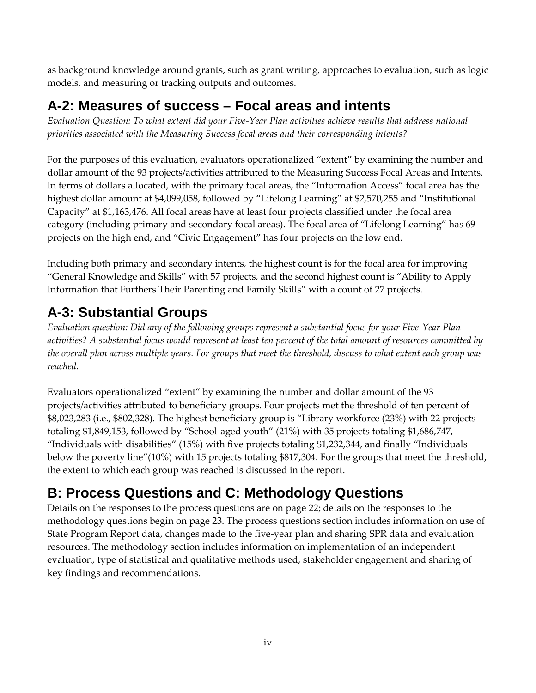as background knowledge around grants, such as grant writing, approaches to evaluation, such as logic models, and measuring or tracking outputs and outcomes.

### <span id="page-7-0"></span>**A-2: Measures of success – Focal areas and intents**

*Evaluation Question: To what extent did your Five-Year Plan activities achieve results that address national priorities associated with the Measuring Success focal areas and their corresponding intents?*

For the purposes of this evaluation, evaluators operationalized "extent" by examining the number and dollar amount of the 93 projects/activities attributed to the Measuring Success Focal Areas and Intents. In terms of dollars allocated, with the primary focal areas, the "Information Access" focal area has the highest dollar amount at \$4,099,058, followed by "Lifelong Learning" at \$2,570,255 and "Institutional Capacity" at \$1,163,476. All focal areas have at least four projects classified under the focal area category (including primary and secondary focal areas). The focal area of "Lifelong Learning" has 69 projects on the high end, and "Civic Engagement" has four projects on the low end.

Including both primary and secondary intents, the highest count is for the focal area for improving "General Knowledge and Skills" with 57 projects, and the second highest count is "Ability to Apply Information that Furthers Their Parenting and Family Skills" with a count of 27 projects.

### <span id="page-7-1"></span>**A-3: Substantial Groups**

*Evaluation question: Did any of the following groups represent a substantial focus for your Five-Year Plan activities? A substantial focus would represent at least ten percent of the total amount of resources committed by the overall plan across multiple years. For groups that meet the threshold, discuss to what extent each group was reached.* 

Evaluators operationalized "extent" by examining the number and dollar amount of the 93 projects/activities attributed to beneficiary groups. Four projects met the threshold of ten percent of \$8,023,283 (i.e., \$802,328). The highest beneficiary group is "Library workforce (23%) with 22 projects totaling \$1,849,153, followed by "School-aged youth" (21%) with 35 projects totaling \$1,686,747, "Individuals with disabilities" (15%) with five projects totaling \$1,232,344, and finally "Individuals below the poverty line"(10%) with 15 projects totaling \$817,304. For the groups that meet the threshold, the extent to which each group was reached is discussed in the report.

### <span id="page-7-2"></span>**B: Process Questions and C: Methodology Questions**

Details on the responses to the process questions are on page [22;](#page-29-0) details on the responses to the methodology questions begin on page [23.](#page-30-1) The process questions section includes information on use of State Program Report data, changes made to the five-year plan and sharing SPR data and evaluation resources. The methodology section includes information on implementation of an independent evaluation, type of statistical and qualitative methods used, stakeholder engagement and sharing of key findings and recommendations.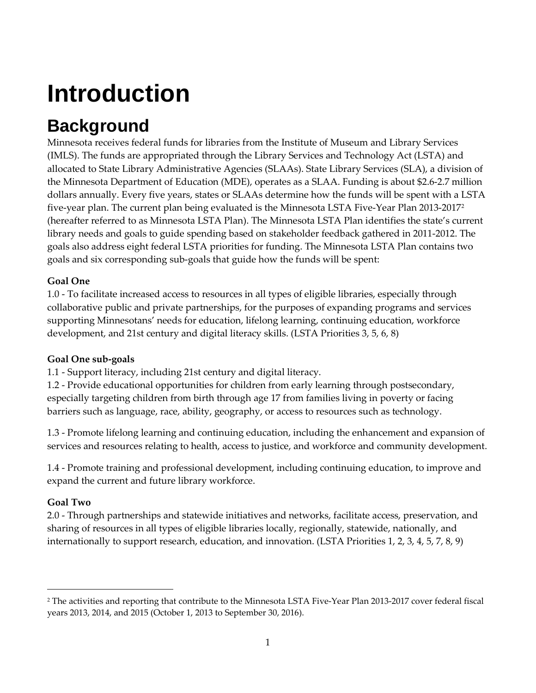# <span id="page-8-0"></span>**Introduction**

## <span id="page-8-1"></span>**Background**

Minnesota receives federal funds for libraries from the Institute of Museum and Library Services (IMLS). The funds are appropriated through the Library Services and Technology Act (LSTA) and allocated to State Library Administrative Agencies (SLAAs). State Library Services (SLA), a division of the Minnesota Department of Education (MDE), operates as a SLAA. Funding is about \$2.6-2.7 million dollars annually. Every five years, states or SLAAs determine how the funds will be spent with a LSTA five-year plan. The current plan being evaluated is the Minnesota LSTA Five-Year Plan 2013-2017[2](#page-8-2) (hereafter referred to as Minnesota LSTA Plan). The Minnesota LSTA Plan identifies the state's current library needs and goals to guide spending based on stakeholder feedback gathered in 2011-2012. The goals also address eight federal LSTA priorities for funding. The Minnesota LSTA Plan contains two goals and six corresponding sub-goals that guide how the funds will be spent:

### **Goal One**

1.0 - To facilitate increased access to resources in all types of eligible libraries, especially through collaborative public and private partnerships, for the purposes of expanding programs and services supporting Minnesotans' needs for education, lifelong learning, continuing education, workforce development, and 21st century and digital literacy skills. (LSTA Priorities 3, 5, 6, 8)

### **Goal One sub-goals**

1.1 - Support literacy, including 21st century and digital literacy.

1.2 - Provide educational opportunities for children from early learning through postsecondary, especially targeting children from birth through age 17 from families living in poverty or facing barriers such as language, race, ability, geography, or access to resources such as technology.

1.3 - Promote lifelong learning and continuing education, including the enhancement and expansion of services and resources relating to health, access to justice, and workforce and community development.

1.4 - Promote training and professional development, including continuing education, to improve and expand the current and future library workforce.

### **Goal Two**

 $\overline{a}$ 

2.0 - Through partnerships and statewide initiatives and networks, facilitate access, preservation, and sharing of resources in all types of eligible libraries locally, regionally, statewide, nationally, and internationally to support research, education, and innovation. (LSTA Priorities 1, 2, 3, 4, 5, 7, 8, 9)

<span id="page-8-2"></span><sup>2</sup> The activities and reporting that contribute to the Minnesota LSTA Five-Year Plan 2013-2017 cover federal fiscal years 2013, 2014, and 2015 (October 1, 2013 to September 30, 2016).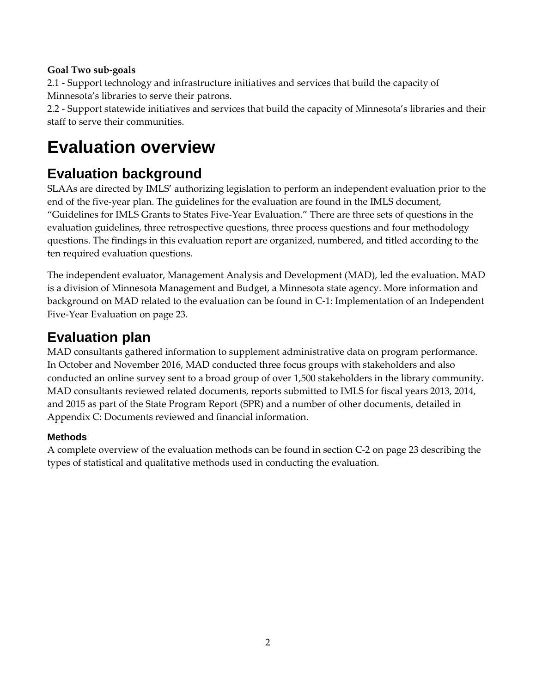### **Goal Two sub-goals**

2.1 - Support technology and infrastructure initiatives and services that build the capacity of Minnesota's libraries to serve their patrons.

2.2 - Support statewide initiatives and services that build the capacity of Minnesota's libraries and their staff to serve their communities.

## <span id="page-9-0"></span>**Evaluation overview**

### <span id="page-9-1"></span>**Evaluation background**

SLAAs are directed by IMLS' authorizing legislation to perform an independent evaluation prior to the end of the five-year plan. The guidelines for the evaluation are found in the IMLS document, "Guidelines for IMLS Grants to States Five-Year Evaluation." There are three sets of questions in the evaluation guidelines, three retrospective questions, three process questions and four methodology questions. The findings in this evaluation report are organized, numbered, and titled according to the ten required evaluation questions.

The independent evaluator, Management Analysis and Development (MAD), led the evaluation. MAD is a division of Minnesota Management and Budget, a Minnesota state agency. More information and background on MAD related to the evaluation can be found in C-1: Implementation of an Independent Five-Year Evaluation on page [23.](#page-30-2)

### <span id="page-9-2"></span>**Evaluation plan**

MAD consultants gathered information to supplement administrative data on program performance. In October and November 2016, MAD conducted three focus groups with stakeholders and also conducted an online survey sent to a broad group of over 1,500 stakeholders in the library community. MAD consultants reviewed related documents, reports submitted to IMLS for fiscal years 2013, 2014, and 2015 as part of the State Program Report (SPR) and a number of other documents, detailed in [Appendix C: Documents reviewed and financial information.](#page-34-0)

### <span id="page-9-3"></span>**Methods**

A complete overview of the evaluation methods can be found in section C-2 on page [23](#page-30-3) describing the types of statistical and qualitative methods used in conducting the evaluation.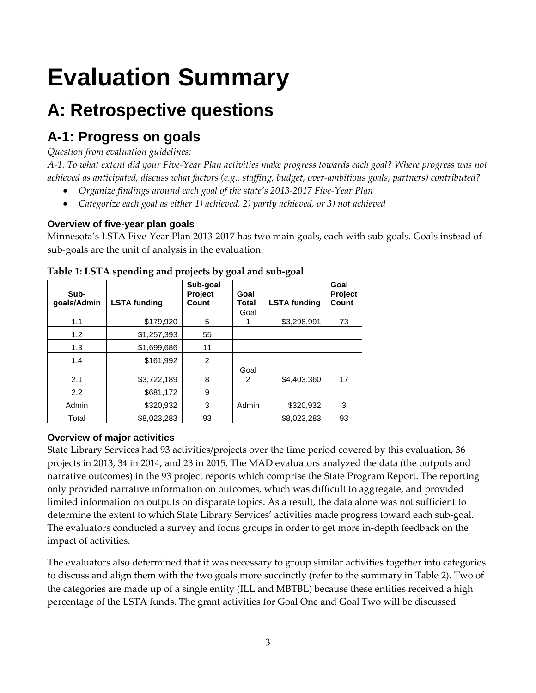# <span id="page-10-0"></span>**Evaluation Summary**

## <span id="page-10-1"></span>**A: Retrospective questions**

### <span id="page-10-2"></span>**A-1: Progress on goals**

### *Question from evaluation guidelines:*

*A-1. To what extent did your Five-Year Plan activities make progress towards each goal? Where progress was not achieved as anticipated, discuss what factors (e.g., staffing, budget, over-ambitious goals, partners) contributed?*

- *Organize findings around each goal of the state's 2013-2017 Five-Year Plan*
- *Categorize each goal as either 1) achieved, 2) partly achieved, or 3) not achieved*

### <span id="page-10-3"></span>**Overview of five-year plan goals**

Minnesota's LSTA Five-Year Plan 2013-2017 has two main goals, each with sub-goals. Goals instead of sub-goals are the unit of analysis in the evaluation.

| Sub-<br>goals/Admin | <b>LSTA funding</b> | Sub-goal<br>Project<br>Count | Goal<br>Total | <b>LSTA funding</b> | Goal<br>Project<br>Count |
|---------------------|---------------------|------------------------------|---------------|---------------------|--------------------------|
|                     |                     |                              | Goal          |                     |                          |
| 1.1                 | \$179,920           | 5                            |               | \$3,298,991         | 73                       |
| 1.2                 | \$1,257,393         | 55                           |               |                     |                          |
| 1.3                 | \$1,699,686         | 11                           |               |                     |                          |
| 1.4                 | \$161,992           | $\overline{2}$               |               |                     |                          |
| 2.1                 | \$3,722,189         | 8                            | Goal<br>2     | \$4,403,360         | 17                       |
| 2.2                 | \$681,172           | 9                            |               |                     |                          |
| Admin               | \$320,932           | 3                            | Admin         | \$320,932           | 3                        |
| Total               | \$8.023.283         | 93                           |               | \$8,023,283         | 93                       |

**Table 1: LSTA spending and projects by goal and sub-goal**

### <span id="page-10-4"></span>**Overview of major activities**

State Library Services had 93 activities/projects over the time period covered by this evaluation, 36 projects in 2013, 34 in 2014, and 23 in 2015. The MAD evaluators analyzed the data (the outputs and narrative outcomes) in the 93 project reports which comprise the State Program Report. The reporting only provided narrative information on outcomes, which was difficult to aggregate, and provided limited information on outputs on disparate topics. As a result, the data alone was not sufficient to determine the extent to which State Library Services' activities made progress toward each sub-goal. The evaluators conducted a survey and focus groups in order to get more in-depth feedback on the impact of activities.

The evaluators also determined that it was necessary to group similar activities together into categories to discuss and align them with the two goals more succinctly (refer to the summary in Table 2). Two of the categories are made up of a single entity (ILL and MBTBL) because these entities received a high percentage of the LSTA funds. The grant activities for Goal One and Goal Two will be discussed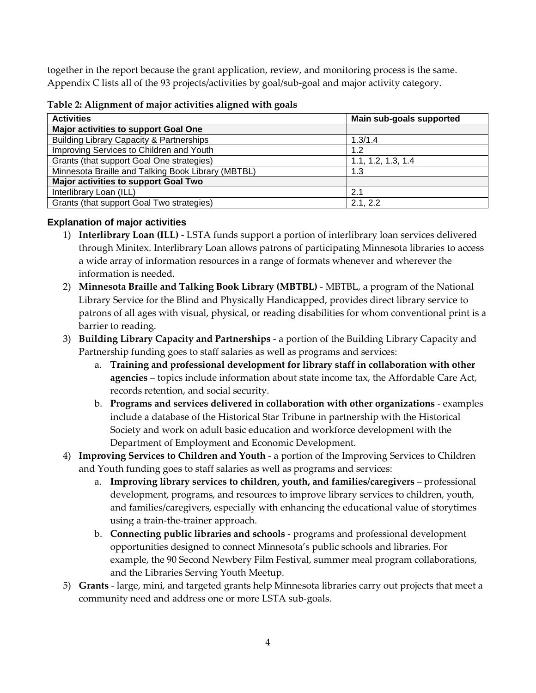together in the report because the grant application, review, and monitoring process is the same. Appendix C lists all of the 93 projects/activities by goal/sub-goal and major activity category.

| <b>Activities</b>                                   | Main sub-goals supported |
|-----------------------------------------------------|--------------------------|
| Major activities to support Goal One                |                          |
| <b>Building Library Capacity &amp; Partnerships</b> | 1.3/1.4                  |
| Improving Services to Children and Youth            | 1.2                      |
| Grants (that support Goal One strategies)           | 1.1, 1.2, 1.3, 1.4       |
| Minnesota Braille and Talking Book Library (MBTBL)  | 1.3                      |
| Major activities to support Goal Two                |                          |
| Interlibrary Loan (ILL)                             | 2.1                      |
| Grants (that support Goal Two strategies)           | 2.1, 2.2                 |

**Table 2: Alignment of major activities aligned with goals**

### <span id="page-11-0"></span>**Explanation of major activities**

- 1) **Interlibrary Loan (ILL)** LSTA funds support a portion of interlibrary loan services delivered through Minitex. Interlibrary Loan allows patrons of participating Minnesota libraries to access a wide array of information resources in a range of formats whenever and wherever the information is needed.
- 2) **Minnesota Braille and Talking Book Library (MBTBL)** MBTBL, a program of the National Library Service for the Blind and Physically Handicapped, provides direct library service to patrons of all ages with visual, physical, or reading disabilities for whom conventional print is a barrier to reading.
- 3) **Building Library Capacity and Partnerships** a portion of the Building Library Capacity and Partnership funding goes to staff salaries as well as programs and services:
	- a. **Training and professional development for library staff in collaboration with other agencies** – topics include information about state income tax, the Affordable Care Act, records retention, and social security.
	- b. **Programs and services delivered in collaboration with other organizations** examples include a database of the Historical Star Tribune in partnership with the Historical Society and work on adult basic education and workforce development with the Department of Employment and Economic Development.
- 4) **Improving Services to Children and Youth** a portion of the Improving Services to Children and Youth funding goes to staff salaries as well as programs and services:
	- a. **Improving library services to children, youth, and families/caregivers** professional development, programs, and resources to improve library services to children, youth, and families/caregivers, especially with enhancing the educational value of storytimes using a train-the-trainer approach.
	- b. **Connecting public libraries and schools** programs and professional development opportunities designed to connect Minnesota's public schools and libraries. For example, the 90 Second Newbery Film Festival, summer meal program collaborations, and the Libraries Serving Youth Meetup.
- 5) **Grants** large, mini, and targeted grants help Minnesota libraries carry out projects that meet a community need and address one or more LSTA sub-goals.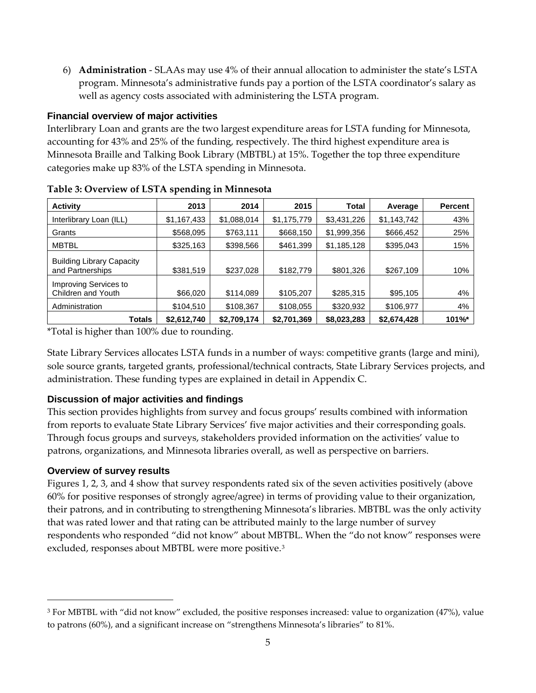6) **Administration** - SLAAs may use 4% of their annual allocation to administer the state's LSTA program. Minnesota's administrative funds pay a portion of the LSTA coordinator's salary as well as agency costs associated with administering the LSTA program.

### <span id="page-12-0"></span>**Financial overview of major activities**

Interlibrary Loan and grants are the two largest expenditure areas for LSTA funding for Minnesota, accounting for 43% and 25% of the funding, respectively. The third highest expenditure area is Minnesota Braille and Talking Book Library (MBTBL) at 15%. Together the top three expenditure categories make up 83% of the LSTA spending in Minnesota.

| <b>Activity</b>                                      | 2013        | 2014        | 2015        | Total       | Average     | <b>Percent</b> |
|------------------------------------------------------|-------------|-------------|-------------|-------------|-------------|----------------|
| Interlibrary Loan (ILL)                              | \$1,167,433 | \$1,088,014 | \$1,175,779 | \$3,431,226 | \$1,143,742 | 43%            |
| Grants                                               | \$568,095   | \$763,111   | \$668,150   | \$1,999,356 | \$666,452   | 25%            |
| <b>MBTBL</b>                                         | \$325,163   | \$398,566   | \$461,399   | \$1,185,128 | \$395,043   | 15%            |
| <b>Building Library Capacity</b><br>and Partnerships | \$381,519   | \$237,028   | \$182,779   | \$801,326   | \$267,109   | 10%            |
| Improving Services to<br>Children and Youth          | \$66,020    | \$114,089   | \$105,207   | \$285,315   | \$95,105    | 4%             |
| Administration                                       | \$104,510   | \$108,367   | \$108,055   | \$320,932   | \$106,977   | 4%             |
| Totals                                               | \$2,612,740 | \$2,709,174 | \$2,701,369 | \$8,023,283 | \$2,674,428 | 101%*          |

| Table 3: Overview of LSTA spending in Minnesota |  |
|-------------------------------------------------|--|
|-------------------------------------------------|--|

\*Total is higher than 100% due to rounding.

State Library Services allocates LSTA funds in a number of ways: competitive grants (large and mini), sole source grants, targeted grants, professional/technical contracts, State Library Services projects, and administration. These funding types are explained in detail in Appendix C.

### <span id="page-12-1"></span>**Discussion of major activities and findings**

This section provides highlights from survey and focus groups' results combined with information from reports to evaluate State Library Services' five major activities and their corresponding goals. Through focus groups and surveys, stakeholders provided information on the activities' value to patrons, organizations, and Minnesota libraries overall, as well as perspective on barriers.

### <span id="page-12-2"></span>**Overview of survey results**

l

Figures 1, 2, 3, and 4 show that survey respondents rated six of the seven activities positively (above 60% for positive responses of strongly agree/agree) in terms of providing value to their organization, their patrons, and in contributing to strengthening Minnesota's libraries. MBTBL was the only activity that was rated lower and that rating can be attributed mainly to the large number of survey respondents who responded "did not know" about MBTBL. When the "do not know" responses were excluded, responses about MBTBL were more positive.[3](#page-12-3)

<span id="page-12-3"></span><sup>3</sup> For MBTBL with "did not know" excluded, the positive responses increased: value to organization (47%), value to patrons (60%), and a significant increase on "strengthens Minnesota's libraries" to 81%.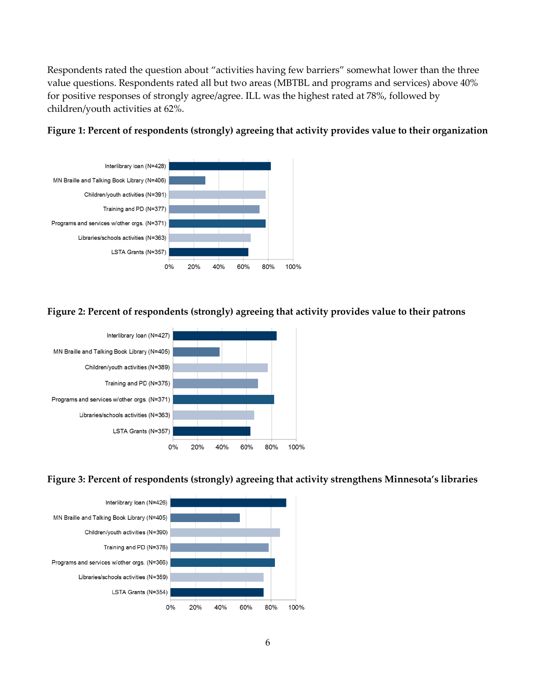Respondents rated the question about "activities having few barriers" somewhat lower than the three value questions. Respondents rated all but two areas (MBTBL and programs and services) above 40% for positive responses of strongly agree/agree. ILL was the highest rated at 78%, followed by children/youth activities at 62%.





**Figure 2: Percent of respondents (strongly) agreeing that activity provides value to their patrons**



**Figure 3: Percent of respondents (strongly) agreeing that activity strengthens Minnesota's libraries**

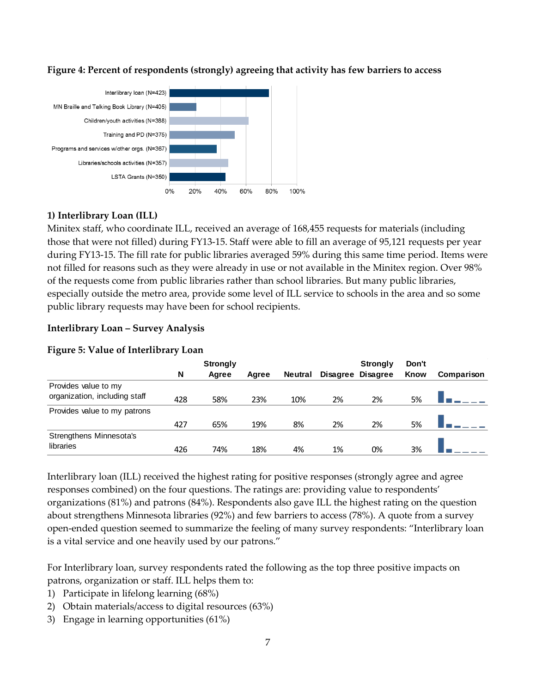

#### **Figure 4: Percent of respondents (strongly) agreeing that activity has few barriers to access**

### **1) Interlibrary Loan (ILL)**

Minitex staff, who coordinate ILL, received an average of 168,455 requests for materials (including those that were not filled) during FY13-15. Staff were able to fill an average of 95,121 requests per year during FY13-15. The fill rate for public libraries averaged 59% during this same time period. Items were not filled for reasons such as they were already in use or not available in the Minitex region. Over 98% of the requests come from public libraries rather than school libraries. But many public libraries, especially outside the metro area, provide some level of ILL service to schools in the area and so some public library requests may have been for school recipients.

### **Interlibrary Loan – Survey Analysis**

|                                                       | <b>Strongly</b> |       |       |                |    | <b>Strongly</b>   | Don't |            |
|-------------------------------------------------------|-----------------|-------|-------|----------------|----|-------------------|-------|------------|
|                                                       | N               | Agree | Agree | <b>Neutral</b> |    | Disagree Disagree | Know  | Comparison |
| Provides value to my<br>organization, including staff | 428             | 58%   | 23%   | 10%            | 2% | 2%                | 5%    |            |
| Provides value to my patrons                          |                 |       |       |                |    |                   |       |            |
|                                                       | 427             | 65%   | 19%   | 8%             | 2% | 2%                | 5%    |            |
| Strengthens Minnesota's                               |                 |       |       |                |    |                   |       |            |
| libraries                                             | 426             | 74%   | 18%   | 4%             | 1% | 0%                | 3%    |            |

#### **Figure 5: Value of Interlibrary Loan**

Interlibrary loan (ILL) received the highest rating for positive responses (strongly agree and agree responses combined) on the four questions. The ratings are: providing value to respondents' organizations (81%) and patrons (84%). Respondents also gave ILL the highest rating on the question about strengthens Minnesota libraries (92%) and few barriers to access (78%). A quote from a survey open-ended question seemed to summarize the feeling of many survey respondents: "Interlibrary loan is a vital service and one heavily used by our patrons."

For Interlibrary loan, survey respondents rated the following as the top three positive impacts on patrons, organization or staff. ILL helps them to:

- 1) Participate in lifelong learning (68%)
- 2) Obtain materials/access to digital resources (63%)
- 3) Engage in learning opportunities (61%)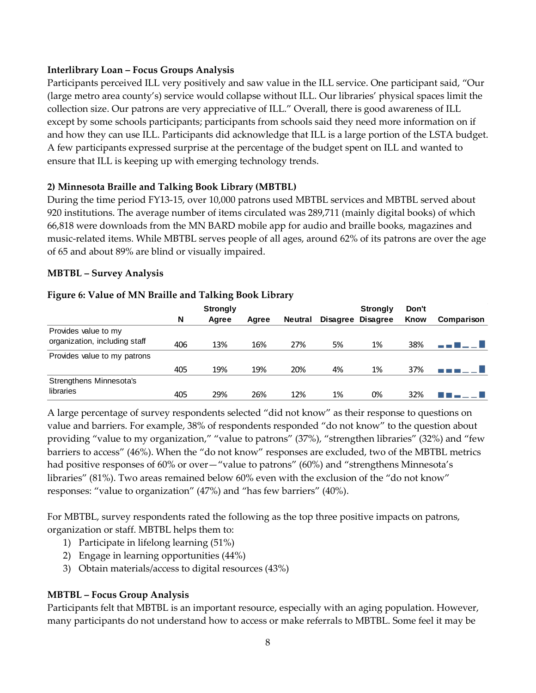### **Interlibrary Loan – Focus Groups Analysis**

Participants perceived ILL very positively and saw value in the ILL service. One participant said, "Our (large metro area county's) service would collapse without ILL. Our libraries' physical spaces limit the collection size. Our patrons are very appreciative of ILL." Overall, there is good awareness of ILL except by some schools participants; participants from schools said they need more information on if and how they can use ILL. Participants did acknowledge that ILL is a large portion of the LSTA budget. A few participants expressed surprise at the percentage of the budget spent on ILL and wanted to ensure that ILL is keeping up with emerging technology trends.

### **2) Minnesota Braille and Talking Book Library (MBTBL)**

During the time period FY13-15, over 10,000 patrons used MBTBL services and MBTBL served about 920 institutions. The average number of items circulated was 289,711 (mainly digital books) of which 66,818 were downloads from the MN BARD mobile app for audio and braille books, magazines and music-related items. While MBTBL serves people of all ages, around 62% of its patrons are over the age of 65 and about 89% are blind or visually impaired.

### **MBTBL – Survey Analysis**

#### **Strongly Strongly Don't Know Comparison N Agree Agree Neutral Disagree Disagree** Provides value to my organization, including staff  $\begin{array}{cccc} 406 & 13\% & 16\% & 27\% & 5\% & 1\% & 38\% \end{array}$ -- 8 - - 8 Provides value to my patrons 405 19% 19% 20% 4% 1% 37% -----**1** Strengthens Minnesota's libraries 405 29% 26% 12% 1% 0% 32% 88 - L - B

#### **Figure 6: Value of MN Braille and Talking Book Library**

A large percentage of survey respondents selected "did not know" as their response to questions on value and barriers. For example, 38% of respondents responded "do not know" to the question about providing "value to my organization," "value to patrons" (37%), "strengthen libraries" (32%) and "few barriers to access" (46%). When the "do not know" responses are excluded, two of the MBTBL metrics had positive responses of 60% or over—"value to patrons" (60%) and "strengthens Minnesota's libraries" (81%). Two areas remained below 60% even with the exclusion of the "do not know" responses: "value to organization" (47%) and "has few barriers" (40%).

For MBTBL, survey respondents rated the following as the top three positive impacts on patrons, organization or staff. MBTBL helps them to:

- 1) Participate in lifelong learning (51%)
- 2) Engage in learning opportunities (44%)
- 3) Obtain materials/access to digital resources (43%)

### **MBTBL – Focus Group Analysis**

Participants felt that MBTBL is an important resource, especially with an aging population. However, many participants do not understand how to access or make referrals to MBTBL. Some feel it may be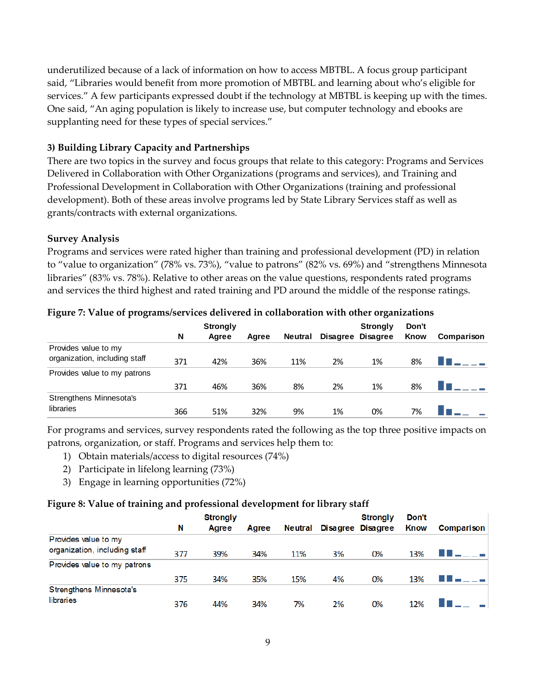underutilized because of a lack of information on how to access MBTBL. A focus group participant said, "Libraries would benefit from more promotion of MBTBL and learning about who's eligible for services." A few participants expressed doubt if the technology at MBTBL is keeping up with the times. One said, "An aging population is likely to increase use, but computer technology and ebooks are supplanting need for these types of special services."

### **3) Building Library Capacity and Partnerships**

There are two topics in the survey and focus groups that relate to this category: Programs and Services Delivered in Collaboration with Other Organizations (programs and services), and Training and Professional Development in Collaboration with Other Organizations (training and professional development). Both of these areas involve programs led by State Library Services staff as well as grants/contracts with external organizations.

### **Survey Analysis**

Programs and services were rated higher than training and professional development (PD) in relation to "value to organization" (78% vs. 73%), "value to patrons" (82% vs. 69%) and "strengthens Minnesota libraries" (83% vs. 78%). Relative to other areas on the value questions, respondents rated programs and services the third highest and rated training and PD around the middle of the response ratings.

|                               |     | <b>Strongly</b> |       |                |    | <b>Strongly</b>   | Don't |            |
|-------------------------------|-----|-----------------|-------|----------------|----|-------------------|-------|------------|
|                               | N   | Agree           | Agree | <b>Neutral</b> |    | Disagree Disagree | Know  | Comparison |
| Provides value to my          |     |                 |       |                |    |                   |       |            |
| organization, including staff | 371 | 42%             | 36%   | 11%            | 2% | 1%                | 8%    |            |
| Provides value to my patrons  |     |                 |       |                |    |                   |       |            |
|                               | 371 | 46%             | 36%   | 8%             | 2% | 1%                | 8%    |            |
| Strengthens Minnesota's       |     |                 |       |                |    |                   |       |            |
| libraries                     | 366 | 51%             | 32%   | 9%             | 1% | 0%                | 7%    |            |

#### **Figure 7: Value of programs/services delivered in collaboration with other organizations**

For programs and services, survey respondents rated the following as the top three positive impacts on patrons, organization, or staff. Programs and services help them to:

- 1) Obtain materials/access to digital resources (74%)
- 2) Participate in lifelong learning (73%)
- 3) Engage in learning opportunities (72%)

#### **Figure 8: Value of training and professional development for library staff**

| ີ<br>ີ                        |   |     | <b>Strongly</b> |       |                |    | <b>Strongly</b>   | Don't |                   |  |
|-------------------------------|---|-----|-----------------|-------|----------------|----|-------------------|-------|-------------------|--|
|                               | N |     | Agree           | Agree | <b>Neutral</b> |    | Disagree Disagree | Know  | <b>Comparison</b> |  |
| Provides value to my          |   |     |                 |       |                |    |                   |       |                   |  |
| organization, including staff |   | 377 | 39%             | 34%   | 11%            | 3% | 0%                | 13%   | .                 |  |
| Provides value to my patrons  |   |     |                 |       |                |    |                   |       |                   |  |
|                               |   | 375 | 34%             | 35%   | 15%            | 4% | 0%                | 13%   |                   |  |
| Strengthens Minnesota's       |   |     |                 |       |                |    |                   |       |                   |  |
| libraries                     |   | 376 | 44%             | 34%   | 7%             | 2% | 0%                | 12%   |                   |  |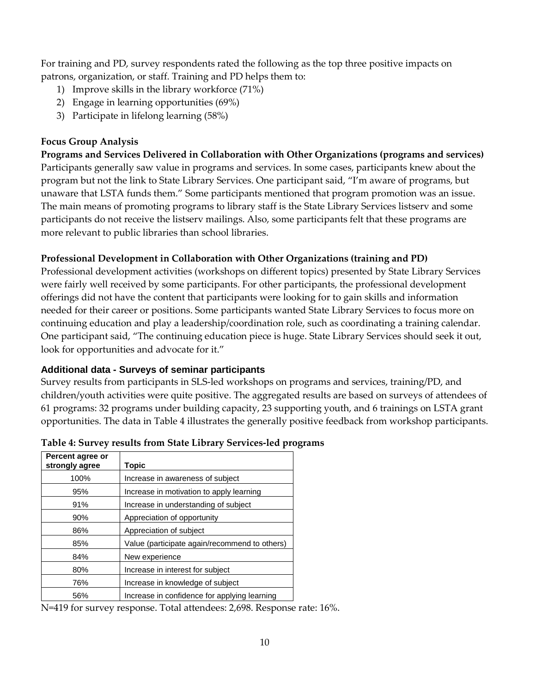For training and PD, survey respondents rated the following as the top three positive impacts on patrons, organization, or staff. Training and PD helps them to:

- 1) Improve skills in the library workforce (71%)
- 2) Engage in learning opportunities (69%)
- 3) Participate in lifelong learning (58%)

### **Focus Group Analysis**

**Programs and Services Delivered in Collaboration with Other Organizations (programs and services)** Participants generally saw value in programs and services. In some cases, participants knew about the program but not the link to State Library Services. One participant said, "I'm aware of programs, but unaware that LSTA funds them." Some participants mentioned that program promotion was an issue. The main means of promoting programs to library staff is the State Library Services listserv and some participants do not receive the listserv mailings. Also, some participants felt that these programs are more relevant to public libraries than school libraries.

### **Professional Development in Collaboration with Other Organizations (training and PD)**

Professional development activities (workshops on different topics) presented by State Library Services were fairly well received by some participants. For other participants, the professional development offerings did not have the content that participants were looking for to gain skills and information needed for their career or positions. Some participants wanted State Library Services to focus more on continuing education and play a leadership/coordination role, such as coordinating a training calendar. One participant said, "The continuing education piece is huge. State Library Services should seek it out, look for opportunities and advocate for it."

### <span id="page-17-0"></span>**Additional data - Surveys of seminar participants**

Survey results from participants in SLS-led workshops on programs and services, training/PD, and children/youth activities were quite positive. The aggregated results are based on surveys of attendees of 61 programs: 32 programs under building capacity, 23 supporting youth, and 6 trainings on LSTA grant opportunities. The data in Table 4 illustrates the generally positive feedback from workshop participants.

| Percent agree or<br>strongly agree | <b>Topic</b>                                  |
|------------------------------------|-----------------------------------------------|
| 100%                               | Increase in awareness of subject              |
| 95%                                | Increase in motivation to apply learning      |
| 91%                                | Increase in understanding of subject          |
| 90%                                | Appreciation of opportunity                   |
| 86%                                | Appreciation of subject                       |
| 85%                                | Value (participate again/recommend to others) |
| 84%                                | New experience                                |
| 80%                                | Increase in interest for subject              |
| 76%                                | Increase in knowledge of subject              |
| 56%                                | Increase in confidence for applying learning  |

| Table 4: Survey results from State Library Services-led programs |  |  |  |  |
|------------------------------------------------------------------|--|--|--|--|
|------------------------------------------------------------------|--|--|--|--|

N=419 for survey response. Total attendees: 2,698. Response rate: 16%.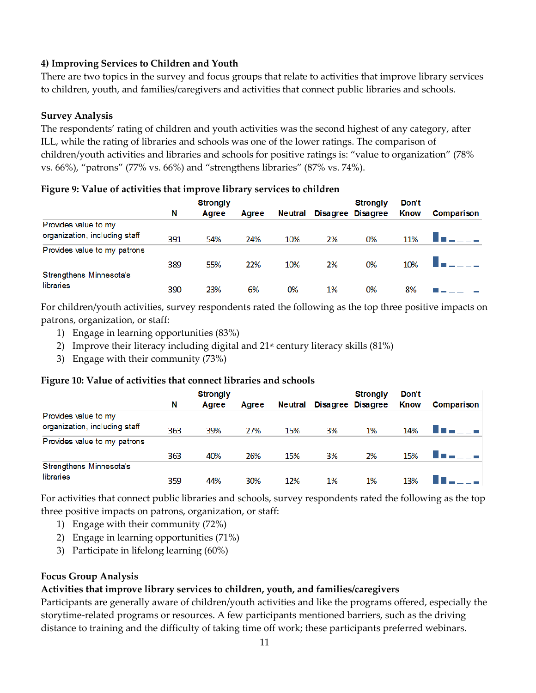### **4) Improving Services to Children and Youth**

There are two topics in the survey and focus groups that relate to activities that improve library services to children, youth, and families/caregivers and activities that connect public libraries and schools.

#### **Survey Analysis**

The respondents' rating of children and youth activities was the second highest of any category, after ILL, while the rating of libraries and schools was one of the lower ratings. The comparison of children/youth activities and libraries and schools for positive ratings is: "value to organization" (78% vs. 66%), "patrons" (77% vs. 66%) and "strengthens libraries" (87% vs. 74%).

|                               | <b>Strongly</b> |       |       |         |    | <b>Strongly</b>   | Don't |            |
|-------------------------------|-----------------|-------|-------|---------|----|-------------------|-------|------------|
|                               | N               | Agree | Agree | Neutral |    | Disagree Disagree | Know  | Comparison |
| Provides value to my          |                 |       |       |         |    |                   |       |            |
| organization, including staff | 391             | 54%   | 24%   | 10%     | 2% | 0%                | 11%   |            |
| Provides value to my patrons  |                 |       |       |         |    |                   |       |            |
|                               | 389             | 55%   | 22%   | 10%     | 2% | 0%                | 10%   |            |
| Strengthens Minnesota's       |                 |       |       |         |    |                   |       |            |
| libraries                     | 390             | 23%   | 6%    | 0%      | 1% | 0%                | 8%    |            |

#### **Figure 9: Value of activities that improve library services to children**

For children/youth activities, survey respondents rated the following as the top three positive impacts on patrons, organization, or staff:

- 1) Engage in learning opportunities (83%)
- 2) Improve their literacy including digital and  $21<sup>st</sup>$  century literacy skills (81%)
- 3) Engage with their community (73%)

#### **Figure 10: Value of activities that connect libraries and schools**

|                               |     | <b>Strongly</b> |       |                |    | <b>Strongly</b>   | Don't       |            |
|-------------------------------|-----|-----------------|-------|----------------|----|-------------------|-------------|------------|
|                               | N   | Agree           | Agree | <b>Neutral</b> |    | Disagree Disagree | <b>Know</b> | Comparison |
| Provides value to my          |     |                 |       |                |    |                   |             |            |
| organization, including staff | 363 | 39%             | 27%   | 15%            | 3% | 1%                | 14%         |            |
| Provides value to my patrons  |     |                 |       |                |    |                   |             |            |
|                               | 363 | 40%             | 26%   | 15%            | 3% | 2%                | 15%         |            |
| Strengthens Minnesota's       |     |                 |       |                |    |                   |             |            |
| libraries                     | 359 | 44%             | 30%   | 12%            | 1% | 1%                | 13%         |            |

For activities that connect public libraries and schools, survey respondents rated the following as the top three positive impacts on patrons, organization, or staff:

- 1) Engage with their community (72%)
- 2) Engage in learning opportunities (71%)
- 3) Participate in lifelong learning (60%)

#### **Focus Group Analysis**

### **Activities that improve library services to children, youth, and families/caregivers**

Participants are generally aware of children/youth activities and like the programs offered, especially the storytime-related programs or resources. A few participants mentioned barriers, such as the driving distance to training and the difficulty of taking time off work; these participants preferred webinars.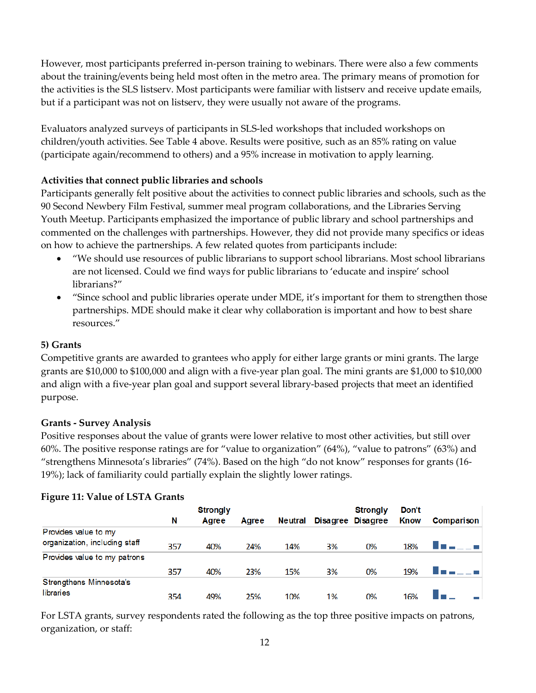However, most participants preferred in-person training to webinars. There were also a few comments about the training/events being held most often in the metro area. The primary means of promotion for the activities is the SLS listserv. Most participants were familiar with listserv and receive update emails, but if a participant was not on listserv, they were usually not aware of the programs.

Evaluators analyzed surveys of participants in SLS-led workshops that included workshops on children/youth activities. See Table 4 above. Results were positive, such as an 85% rating on value (participate again/recommend to others) and a 95% increase in motivation to apply learning.

### **Activities that connect public libraries and schools**

Participants generally felt positive about the activities to connect public libraries and schools, such as the 90 Second Newbery Film Festival, summer meal program collaborations, and the Libraries Serving Youth Meetup. Participants emphasized the importance of public library and school partnerships and commented on the challenges with partnerships. However, they did not provide many specifics or ideas on how to achieve the partnerships. A few related quotes from participants include:

- "We should use resources of public librarians to support school librarians. Most school librarians are not licensed. Could we find ways for public librarians to 'educate and inspire' school librarians?"
- "Since school and public libraries operate under MDE, it's important for them to strengthen those partnerships. MDE should make it clear why collaboration is important and how to best share resources."

### **5) Grants**

Competitive grants are awarded to grantees who apply for either large grants or mini grants. The large grants are \$10,000 to \$100,000 and align with a five-year plan goal. The mini grants are \$1,000 to \$10,000 and align with a five-year plan goal and support several library-based projects that meet an identified purpose.

### **Grants - Survey Analysis**

Positive responses about the value of grants were lower relative to most other activities, but still over 60%. The positive response ratings are for "value to organization" (64%), "value to patrons" (63%) and "strengthens Minnesota's libraries" (74%). Based on the high "do not know" responses for grants (16- 19%); lack of familiarity could partially explain the slightly lower ratings.

|                               |     | <b>Strongly</b> |       |                |    | <b>Strongly</b>   | Don't       |            |
|-------------------------------|-----|-----------------|-------|----------------|----|-------------------|-------------|------------|
|                               | N   | Agree           | Agree | <b>Neutral</b> |    | Disagree Disagree | <b>Know</b> | Comparison |
| Provides value to my          |     |                 |       |                |    |                   |             |            |
| organization, including staff | 357 | 40%             | 24%   | 14%            | 3% | 0%                | 18%         |            |
| Provides value to my patrons  |     |                 |       |                |    |                   |             |            |
|                               | 357 | 40%             | 23%   | 15%            | 3% | 0%                | 19%         |            |
| Strengthens Minnesota's       |     |                 |       |                |    |                   |             |            |
| libraries                     | 354 | 49%             | 25%   | 10%            | 1% | 0%                | 16%         |            |

### **Figure 11: Value of LSTA Grants**

For LSTA grants, survey respondents rated the following as the top three positive impacts on patrons, organization, or staff: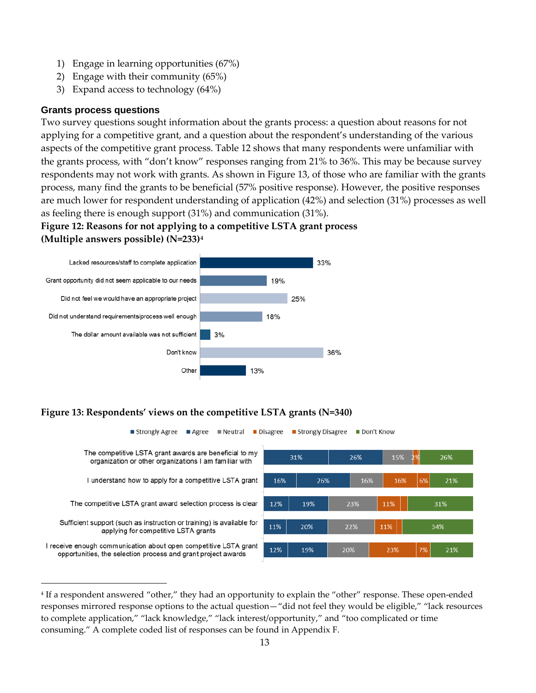- 1) Engage in learning opportunities (67%)
- 2) Engage with their community (65%)
- 3) Expand access to technology (64%)

#### <span id="page-20-0"></span>**Grants process questions**

-

Two survey questions sought information about the grants process: a question about reasons for not applying for a competitive grant, and a question about the respondent's understanding of the various aspects of the competitive grant process. Table 12 shows that many respondents were unfamiliar with the grants process, with "don't know" responses ranging from 21% to 36%. This may be because survey respondents may not work with grants. As shown in [Figure 13,](#page-20-1) of those who are familiar with the grants process, many find the grants to be beneficial (57% positive response). However, the positive responses are much lower for respondent understanding of application (42%) and selection (31%) processes as well as feeling there is enough support (31%) and communication (31%).

### **Figure 12: Reasons for not applying to a competitive LSTA grant process (Multiple answers possible) (N=233)[4](#page-20-2)**



### <span id="page-20-1"></span>**Figure 13: Respondents' views on the competitive LSTA grants (N=340)**



<span id="page-20-2"></span><sup>4</sup> If a respondent answered "other," they had an opportunity to explain the "other" response. These open-ended responses mirrored response options to the actual question—"did not feel they would be eligible," "lack resources to complete application," "lack knowledge," "lack interest/opportunity," and "too complicated or time consuming." A complete coded list of responses can be found in Appendix F.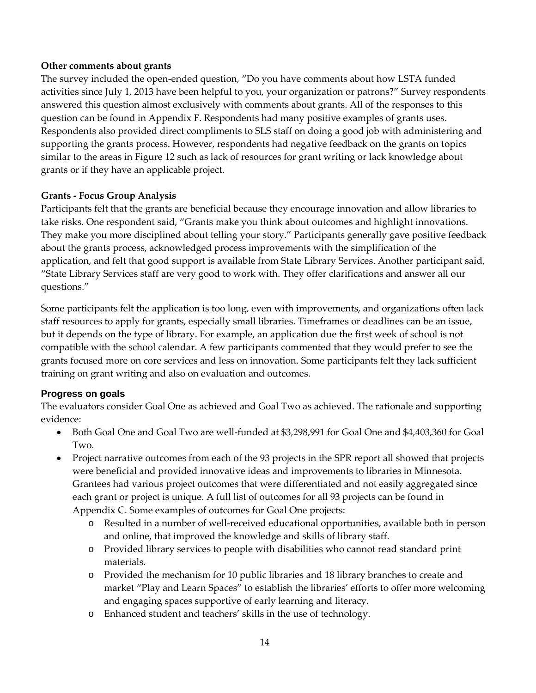#### **Other comments about grants**

The survey included the open-ended question, "Do you have comments about how LSTA funded activities since July 1, 2013 have been helpful to you, your organization or patrons?" Survey respondents answered this question almost exclusively with comments about grants. All of the responses to this question can be found in Appendix F. Respondents had many positive examples of grants uses. Respondents also provided direct compliments to SLS staff on doing a good job with administering and supporting the grants process. However, respondents had negative feedback on the grants on topics similar to the areas in Figure 12 such as lack of resources for grant writing or lack knowledge about grants or if they have an applicable project.

#### **Grants - Focus Group Analysis**

Participants felt that the grants are beneficial because they encourage innovation and allow libraries to take risks. One respondent said, "Grants make you think about outcomes and highlight innovations. They make you more disciplined about telling your story." Participants generally gave positive feedback about the grants process, acknowledged process improvements with the simplification of the application, and felt that good support is available from State Library Services. Another participant said, "State Library Services staff are very good to work with. They offer clarifications and answer all our questions."

Some participants felt the application is too long, even with improvements, and organizations often lack staff resources to apply for grants, especially small libraries. Timeframes or deadlines can be an issue, but it depends on the type of library. For example, an application due the first week of school is not compatible with the school calendar. A few participants commented that they would prefer to see the grants focused more on core services and less on innovation. Some participants felt they lack sufficient training on grant writing and also on evaluation and outcomes.

### <span id="page-21-0"></span>**Progress on goals**

The evaluators consider Goal One as achieved and Goal Two as achieved. The rationale and supporting evidence:

- Both Goal One and Goal Two are well-funded at \$3,298,991 for Goal One and \$4,403,360 for Goal Two.
- Project narrative outcomes from each of the 93 projects in the SPR report all showed that projects were beneficial and provided innovative ideas and improvements to libraries in Minnesota. Grantees had various project outcomes that were differentiated and not easily aggregated since each grant or project is unique. A full list of outcomes for all 93 projects can be found in Appendix C. Some examples of outcomes for Goal One projects:
	- o Resulted in a number of well-received educational opportunities, available both in person and online, that improved the knowledge and skills of library staff.
	- o Provided library services to people with disabilities who cannot read standard print materials.
	- o Provided the mechanism for 10 public libraries and 18 library branches to create and market "Play and Learn Spaces" to establish the libraries' efforts to offer more welcoming and engaging spaces supportive of early learning and literacy.
	- o Enhanced student and teachers' skills in the use of technology.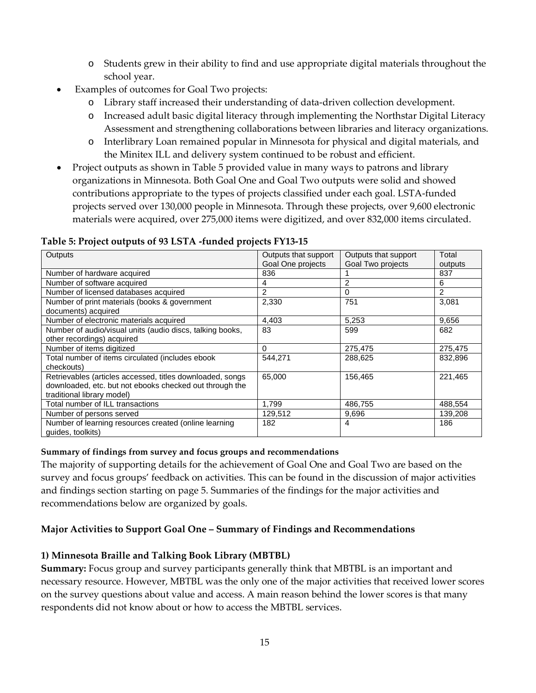- o Students grew in their ability to find and use appropriate digital materials throughout the school year.
- Examples of outcomes for Goal Two projects:
	- o Library staff increased their understanding of data-driven collection development.
	- o Increased adult basic digital literacy through implementing the Northstar Digital Literacy Assessment and strengthening collaborations between libraries and literacy organizations.
	- o Interlibrary Loan remained popular in Minnesota for physical and digital materials, and the Minitex ILL and delivery system continued to be robust and efficient.
- Project outputs as shown in Table 5 provided value in many ways to patrons and library organizations in Minnesota. Both Goal One and Goal Two outputs were solid and showed contributions appropriate to the types of projects classified under each goal. LSTA-funded projects served over 130,000 people in Minnesota. Through these projects, over 9,600 electronic materials were acquired, over 275,000 items were digitized, and over 832,000 items circulated.

#### **Table 5: Project outputs of 93 LSTA -funded projects FY13-15**

| Outputs                                                   | Outputs that support | Outputs that support | Total   |
|-----------------------------------------------------------|----------------------|----------------------|---------|
|                                                           | Goal One projects    | Goal Two projects    | outputs |
| Number of hardware acquired                               | 836                  |                      | 837     |
| Number of software acquired                               | 4                    | $\mathfrak{p}$       | 6       |
| Number of licensed databases acquired                     | $\mathcal{P}$        | $\Omega$             | 2       |
| Number of print materials (books & government             | 2,330                | 751                  | 3,081   |
| documents) acquired                                       |                      |                      |         |
| Number of electronic materials acquired                   | 4,403                | 5,253                | 9,656   |
| Number of audio/visual units (audio discs, talking books, | 83                   | 599                  | 682     |
| other recordings) acquired                                |                      |                      |         |
| Number of items digitized                                 | $\Omega$             | 275,475              | 275,475 |
| Total number of items circulated (includes ebook          | 544.271              | 288.625              | 832,896 |
| checkouts)                                                |                      |                      |         |
| Retrievables (articles accessed, titles downloaded, songs | 65,000               | 156,465              | 221,465 |
| downloaded, etc. but not ebooks checked out through the   |                      |                      |         |
| traditional library model)                                |                      |                      |         |
| Total number of ILL transactions                          | 1,799                | 486,755              | 488,554 |
| Number of persons served                                  | 129,512              | 9,696                | 139,208 |
| Number of learning resources created (online learning     | 182                  | 4                    | 186     |
| quides, toolkits)                                         |                      |                      |         |

#### **Summary of findings from survey and focus groups and recommendations**

The majority of supporting details for the achievement of Goal One and Goal Two are based on the survey and focus groups' feedback on activities. This can be found in the discussion of major activities and findings section starting on page [5.](#page-12-1) Summaries of the findings for the major activities and recommendations below are organized by goals.

### **Major Activities to Support Goal One – Summary of Findings and Recommendations**

### **1) Minnesota Braille and Talking Book Library (MBTBL)**

**Summary:** Focus group and survey participants generally think that MBTBL is an important and necessary resource. However, MBTBL was the only one of the major activities that received lower scores on the survey questions about value and access. A main reason behind the lower scores is that many respondents did not know about or how to access the MBTBL services.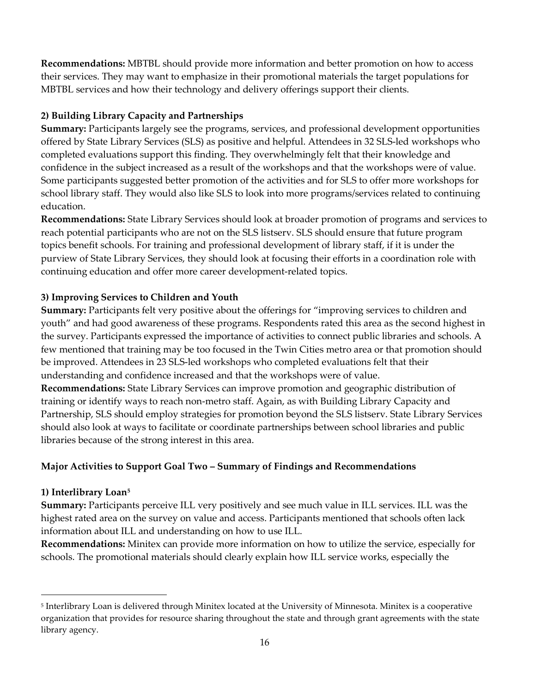**Recommendations:** MBTBL should provide more information and better promotion on how to access their services. They may want to emphasize in their promotional materials the target populations for MBTBL services and how their technology and delivery offerings support their clients.

### **2) Building Library Capacity and Partnerships**

**Summary:** Participants largely see the programs, services, and professional development opportunities offered by State Library Services (SLS) as positive and helpful. Attendees in 32 SLS-led workshops who completed evaluations support this finding. They overwhelmingly felt that their knowledge and confidence in the subject increased as a result of the workshops and that the workshops were of value. Some participants suggested better promotion of the activities and for SLS to offer more workshops for school library staff. They would also like SLS to look into more programs/services related to continuing education.

**Recommendations:** State Library Services should look at broader promotion of programs and services to reach potential participants who are not on the SLS listserv. SLS should ensure that future program topics benefit schools. For training and professional development of library staff, if it is under the purview of State Library Services, they should look at focusing their efforts in a coordination role with continuing education and offer more career development-related topics.

### **3) Improving Services to Children and Youth**

**Summary:** Participants felt very positive about the offerings for "improving services to children and youth" and had good awareness of these programs. Respondents rated this area as the second highest in the survey. Participants expressed the importance of activities to connect public libraries and schools. A few mentioned that training may be too focused in the Twin Cities metro area or that promotion should be improved. Attendees in 23 SLS-led workshops who completed evaluations felt that their understanding and confidence increased and that the workshops were of value.

**Recommendations:** State Library Services can improve promotion and geographic distribution of training or identify ways to reach non-metro staff. Again, as with Building Library Capacity and Partnership, SLS should employ strategies for promotion beyond the SLS listserv. State Library Services should also look at ways to facilitate or coordinate partnerships between school libraries and public libraries because of the strong interest in this area.

### **Major Activities to Support Goal Two – Summary of Findings and Recommendations**

### **1) Interlibrary Loan[5](#page-23-0)**

<u>.</u>

**Summary:** Participants perceive ILL very positively and see much value in ILL services. ILL was the highest rated area on the survey on value and access. Participants mentioned that schools often lack information about ILL and understanding on how to use ILL.

**Recommendations:** Minitex can provide more information on how to utilize the service, especially for schools. The promotional materials should clearly explain how ILL service works, especially the

<span id="page-23-0"></span><sup>5</sup> Interlibrary Loan is delivered through Minitex located at the University of Minnesota. Minitex is a cooperative organization that provides for resource sharing throughout the state and through grant agreements with the state library agency.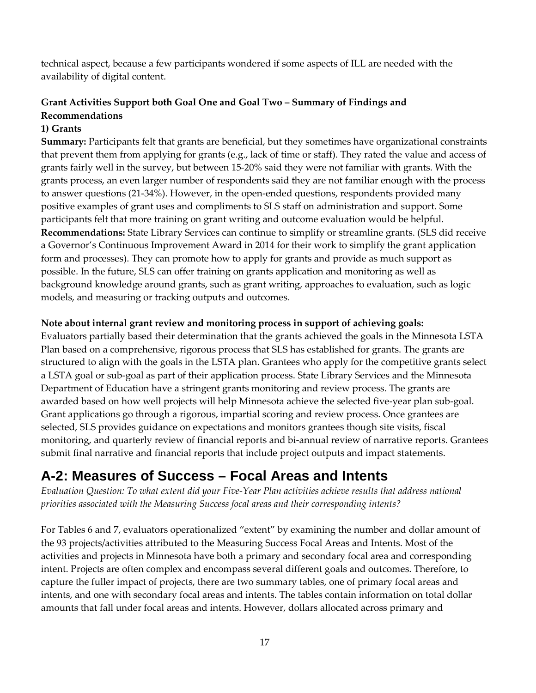technical aspect, because a few participants wondered if some aspects of ILL are needed with the availability of digital content.

### **Grant Activities Support both Goal One and Goal Two – Summary of Findings and Recommendations**

### **1) Grants**

**Summary:** Participants felt that grants are beneficial, but they sometimes have organizational constraints that prevent them from applying for grants (e.g., lack of time or staff). They rated the value and access of grants fairly well in the survey, but between 15-20% said they were not familiar with grants. With the grants process, an even larger number of respondents said they are not familiar enough with the process to answer questions (21-34%). However, in the open-ended questions, respondents provided many positive examples of grant uses and compliments to SLS staff on administration and support. Some participants felt that more training on grant writing and outcome evaluation would be helpful. **Recommendations:** State Library Services can continue to simplify or streamline grants. (SLS did receive a Governor's Continuous Improvement Award in 2014 for their work to simplify the grant application form and processes). They can promote how to apply for grants and provide as much support as possible. In the future, SLS can offer training on grants application and monitoring as well as background knowledge around grants, such as grant writing, approaches to evaluation, such as logic models, and measuring or tracking outputs and outcomes.

### **Note about internal grant review and monitoring process in support of achieving goals:**

Evaluators partially based their determination that the grants achieved the goals in the Minnesota LSTA Plan based on a comprehensive, rigorous process that SLS has established for grants. The grants are structured to align with the goals in the LSTA plan. Grantees who apply for the competitive grants select a LSTA goal or sub-goal as part of their application process. State Library Services and the Minnesota Department of Education have a stringent grants monitoring and review process. The grants are awarded based on how well projects will help Minnesota achieve the selected five-year plan sub-goal. Grant applications go through a rigorous, impartial scoring and review process. Once grantees are selected, SLS provides guidance on expectations and monitors grantees though site visits, fiscal monitoring, and quarterly review of financial reports and bi-annual review of narrative reports. Grantees submit final narrative and financial reports that include project outputs and impact statements.

### <span id="page-24-0"></span>**A-2: Measures of Success – Focal Areas and Intents**

*Evaluation Question: To what extent did your Five-Year Plan activities achieve results that address national priorities associated with the Measuring Success focal areas and their corresponding intents?*

For Tables 6 and 7, evaluators operationalized "extent" by examining the number and dollar amount of the 93 projects/activities attributed to the Measuring Success Focal Areas and Intents. Most of the activities and projects in Minnesota have both a primary and secondary focal area and corresponding intent. Projects are often complex and encompass several different goals and outcomes. Therefore, to capture the fuller impact of projects, there are two summary tables, one of primary focal areas and intents, and one with secondary focal areas and intents. The tables contain information on total dollar amounts that fall under focal areas and intents. However, dollars allocated across primary and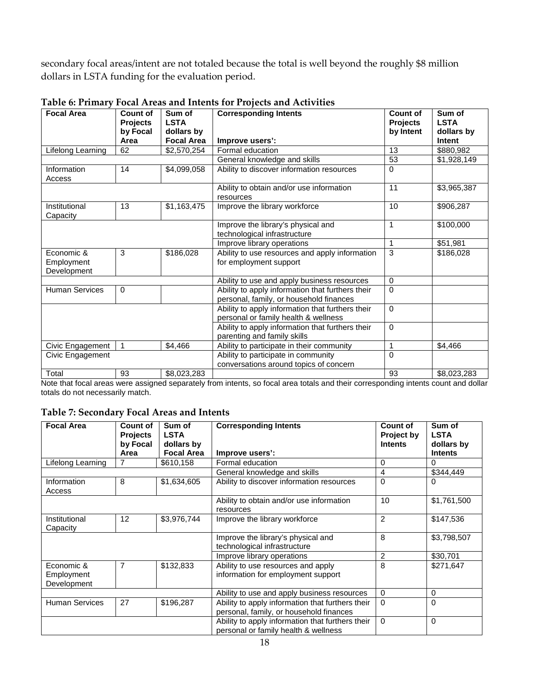secondary focal areas/intent are not totaled because the total is well beyond the roughly \$8 million dollars in LSTA funding for the evaluation period.

| <b>Focal Area</b>         | Count of<br><b>Projects</b><br>by Focal | Sum of<br><b>LSTA</b><br>dollars by | <b>Corresponding Intents</b>                                                                | Count of<br>Projects<br>by Intent | Sum of<br><b>LSTA</b><br>dollars by |
|---------------------------|-----------------------------------------|-------------------------------------|---------------------------------------------------------------------------------------------|-----------------------------------|-------------------------------------|
|                           | Area                                    | <b>Focal Area</b>                   | Improve users':                                                                             |                                   | Intent                              |
| Lifelong Learning         | 62                                      | \$2,570,254                         | Formal education                                                                            | 13                                | \$880,982                           |
|                           |                                         |                                     | General knowledge and skills                                                                | 53                                | \$1,928,149                         |
| Information<br>Access     | 14                                      | \$4,099,058                         | Ability to discover information resources                                                   | $\Omega$                          |                                     |
|                           |                                         |                                     | Ability to obtain and/or use information<br>resources                                       | 11                                | \$3,965,387                         |
| Institutional<br>Capacity | 13                                      | \$1,163,475                         | Improve the library workforce                                                               | 10                                | \$906,287                           |
|                           |                                         |                                     | Improve the library's physical and<br>technological infrastructure                          | $\mathbf{1}$                      | \$100,000                           |
|                           |                                         |                                     | Improve library operations                                                                  | 1                                 | \$51,981                            |
| Economic &<br>Employment  | 3                                       | \$186,028                           | Ability to use resources and apply information<br>for employment support                    | 3                                 | \$186,028                           |
| Development               |                                         |                                     |                                                                                             |                                   |                                     |
|                           |                                         |                                     | Ability to use and apply business resources                                                 | $\Omega$                          |                                     |
| <b>Human Services</b>     | 0                                       |                                     | Ability to apply information that furthers their<br>personal, family, or household finances | $\Omega$                          |                                     |
|                           |                                         |                                     | Ability to apply information that furthers their<br>personal or family health & wellness    | $\Omega$                          |                                     |
|                           |                                         |                                     | Ability to apply information that furthers their<br>parenting and family skills             | $\Omega$                          |                                     |
| Civic Engagement          | $\mathbf{1}$                            | \$4,466                             | Ability to participate in their community                                                   | 1                                 | \$4,466                             |
| Civic Engagement          |                                         |                                     | Ability to participate in community<br>conversations around topics of concern               | $\Omega$                          |                                     |
| Total                     | 93                                      | \$8,023,283                         |                                                                                             | 93                                | \$8,023,283                         |
|                           |                                         |                                     |                                                                                             |                                   |                                     |

### **Table 6: Primary Focal Areas and Intents for Projects and Activities**

Note that focal areas were assigned separately from intents, so focal area totals and their corresponding intents count and dollar totals do not necessarily match.

#### **Table 7: Secondary Focal Areas and Intents**

| <b>Focal Area</b>         | <b>Count of</b><br><b>Projects</b> | Sum of<br><b>LSTA</b> | <b>Corresponding Intents</b>                          | <b>Count of</b><br>Project by | Sum of<br><b>LSTA</b> |
|---------------------------|------------------------------------|-----------------------|-------------------------------------------------------|-------------------------------|-----------------------|
|                           | by Focal                           | dollars by            |                                                       | <b>Intents</b>                | dollars by            |
|                           | Area                               | <b>Focal Area</b>     | Improve users':                                       |                               | <b>Intents</b>        |
| Lifelong Learning         | 7                                  | \$610,158             | Formal education                                      | 0                             | $\Omega$              |
|                           |                                    |                       | General knowledge and skills                          | 4                             | \$344,449             |
| Information               | 8                                  | \$1,634,605           | Ability to discover information resources             | $\Omega$                      | $\Omega$              |
| Access                    |                                    |                       |                                                       |                               |                       |
|                           |                                    |                       | Ability to obtain and/or use information<br>resources | 10                            | \$1,761,500           |
| Institutional<br>Capacity | 12                                 | \$3,976,744           | Improve the library workforce                         | 2                             | \$147,536             |
|                           |                                    |                       | Improve the library's physical and                    | 8                             | \$3,798,507           |
|                           |                                    |                       | technological infrastructure                          |                               |                       |
|                           |                                    |                       | Improve library operations                            | $\overline{2}$                | \$30,701              |
| Economic &                | $\overline{7}$                     | \$132,833             | Ability to use resources and apply                    | 8                             | \$271,647             |
| Employment                |                                    |                       | information for employment support                    |                               |                       |
| Development               |                                    |                       |                                                       |                               |                       |
|                           |                                    |                       | Ability to use and apply business resources           | $\Omega$                      | 0                     |
| <b>Human Services</b>     | 27                                 | \$196,287             | Ability to apply information that furthers their      | $\Omega$                      | $\Omega$              |
|                           |                                    |                       | personal, family, or household finances               |                               |                       |
|                           |                                    |                       | Ability to apply information that furthers their      | $\Omega$                      | $\Omega$              |
|                           |                                    |                       | personal or family health & wellness                  |                               |                       |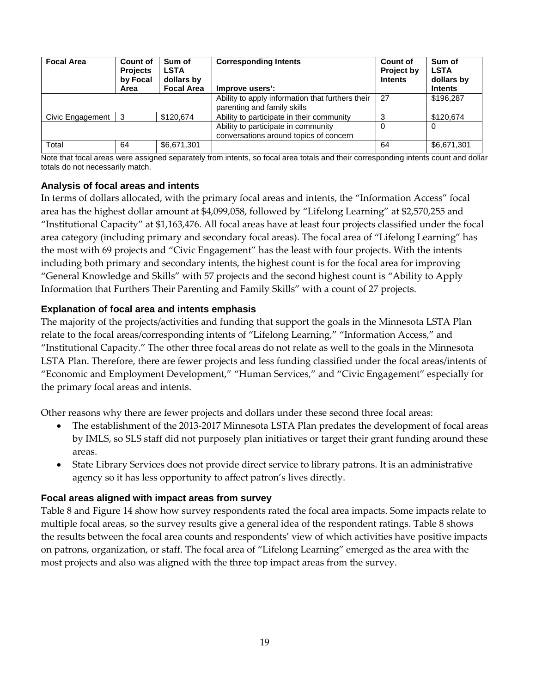| <b>Focal Area</b> | Count of<br><b>Projects</b><br>by Focal | Sum of<br><b>LSTA</b><br>dollars by | <b>Corresponding Intents</b>                                                    | <b>Count of</b><br>Project by<br><b>Intents</b> | Sum of<br><b>LSTA</b><br>dollars by |
|-------------------|-----------------------------------------|-------------------------------------|---------------------------------------------------------------------------------|-------------------------------------------------|-------------------------------------|
|                   | Area                                    | <b>Focal Area</b>                   | Improve users':                                                                 |                                                 | <b>Intents</b>                      |
|                   |                                         |                                     | Ability to apply information that furthers their<br>parenting and family skills | 27                                              | \$196,287                           |
| Civic Engagement  | 3                                       | \$120.674                           | Ability to participate in their community                                       |                                                 | \$120.674                           |
|                   |                                         |                                     | Ability to participate in community<br>conversations around topics of concern   | $\Omega$                                        | $\Omega$                            |
| Total             | 64                                      | \$6,671,301                         |                                                                                 | 64                                              | \$6,671,301                         |

Note that focal areas were assigned separately from intents, so focal area totals and their corresponding intents count and dollar totals do not necessarily match.

#### <span id="page-26-0"></span>**Analysis of focal areas and intents**

In terms of dollars allocated, with the primary focal areas and intents, the "Information Access" focal area has the highest dollar amount at \$4,099,058, followed by "Lifelong Learning" at \$2,570,255 and "Institutional Capacity" at \$1,163,476. All focal areas have at least four projects classified under the focal area category (including primary and secondary focal areas). The focal area of "Lifelong Learning" has the most with 69 projects and "Civic Engagement" has the least with four projects. With the intents including both primary and secondary intents, the highest count is for the focal area for improving "General Knowledge and Skills" with 57 projects and the second highest count is "Ability to Apply Information that Furthers Their Parenting and Family Skills" with a count of 27 projects.

#### <span id="page-26-1"></span>**Explanation of focal area and intents emphasis**

The majority of the projects/activities and funding that support the goals in the Minnesota LSTA Plan relate to the focal areas/corresponding intents of "Lifelong Learning," "Information Access," and "Institutional Capacity." The other three focal areas do not relate as well to the goals in the Minnesota LSTA Plan. Therefore, there are fewer projects and less funding classified under the focal areas/intents of "Economic and Employment Development," "Human Services," and "Civic Engagement" especially for the primary focal areas and intents.

Other reasons why there are fewer projects and dollars under these second three focal areas:

- The establishment of the 2013-2017 Minnesota LSTA Plan predates the development of focal areas by IMLS, so SLS staff did not purposely plan initiatives or target their grant funding around these areas.
- State Library Services does not provide direct service to library patrons. It is an administrative agency so it has less opportunity to affect patron's lives directly.

#### <span id="page-26-2"></span>**Focal areas aligned with impact areas from survey**

<span id="page-26-3"></span>Table 8 and Figure 14 show how survey respondents rated the focal area impacts. Some impacts relate to multiple focal areas, so the survey results give a general idea of the respondent ratings. [Table 8](#page-26-3) shows the results between the focal area counts and respondents' view of which activities have positive impacts on patrons, organization, or staff. The focal area of "Lifelong Learning" emerged as the area with the most projects and also was aligned with the three top impact areas from the survey.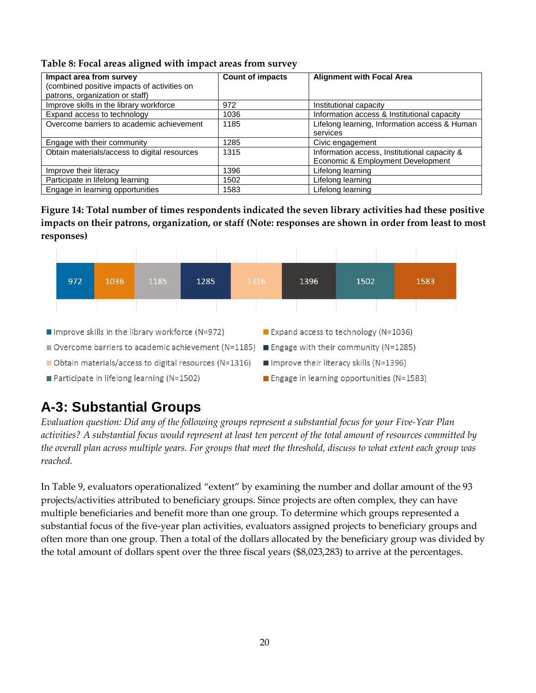| Table 8: Focal areas aligned with impact areas from survey |  |  |  |
|------------------------------------------------------------|--|--|--|
|                                                            |  |  |  |

| Impact area from survey<br>(combined positive impacts of activities on<br>patrons, organization or staff) | <b>Count of impacts</b> | <b>Alignment with Focal Area</b>                                                  |
|-----------------------------------------------------------------------------------------------------------|-------------------------|-----------------------------------------------------------------------------------|
| Improve skills in the library workforce                                                                   | 972                     | Institutional capacity                                                            |
| Expand access to technology                                                                               | 1036                    | Information access & Institutional capacity                                       |
| Overcome barriers to academic achievement                                                                 | 1185                    | Lifelong learning, Information access & Human<br>services                         |
| Engage with their community                                                                               | 1285                    | Civic engagement                                                                  |
| Obtain materials/access to digital resources                                                              | 1315                    | Information access, Institutional capacity &<br>Economic & Employment Development |
| Improve their literacy                                                                                    | 1396                    | Lifelong learning                                                                 |
| Participate in lifelong learning                                                                          | 1502                    | Lifelong learning                                                                 |
| Engage in learning opportunities                                                                          | 1583                    | Lifelong learning                                                                 |

**Figure 14: Total number of times respondents indicated the seven library activities had these positive impacts on their patrons, organization, or staff (Note: responses are shown in order from least to most responses)**



### <span id="page-27-0"></span>**A-3: Substantial Groups**

*Evaluation question: Did any of the following groups represent a substantial focus for your Five-Year Plan activities? A substantial focus would represent at least ten percent of the total amount of resources committed by the overall plan across multiple years. For groups that meet the threshold, discuss to what extent each group was reached.* 

In Table 9, evaluators operationalized "extent" by examining the number and dollar amount of the 93 projects/activities attributed to beneficiary groups. Since projects are often complex, they can have multiple beneficiaries and benefit more than one group. To determine which groups represented a substantial focus of the five-year plan activities, evaluators assigned projects to beneficiary groups and often more than one group. Then a total of the dollars allocated by the beneficiary group was divided by the total amount of dollars spent over the three fiscal years (\$8,023,283) to arrive at the percentages.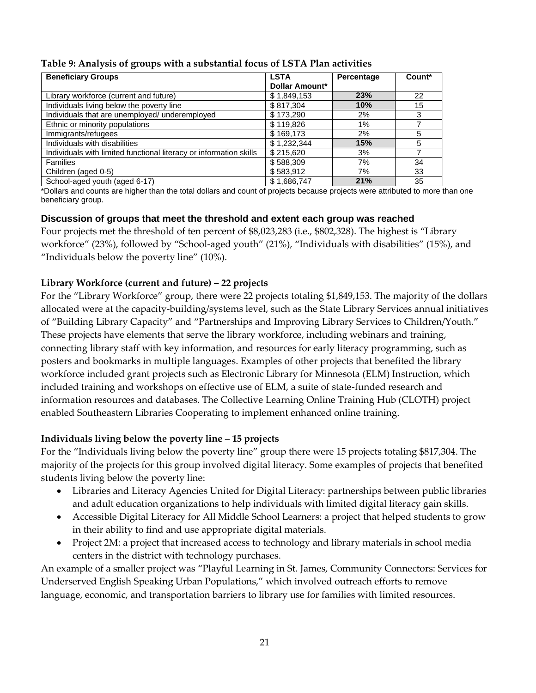| <b>Beneficiary Groups</b>                                          | <b>LSTA</b>           | Percentage | Count* |
|--------------------------------------------------------------------|-----------------------|------------|--------|
|                                                                    | <b>Dollar Amount*</b> |            |        |
| Library workforce (current and future)                             | \$1,849,153           | 23%        | 22     |
| Individuals living below the poverty line                          | \$817.304             | 10%        | 15     |
| Individuals that are unemployed/ underemployed                     | \$173,290             | 2%         | 3      |
| Ethnic or minority populations                                     | \$119,826             | 1%         |        |
| Immigrants/refugees                                                | \$169,173             | 2%         | 5      |
| Individuals with disabilities                                      | \$1,232,344           | 15%        | 5      |
| Individuals with limited functional literacy or information skills | \$215,620             | 3%         |        |
| <b>Families</b>                                                    | \$588,309             | 7%         | 34     |
| Children (aged 0-5)                                                | \$583,912             | 7%         | 33     |
| School-aged youth (aged 6-17)                                      | \$1,686,747           | 21%        | 35     |

**Table 9: Analysis of groups with a substantial focus of LSTA Plan activities**

\*Dollars and counts are higher than the total dollars and count of projects because projects were attributed to more than one beneficiary group.

#### <span id="page-28-0"></span>**Discussion of groups that meet the threshold and extent each group was reached**

Four projects met the threshold of ten percent of \$8,023,283 (i.e., \$802,328). The highest is "Library workforce" (23%), followed by "School-aged youth" (21%), "Individuals with disabilities" (15%), and "Individuals below the poverty line" (10%).

#### **Library Workforce (current and future) – 22 projects**

For the "Library Workforce" group, there were 22 projects totaling \$1,849,153. The majority of the dollars allocated were at the capacity-building/systems level, such as the State Library Services annual initiatives of "Building Library Capacity" and "Partnerships and Improving Library Services to Children/Youth." These projects have elements that serve the library workforce, including webinars and training, connecting library staff with key information, and resources for early literacy programming, such as posters and bookmarks in multiple languages. Examples of other projects that benefited the library workforce included grant projects such as Electronic Library for Minnesota (ELM) Instruction, which included training and workshops on effective use of ELM, a suite of state-funded research and information resources and databases. The Collective Learning Online Training Hub (CLOTH) project enabled Southeastern Libraries Cooperating to implement enhanced online training.

#### **Individuals living below the poverty line – 15 projects**

For the "Individuals living below the poverty line" group there were 15 projects totaling \$817,304. The majority of the projects for this group involved digital literacy. Some examples of projects that benefited students living below the poverty line:

- Libraries and Literacy Agencies United for Digital Literacy: partnerships between public libraries and adult education organizations to help individuals with limited digital literacy gain skills.
- Accessible Digital Literacy for All Middle School Learners: a project that helped students to grow in their ability to find and use appropriate digital materials.
- Project 2M: a project that increased access to technology and library materials in school media centers in the district with technology purchases.

An example of a smaller project was "Playful Learning in St. James, Community Connectors: Services for Underserved English Speaking Urban Populations," which involved outreach efforts to remove language, economic, and transportation barriers to library use for families with limited resources.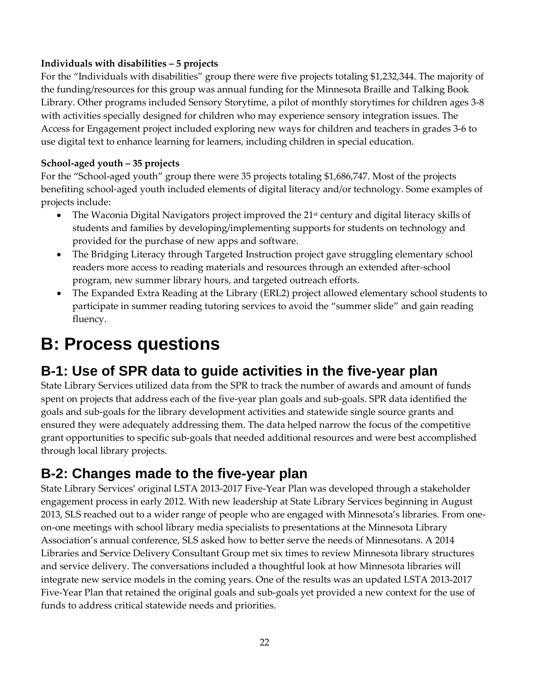### **Individuals with disabilities – 5 projects**

For the "Individuals with disabilities" group there were five projects totaling \$1,232,344. The majority of the funding/resources for this group was annual funding for the Minnesota Braille and Talking Book Library. Other programs included Sensory Storytime, a pilot of monthly storytimes for children ages 3-8 with activities specially designed for children who may experience sensory integration issues. The Access for Engagement project included exploring new ways for children and teachers in grades 3-6 to use digital text to enhance learning for learners, including children in special education.

### **School-aged youth – 35 projects**

For the "School-aged youth" group there were 35 projects totaling \$1,686,747. Most of the projects benefiting school-aged youth included elements of digital literacy and/or technology. Some examples of projects include:

- The Waconia Digital Navigators project improved the  $21<sup>st</sup>$  century and digital literacy skills of students and families by developing/implementing supports for students on technology and provided for the purchase of new apps and software.
- The Bridging Literacy through Targeted Instruction project gave struggling elementary school readers more access to reading materials and resources through an extended after-school program, new summer library hours, and targeted outreach efforts.
- The Expanded Extra Reading at the Library (ERL2) project allowed elementary school students to participate in summer reading tutoring services to avoid the "summer slide" and gain reading fluency.

## <span id="page-29-0"></span>**B: Process questions**

### <span id="page-29-1"></span>**B-1: Use of SPR data to guide activities in the five-year plan**

State Library Services utilized data from the SPR to track the number of awards and amount of funds spent on projects that address each of the five-year plan goals and sub-goals. SPR data identified the goals and sub-goals for the library development activities and statewide single source grants and ensured they were adequately addressing them. The data helped narrow the focus of the competitive grant opportunities to specific sub-goals that needed additional resources and were best accomplished through local library projects.

### <span id="page-29-2"></span>**B-2: Changes made to the five-year plan**

State Library Services' original LSTA 2013-2017 Five-Year Plan was developed through a stakeholder engagement process in early 2012. With new leadership at State Library Services beginning in August 2013, SLS reached out to a wider range of people who are engaged with Minnesota's libraries. From oneon-one meetings with school library media specialists to presentations at the Minnesota Library Association's annual conference, SLS asked how to better serve the needs of Minnesotans. A 2014 Libraries and Service Delivery Consultant Group met six times to review Minnesota library structures and service delivery. The conversations included a thoughtful look at how Minnesota libraries will integrate new service models in the coming years. One of the results was an updated LSTA 2013-2017 Five-Year Plan that retained the original goals and sub-goals yet provided a new context for the use of funds to address critical statewide needs and priorities.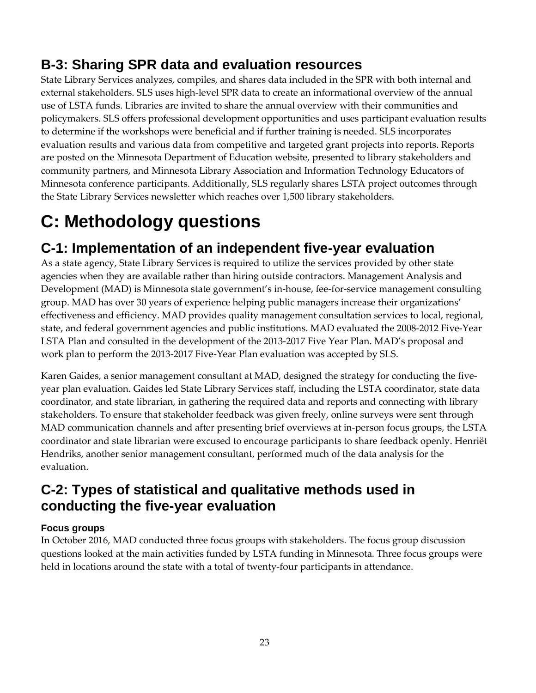### <span id="page-30-0"></span>**B-3: Sharing SPR data and evaluation resources**

State Library Services analyzes, compiles, and shares data included in the SPR with both internal and external stakeholders. SLS uses high-level SPR data to create an informational overview of the annual use of LSTA funds. Libraries are invited to share the annual overview with their communities and policymakers. SLS offers professional development opportunities and uses participant evaluation results to determine if the workshops were beneficial and if further training is needed. SLS incorporates evaluation results and various data from competitive and targeted grant projects into reports. Reports are posted on the Minnesota Department of Education website, presented to library stakeholders and community partners, and Minnesota Library Association and Information Technology Educators of Minnesota conference participants. Additionally, SLS regularly shares LSTA project outcomes through the State Library Services newsletter which reaches over 1,500 library stakeholders.

## <span id="page-30-1"></span>**C: Methodology questions**

### <span id="page-30-2"></span>**C-1: Implementation of an independent five-year evaluation**

As a state agency, State Library Services is required to utilize the services provided by other state agencies when they are available rather than hiring outside contractors. Management Analysis and Development (MAD) is Minnesota state government's in-house, fee-for-service management consulting group. MAD has over 30 years of experience helping public managers increase their organizations' effectiveness and efficiency. MAD provides quality management consultation services to local, regional, state, and federal government agencies and public institutions. MAD evaluated the 2008-2012 Five-Year LSTA Plan and consulted in the development of the 2013-2017 Five Year Plan. MAD's proposal and work plan to perform the 2013-2017 Five-Year Plan evaluation was accepted by SLS.

Karen Gaides, a senior management consultant at MAD, designed the strategy for conducting the fiveyear plan evaluation. Gaides led State Library Services staff, including the LSTA coordinator, state data coordinator, and state librarian, in gathering the required data and reports and connecting with library stakeholders. To ensure that stakeholder feedback was given freely, online surveys were sent through MAD communication channels and after presenting brief overviews at in-person focus groups, the LSTA coordinator and state librarian were excused to encourage participants to share feedback openly. Henriët Hendriks, another senior management consultant, performed much of the data analysis for the evaluation.

### <span id="page-30-3"></span>**C-2: Types of statistical and qualitative methods used in conducting the five-year evaluation**

### <span id="page-30-4"></span>**Focus groups**

In October 2016, MAD conducted three focus groups with stakeholders. The focus group discussion questions looked at the main activities funded by LSTA funding in Minnesota. Three focus groups were held in locations around the state with a total of twenty-four participants in attendance.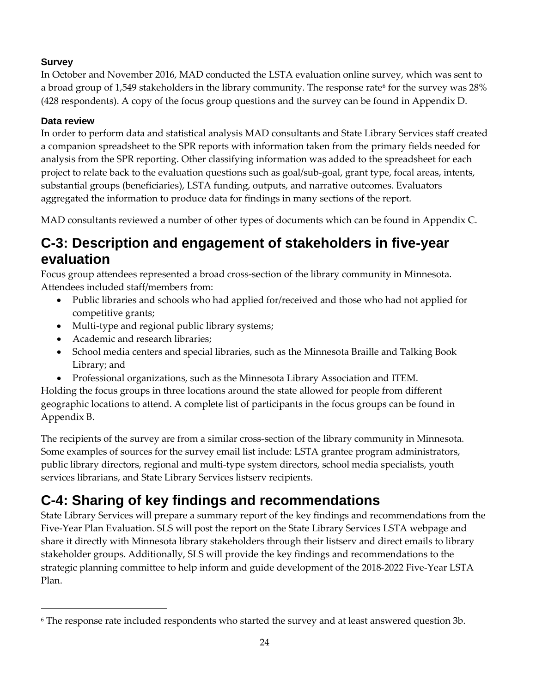### <span id="page-31-0"></span>**Survey**

In October and November 2016, MAD conducted the LSTA evaluation online survey, which was sent to a broad group of 1,549 stakeholders in the library community. The response rate for the survey was  $28\%$ (428 respondents). A copy of the focus group questions and the survey can be found in Appendix D.

### <span id="page-31-1"></span>**Data review**

-

In order to perform data and statistical analysis MAD consultants and State Library Services staff created a companion spreadsheet to the SPR reports with information taken from the primary fields needed for analysis from the SPR reporting. Other classifying information was added to the spreadsheet for each project to relate back to the evaluation questions such as goal/sub-goal, grant type, focal areas, intents, substantial groups (beneficiaries), LSTA funding, outputs, and narrative outcomes. Evaluators aggregated the information to produce data for findings in many sections of the report.

MAD consultants reviewed a number of other types of documents which can be found in Appendix C.

### <span id="page-31-2"></span>**C-3: Description and engagement of stakeholders in five-year evaluation**

Focus group attendees represented a broad cross-section of the library community in Minnesota. Attendees included staff/members from:

- Public libraries and schools who had applied for/received and those who had not applied for competitive grants;
- Multi-type and regional public library systems;
- Academic and research libraries;
- School media centers and special libraries, such as the Minnesota Braille and Talking Book Library; and
- Professional organizations, such as the Minnesota Library Association and ITEM.

Holding the focus groups in three locations around the state allowed for people from different geographic locations to attend. A complete list of participants in the focus groups can be found in Appendix B.

The recipients of the survey are from a similar cross-section of the library community in Minnesota. Some examples of sources for the survey email list include: LSTA grantee program administrators, public library directors, regional and multi-type system directors, school media specialists, youth services librarians, and State Library Services listserv recipients.

### <span id="page-31-3"></span>**C-4: Sharing of key findings and recommendations**

State Library Services will prepare a summary report of the key findings and recommendations from the Five-Year Plan Evaluation. SLS will post the report on the State Library Services LSTA webpage and share it directly with Minnesota library stakeholders through their listserv and direct emails to library stakeholder groups. Additionally, SLS will provide the key findings and recommendations to the strategic planning committee to help inform and guide development of the 2018-2022 Five-Year LSTA Plan.

<span id="page-31-4"></span><sup>6</sup> The response rate included respondents who started the survey and at least answered question 3b.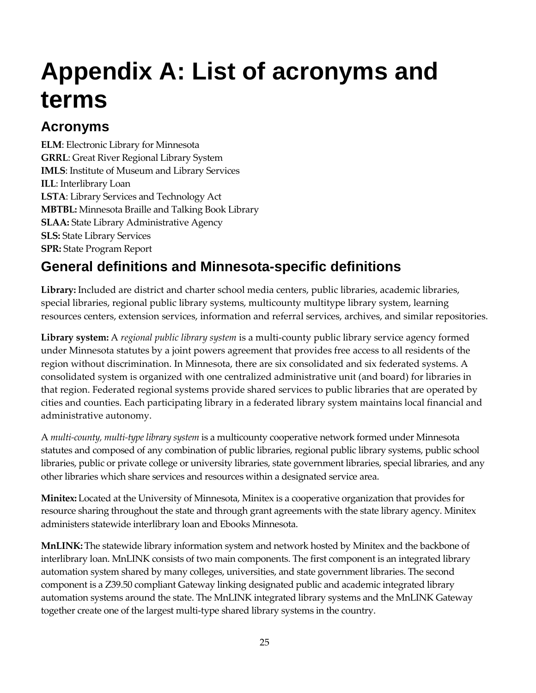# <span id="page-32-0"></span>**Appendix A: List of acronyms and terms**

### **Acronyms**

**ELM**: Electronic Library for Minnesota **GRRL**: Great River Regional Library System **IMLS**: Institute of Museum and Library Services **ILL**: Interlibrary Loan **LSTA**: Library Services and Technology Act **MBTBL:** Minnesota Braille and Talking Book Library **SLAA:** State Library Administrative Agency **SLS:** State Library Services **SPR:** State Program Report

### **General definitions and Minnesota-specific definitions**

**Library:** Included are district and charter school media centers, public libraries, academic libraries, special libraries, regional public library systems, multicounty multitype library system, learning resources centers, extension services, information and referral services, archives, and similar repositories.

**Library system:** A *regional public library system* is a multi-county public library service agency formed under Minnesota statutes by a joint powers agreement that provides free access to all residents of the region without discrimination. In Minnesota, there are six consolidated and six federated systems. A consolidated system is organized with one centralized administrative unit (and board) for libraries in that region. Federated regional systems provide shared services to public libraries that are operated by cities and counties. Each participating library in a federated library system maintains local financial and administrative autonomy.

A *multi-county, multi-type library system* is a multicounty cooperative network formed under Minnesota statutes and composed of any combination of public libraries, regional public library systems, public school libraries, public or private college or university libraries, state government libraries, special libraries, and any other libraries which share services and resources within a designated service area.

**Minitex:** Located at the University of Minnesota, Minitex is a cooperative organization that provides for resource sharing throughout the state and through grant agreements with the state library agency. Minitex administers statewide interlibrary loan and Ebooks Minnesota.

**MnLINK:** The statewide library information system and network hosted by Minitex and the backbone of interlibrary loan. MnLINK consists of two main components. The first component is an integrated library automation system shared by many colleges, universities, and state government libraries. The second component is a Z39.50 compliant Gateway linking designated public and academic integrated library automation systems around the state. The MnLINK integrated library systems and the MnLINK Gateway together create one of the largest multi-type shared library systems in the country.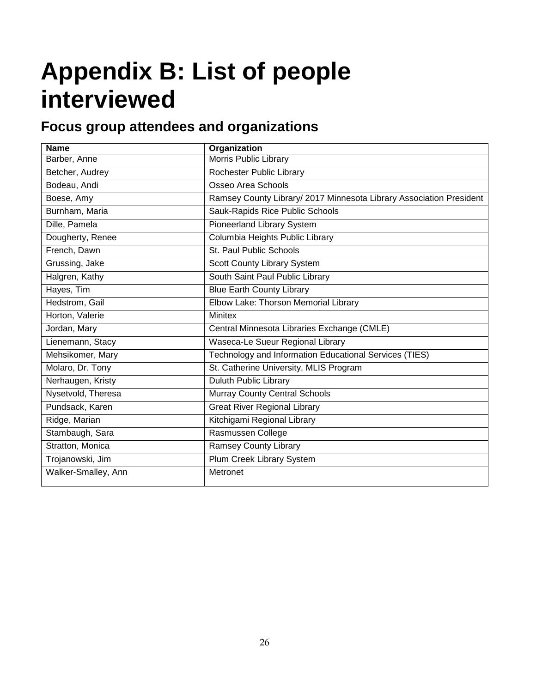# <span id="page-33-0"></span>**Appendix B: List of people interviewed**

### **Focus group attendees and organizations**

| <b>Name</b>         | <b>Organization</b>                                                 |
|---------------------|---------------------------------------------------------------------|
| Barber, Anne        | Morris Public Library                                               |
| Betcher, Audrey     | Rochester Public Library                                            |
| Bodeau, Andi        | Osseo Area Schools                                                  |
| Boese, Amy          | Ramsey County Library/ 2017 Minnesota Library Association President |
| Burnham, Maria      | Sauk-Rapids Rice Public Schools                                     |
| Dille, Pamela       | <b>Pioneerland Library System</b>                                   |
| Dougherty, Renee    | Columbia Heights Public Library                                     |
| French, Dawn        | St. Paul Public Schools                                             |
| Grussing, Jake      | Scott County Library System                                         |
| Halgren, Kathy      | South Saint Paul Public Library                                     |
| Hayes, Tim          | <b>Blue Earth County Library</b>                                    |
| Hedstrom, Gail      | Elbow Lake: Thorson Memorial Library                                |
| Horton, Valerie     | <b>Minitex</b>                                                      |
| Jordan, Mary        | Central Minnesota Libraries Exchange (CMLE)                         |
| Lienemann, Stacy    | Waseca-Le Sueur Regional Library                                    |
| Mehsikomer, Mary    | Technology and Information Educational Services (TIES)              |
| Molaro, Dr. Tony    | St. Catherine University, MLIS Program                              |
| Nerhaugen, Kristy   | <b>Duluth Public Library</b>                                        |
| Nysetvold, Theresa  | <b>Murray County Central Schools</b>                                |
| Pundsack, Karen     | <b>Great River Regional Library</b>                                 |
| Ridge, Marian       | Kitchigami Regional Library                                         |
| Stambaugh, Sara     | Rasmussen College                                                   |
| Stratton, Monica    | Ramsey County Library                                               |
| Trojanowski, Jim    | Plum Creek Library System                                           |
| Walker-Smalley, Ann | Metronet                                                            |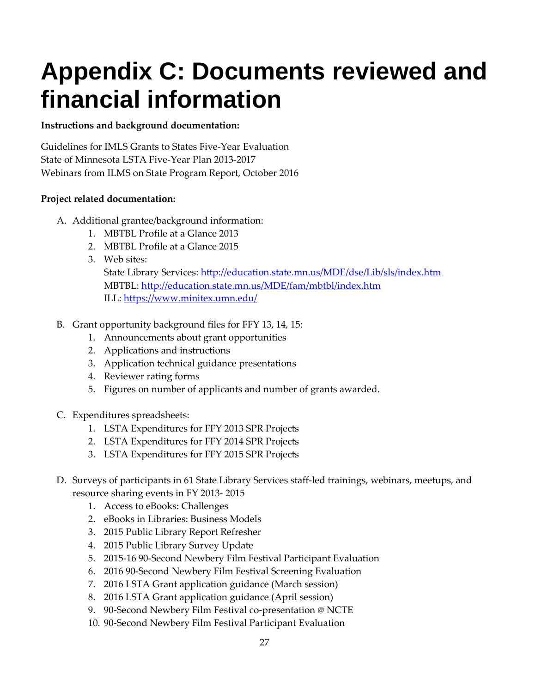# <span id="page-34-0"></span>**Appendix C: Documents reviewed and financial information**

### **Instructions and background documentation:**

Guidelines for IMLS Grants to States Five-Year Evaluation State of Minnesota LSTA Five-Year Plan 2013-2017 Webinars from ILMS on State Program Report, October 2016

### **Project related documentation:**

- A. Additional grantee/background information:
	- 1. MBTBL Profile at a Glance 2013
	- 2. MBTBL Profile at a Glance 2015
	- 3. Web sites:

State Library Services:<http://education.state.mn.us/MDE/dse/Lib/sls/index.htm> MBTBL: http://education.state.mn.us/MDE/fam/mbtbl/index.htm ILL: https://www.minitex.umn.edu/

- B. Grant opportunity background files for FFY 13, 14, 15:
	- 1. Announcements about grant opportunities
	- 2. Applications and instructions
	- 3. Application technical guidance presentations
	- 4. Reviewer rating forms
	- 5. Figures on number of applicants and number of grants awarded.
- C. Expenditures spreadsheets:
	- 1. LSTA Expenditures for FFY 2013 SPR Projects
	- 2. LSTA Expenditures for FFY 2014 SPR Projects
	- 3. LSTA Expenditures for FFY 2015 SPR Projects
- D. Surveys of participants in 61 State Library Services staff-led trainings, webinars, meetups, and resource sharing events in FY 2013- 2015
	- 1. Access to eBooks: Challenges
	- 2. eBooks in Libraries: Business Models
	- 3. 2015 Public Library Report Refresher
	- 4. 2015 Public Library Survey Update
	- 5. 2015-16 90-Second Newbery Film Festival Participant Evaluation
	- 6. 2016 90-Second Newbery Film Festival Screening Evaluation
	- 7. 2016 LSTA Grant application guidance (March session)
	- 8. 2016 LSTA Grant application guidance (April session)
	- 9. 90-Second Newbery Film Festival co-presentation @ NCTE
	- 10. 90-Second Newbery Film Festival Participant Evaluation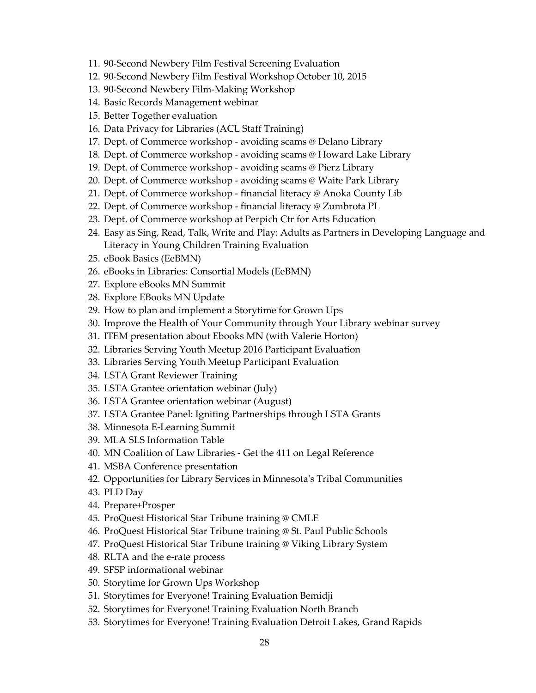- 11. 90-Second Newbery Film Festival Screening Evaluation
- 12. 90-Second Newbery Film Festival Workshop October 10, 2015
- 13. 90-Second Newbery Film-Making Workshop
- 14. Basic Records Management webinar
- 15. Better Together evaluation
- 16. Data Privacy for Libraries (ACL Staff Training)
- 17. Dept. of Commerce workshop avoiding scams @ Delano Library
- 18. Dept. of Commerce workshop avoiding scams @ Howard Lake Library
- 19. Dept. of Commerce workshop avoiding scams @ Pierz Library
- 20. Dept. of Commerce workshop avoiding scams @ Waite Park Library
- 21. Dept. of Commerce workshop financial literacy @ Anoka County Lib
- 22. Dept. of Commerce workshop financial literacy @ Zumbrota PL
- 23. Dept. of Commerce workshop at Perpich Ctr for Arts Education
- 24. Easy as Sing, Read, Talk, Write and Play: Adults as Partners in Developing Language and Literacy in Young Children Training Evaluation
- 25. eBook Basics (EeBMN)
- 26. eBooks in Libraries: Consortial Models (EeBMN)
- 27. Explore eBooks MN Summit
- 28. Explore EBooks MN Update
- 29. How to plan and implement a Storytime for Grown Ups
- 30. Improve the Health of Your Community through Your Library webinar survey
- 31. ITEM presentation about Ebooks MN (with Valerie Horton)
- 32. Libraries Serving Youth Meetup 2016 Participant Evaluation
- 33. Libraries Serving Youth Meetup Participant Evaluation
- 34. LSTA Grant Reviewer Training
- 35. LSTA Grantee orientation webinar (July)
- 36. LSTA Grantee orientation webinar (August)
- 37. LSTA Grantee Panel: Igniting Partnerships through LSTA Grants
- 38. Minnesota E-Learning Summit
- 39. MLA SLS Information Table
- 40. MN Coalition of Law Libraries Get the 411 on Legal Reference
- 41. MSBA Conference presentation
- 42. Opportunities for Library Services in Minnesota's Tribal Communities
- 43. PLD Day
- 44. Prepare+Prosper
- 45. ProQuest Historical Star Tribune training @ CMLE
- 46. ProQuest Historical Star Tribune training @ St. Paul Public Schools
- 47. ProQuest Historical Star Tribune training @ Viking Library System
- 48. RLTA and the e-rate process
- 49. SFSP informational webinar
- 50. Storytime for Grown Ups Workshop
- 51. Storytimes for Everyone! Training Evaluation Bemidji
- 52. Storytimes for Everyone! Training Evaluation North Branch
- 53. Storytimes for Everyone! Training Evaluation Detroit Lakes, Grand Rapids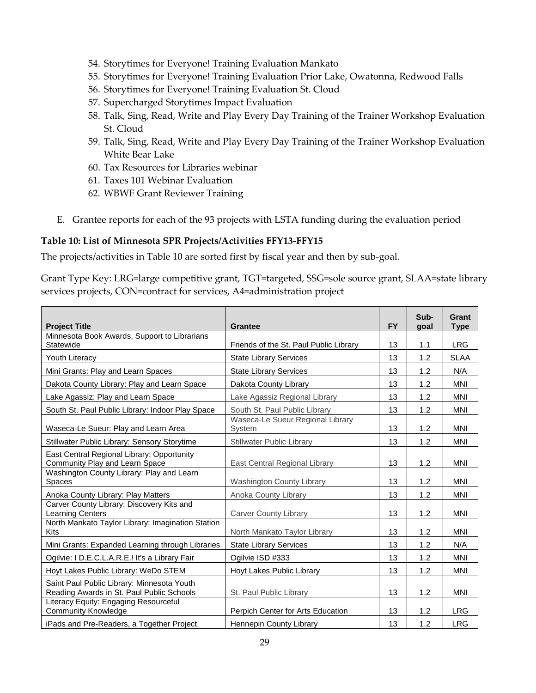- 54. Storytimes for Everyone! Training Evaluation Mankato
- 55. Storytimes for Everyone! Training Evaluation Prior Lake, Owatonna, Redwood Falls
- 56. Storytimes for Everyone! Training Evaluation St. Cloud
- 57. Supercharged Storytimes Impact Evaluation
- 58. Talk, Sing, Read, Write and Play Every Day Training of the Trainer Workshop Evaluation St. Cloud
- 59. Talk, Sing, Read, Write and Play Every Day Training of the Trainer Workshop Evaluation White Bear Lake
- 60. Tax Resources for Libraries webinar
- 61. Taxes 101 Webinar Evaluation
- 62. WBWF Grant Reviewer Training
- E. Grantee reports for each of the 93 projects with LSTA funding during the evaluation period

### **Table 10: List of Minnesota SPR Projects/Activities FFY13-FFY15**

The projects/activities in Table 10 are sorted first by fiscal year and then by sub-goal.

Grant Type Key: LRG=large competitive grant, TGT=targeted, SSG=sole source grant, SLAA=state library services projects, CON=contract for services, A4=administration project

| <b>Project Title</b>                                                                    | Grantee                                    | <b>FY</b> | Sub-<br>goal | Grant<br><b>Type</b> |
|-----------------------------------------------------------------------------------------|--------------------------------------------|-----------|--------------|----------------------|
| Minnesota Book Awards, Support to Librarians                                            |                                            |           |              |                      |
| Statewide                                                                               | Friends of the St. Paul Public Library     | 13        | 1.1          | <b>LRG</b>           |
| Youth Literacy                                                                          | <b>State Library Services</b>              | 13        | 1.2          | <b>SLAA</b>          |
| Mini Grants: Play and Learn Spaces                                                      | <b>State Library Services</b>              | 13        | 1.2          | N/A                  |
| Dakota County Library: Play and Learn Space                                             | Dakota County Library                      | 13        | 1.2          | <b>MNI</b>           |
| Lake Agassiz: Play and Learn Space                                                      | Lake Agassiz Regional Library              | 13        | 1.2          | <b>MNI</b>           |
| South St. Paul Public Library: Indoor Play Space                                        | South St. Paul Public Library              | 13        | 1.2          | <b>MNI</b>           |
| Waseca-Le Sueur: Play and Learn Area                                                    | Waseca-Le Sueur Regional Library<br>System | 13        | 1.2          | <b>MNI</b>           |
| Stillwater Public Library: Sensory Storytime                                            | <b>Stillwater Public Library</b>           | 13        | 1.2          | <b>MNI</b>           |
| East Central Regional Library: Opportunity<br>Community Play and Learn Space            | East Central Regional Library              | 13        | 1.2          | <b>MNI</b>           |
| Washington County Library: Play and Learn<br><b>Spaces</b>                              | <b>Washington County Library</b>           | 13        | 1.2          | <b>MNI</b>           |
| Anoka County Library: Play Matters                                                      | Anoka County Library                       | 13        | 1.2          | MNI                  |
| Carver County Library: Discovery Kits and<br>Learning Centers                           | <b>Carver County Library</b>               | 13        | 1.2          | <b>MNI</b>           |
| North Mankato Taylor Library: Imagination Station<br><b>Kits</b>                        | North Mankato Taylor Library               | 13        | 1.2          | <b>MNI</b>           |
| Mini Grants: Expanded Learning through Libraries                                        | <b>State Library Services</b>              | 13        | 1.2          | N/A                  |
| Ogilvie: I D.E.C.L.A.R.E.! It's a Library Fair                                          | Ogilvie ISD #333                           | 13        | 1.2          | <b>MNI</b>           |
| Hoyt Lakes Public Library: WeDo STEM                                                    | Hoyt Lakes Public Library                  | 13        | 1.2          | <b>MNI</b>           |
| Saint Paul Public Library: Minnesota Youth<br>Reading Awards in St. Paul Public Schools | St. Paul Public Library                    | 13        | 1.2          | <b>MNI</b>           |
| Literacy Equity: Engaging Resourceful<br><b>Community Knowledge</b>                     | Perpich Center for Arts Education          | 13        | 1.2          | <b>LRG</b>           |
| iPads and Pre-Readers, a Together Project                                               | Hennepin County Library                    | 13        | 1.2          | <b>LRG</b>           |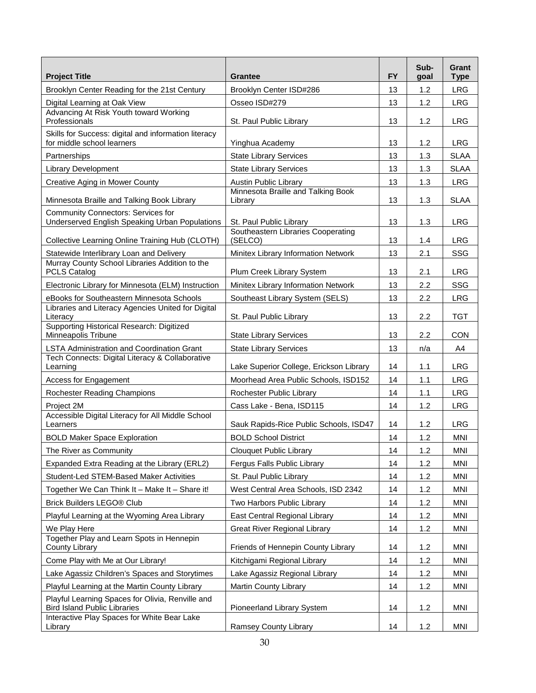| <b>Project Title</b>                                                                        | <b>Grantee</b>                                | <b>FY</b> | Sub-<br>goal | Grant<br><b>Type</b> |
|---------------------------------------------------------------------------------------------|-----------------------------------------------|-----------|--------------|----------------------|
| Brooklyn Center Reading for the 21st Century                                                | Brooklyn Center ISD#286                       | 13        | 1.2          | <b>LRG</b>           |
| Digital Learning at Oak View                                                                | Osseo ISD#279                                 | 13        | 1.2          | <b>LRG</b>           |
| Advancing At Risk Youth toward Working<br>Professionals                                     | St. Paul Public Library                       | 13        | 1.2          | <b>LRG</b>           |
| Skills for Success: digital and information literacy<br>for middle school learners          | Yinghua Academy                               | 13        | 1.2          | <b>LRG</b>           |
| Partnerships                                                                                | <b>State Library Services</b>                 | 13        | 1.3          | <b>SLAA</b>          |
| <b>Library Development</b>                                                                  | <b>State Library Services</b>                 | 13        | 1.3          | <b>SLAA</b>          |
| <b>Creative Aging in Mower County</b>                                                       | <b>Austin Public Library</b>                  | 13        | 1.3          | <b>LRG</b>           |
| Minnesota Braille and Talking Book Library                                                  | Minnesota Braille and Talking Book<br>Library | 13        | 1.3          | <b>SLAA</b>          |
| <b>Community Connectors: Services for</b><br>Underserved English Speaking Urban Populations | St. Paul Public Library                       | 13        | 1.3          | <b>LRG</b>           |
| Collective Learning Online Training Hub (CLOTH)                                             | Southeastern Libraries Cooperating<br>(SELCO) | 13        | 1.4          | <b>LRG</b>           |
| Statewide Interlibrary Loan and Delivery                                                    | Minitex Library Information Network           | 13        | 2.1          | SSG                  |
| Murray County School Libraries Addition to the<br><b>PCLS Catalog</b>                       | Plum Creek Library System                     | 13        | 2.1          | <b>LRG</b>           |
| Electronic Library for Minnesota (ELM) Instruction                                          | Minitex Library Information Network           | 13        | 2.2          | SSG                  |
| eBooks for Southeastern Minnesota Schools                                                   | Southeast Library System (SELS)               | 13        | 2.2          | <b>LRG</b>           |
| Libraries and Literacy Agencies United for Digital<br>Literacy                              | St. Paul Public Library                       | 13        | 2.2          | <b>TGT</b>           |
| Supporting Historical Research: Digitized<br>Minneapolis Tribune                            | <b>State Library Services</b>                 | 13        | 2.2          | <b>CON</b>           |
| <b>LSTA Administration and Coordination Grant</b>                                           | <b>State Library Services</b>                 | 13        | n/a          | A4                   |
| Tech Connects: Digital Literacy & Collaborative<br>Learning                                 | Lake Superior College, Erickson Library       | 14        | 1.1          | <b>LRG</b>           |
| Access for Engagement                                                                       | Moorhead Area Public Schools, ISD152          | 14        | 1.1          | <b>LRG</b>           |
| Rochester Reading Champions                                                                 | Rochester Public Library                      | 14        | 1.1          | <b>LRG</b>           |
| Project 2M<br>Accessible Digital Literacy for All Middle School                             | Cass Lake - Bena, ISD115                      | 14        | 1.2          | <b>LRG</b>           |
| Learners                                                                                    | Sauk Rapids-Rice Public Schools, ISD47        | 14        | 1.2          | <b>LRG</b>           |
| <b>BOLD Maker Space Exploration</b>                                                         | <b>BOLD School District</b>                   | 14        | 1.2          | <b>MNI</b>           |
| The River as Community                                                                      | Clouquet Public Library                       | 14        | 1.2          | <b>MNI</b>           |
| Expanded Extra Reading at the Library (ERL2)                                                | Fergus Falls Public Library                   | 14        | 1.2          | MNI                  |
| Student-Led STEM-Based Maker Activities                                                     | St. Paul Public Library                       | 14        | 1.2          | MNI                  |
| Together We Can Think It - Make It - Share it!                                              | West Central Area Schools, ISD 2342           | 14        | 1.2          | MNI                  |
| Brick Builders LEGO® Club                                                                   | Two Harbors Public Library                    | 14        | 1.2          | MNI                  |
| Playful Learning at the Wyoming Area Library                                                | East Central Regional Library                 | 14        | 1.2          | MNI                  |
| We Play Here                                                                                | <b>Great River Regional Library</b>           | 14        | 1.2          | MNI                  |
| Together Play and Learn Spots in Hennepin<br>County Library                                 | Friends of Hennepin County Library            | 14        | 1.2          | MNI                  |
| Come Play with Me at Our Library!                                                           | Kitchigami Regional Library                   | 14        | 1.2          | MNI                  |
| Lake Agassiz Children's Spaces and Storytimes                                               | Lake Agassiz Regional Library                 | 14        | 1.2          | <b>MNI</b>           |
| Playful Learning at the Martin County Library                                               | <b>Martin County Library</b>                  | 14        | 1.2          | MNI                  |
| Playful Learning Spaces for Olivia, Renville and<br><b>Bird Island Public Libraries</b>     | Pioneerland Library System                    | 14        | 1.2          | MNI                  |
| Interactive Play Spaces for White Bear Lake<br>Library                                      | Ramsey County Library                         | 14        | 1.2          | <b>MNI</b>           |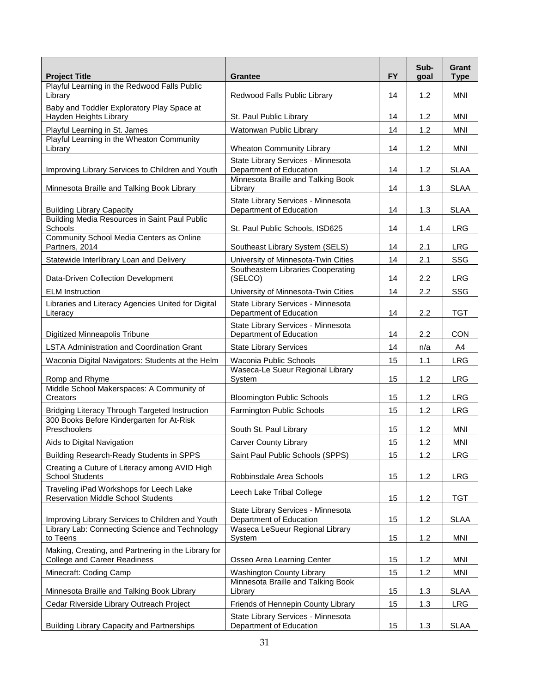| <b>Project Title</b>                                                                       | <b>Grantee</b>                                                | <b>FY</b> | Sub-<br>goal | Grant<br><b>Type</b> |
|--------------------------------------------------------------------------------------------|---------------------------------------------------------------|-----------|--------------|----------------------|
| Playful Learning in the Redwood Falls Public<br>Library                                    | Redwood Falls Public Library                                  | 14        | 1.2          | <b>MNI</b>           |
| Baby and Toddler Exploratory Play Space at<br>Hayden Heights Library                       | St. Paul Public Library                                       | 14        | 1.2          | MNI                  |
| Playful Learning in St. James                                                              | Watonwan Public Library                                       | 14        | 1.2          | <b>MNI</b>           |
| Playful Learning in the Wheaton Community<br>Library                                       | <b>Wheaton Community Library</b>                              | 14        | 1.2          | MNI                  |
| Improving Library Services to Children and Youth                                           | State Library Services - Minnesota<br>Department of Education | 14        | 1.2          | <b>SLAA</b>          |
| Minnesota Braille and Talking Book Library                                                 | Minnesota Braille and Talking Book<br>Library                 | 14        | 1.3          | <b>SLAA</b>          |
| <b>Building Library Capacity</b>                                                           | State Library Services - Minnesota<br>Department of Education | 14        | 1.3          | <b>SLAA</b>          |
| Building Media Resources in Saint Paul Public<br>Schools                                   | St. Paul Public Schools, ISD625                               | 14        | 1.4          | <b>LRG</b>           |
| Community School Media Centers as Online<br>Partners, 2014                                 | Southeast Library System (SELS)                               | 14        | 2.1          | <b>LRG</b>           |
| Statewide Interlibrary Loan and Delivery                                                   | University of Minnesota-Twin Cities                           | 14        | 2.1          | SSG                  |
| Data-Driven Collection Development                                                         | Southeastern Libraries Cooperating<br>(SELCO)                 | 14        | 2.2          | <b>LRG</b>           |
| <b>ELM</b> Instruction                                                                     | University of Minnesota-Twin Cities                           | 14        | 2.2          | SSG                  |
| Libraries and Literacy Agencies United for Digital<br>Literacy                             | State Library Services - Minnesota<br>Department of Education | 14        | 2.2          | <b>TGT</b>           |
| Digitized Minneapolis Tribune                                                              | State Library Services - Minnesota<br>Department of Education | 14        | 2.2          | <b>CON</b>           |
| <b>LSTA Administration and Coordination Grant</b>                                          | <b>State Library Services</b>                                 | 14        | n/a          | A4                   |
| Waconia Digital Navigators: Students at the Helm                                           | Waconia Public Schools                                        | 15        | 1.1          | <b>LRG</b>           |
| Romp and Rhyme                                                                             | Waseca-Le Sueur Regional Library<br>System                    | 15        | 1.2          | <b>LRG</b>           |
| Middle School Makerspaces: A Community of<br>Creators                                      | <b>Bloomington Public Schools</b>                             | 15        | 1.2          | <b>LRG</b>           |
| Bridging Literacy Through Targeted Instruction                                             | <b>Farmington Public Schools</b>                              | 15        | 1.2          | <b>LRG</b>           |
| 300 Books Before Kindergarten for At-Risk<br>Preschoolers                                  | South St. Paul Library                                        | 15        | 1.2          | MNI                  |
| Aids to Digital Navigation                                                                 | <b>Carver County Library</b>                                  | 15        | 1.2          | MNI                  |
| Building Research-Ready Students in SPPS                                                   | Saint Paul Public Schools (SPPS)                              | 15        | 1.2          | <b>LRG</b>           |
| Creating a Cuture of Literacy among AVID High<br><b>School Students</b>                    | Robbinsdale Area Schools                                      | 15        | 1.2          | <b>LRG</b>           |
| Traveling iPad Workshops for Leech Lake<br><b>Reservation Middle School Students</b>       | Leech Lake Tribal College                                     | 15        | 1.2          | <b>TGT</b>           |
| Improving Library Services to Children and Youth                                           | State Library Services - Minnesota<br>Department of Education | 15        | 1.2          | <b>SLAA</b>          |
| Library Lab: Connecting Science and Technology<br>to Teens                                 | Waseca LeSueur Regional Library<br>System                     | 15        | 1.2          | <b>MNI</b>           |
| Making, Creating, and Partnering in the Library for<br><b>College and Career Readiness</b> | Osseo Area Learning Center                                    | 15        | 1.2          | <b>MNI</b>           |
| Minecraft: Coding Camp                                                                     | <b>Washington County Library</b>                              | 15        | 1.2          | <b>MNI</b>           |
| Minnesota Braille and Talking Book Library                                                 | Minnesota Braille and Talking Book<br>Library                 | 15        | 1.3          | <b>SLAA</b>          |
| Cedar Riverside Library Outreach Project                                                   | Friends of Hennepin County Library                            | 15        | 1.3          | <b>LRG</b>           |
| <b>Building Library Capacity and Partnerships</b>                                          | State Library Services - Minnesota<br>Department of Education | 15        | 1.3          | <b>SLAA</b>          |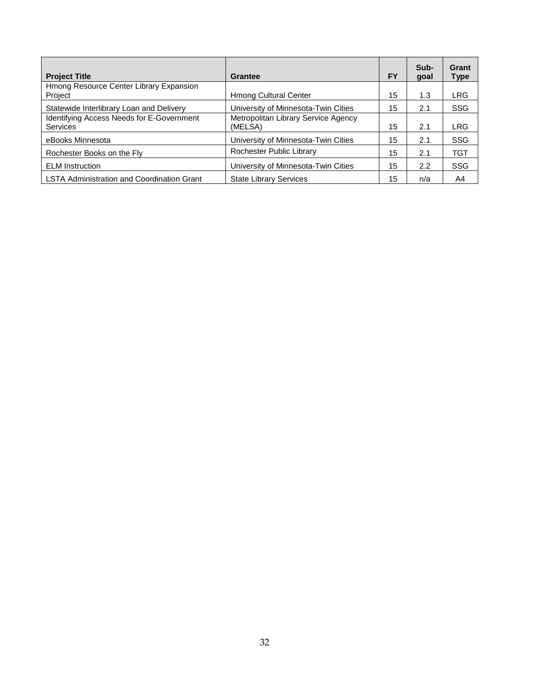| <b>Project Title</b>                                         | Grantee                                        | <b>FY</b> | Sub-<br>goal | Grant<br>Type |
|--------------------------------------------------------------|------------------------------------------------|-----------|--------------|---------------|
| Hmong Resource Center Library Expansion<br>Project           | <b>Hmong Cultural Center</b>                   | 15        | 1.3          | LRG           |
| Statewide Interlibrary Loan and Delivery                     | University of Minnesota-Twin Cities            | 15        | 2.1          | <b>SSG</b>    |
| <b>Identifying Access Needs for E-Government</b><br>Services | Metropolitan Library Service Agency<br>(MELSA) | 15        | 2.1          | <b>LRG</b>    |
| eBooks Minnesota                                             | University of Minnesota-Twin Cities            | 15        | 2.1          | <b>SSG</b>    |
| Rochester Books on the Fly                                   | Rochester Public Library                       | 15        | 2.1          | <b>TGT</b>    |
| <b>ELM</b> Instruction                                       | University of Minnesota-Twin Cities            | 15        | 2.2          | <b>SSG</b>    |
| <b>LSTA Administration and Coordination Grant</b>            | <b>State Library Services</b>                  | 15        | n/a          | A4            |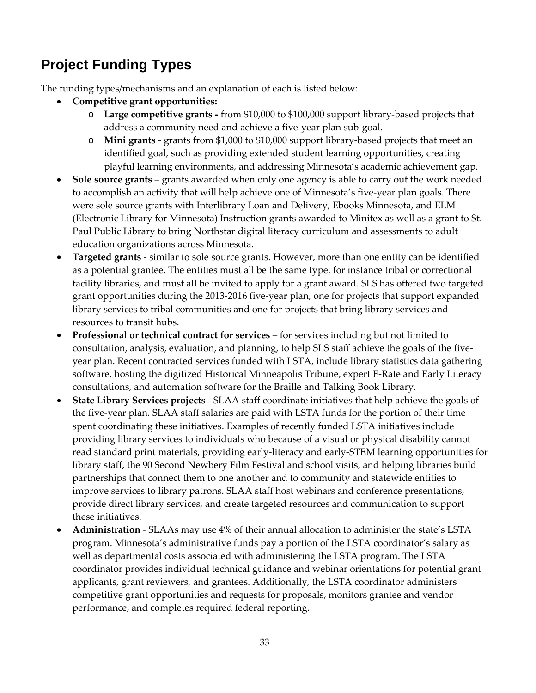### **Project Funding Types**

The funding types/mechanisms and an explanation of each is listed below:

- **Competitive grant opportunities:** 
	- o **Large competitive grants -** from \$10,000 to \$100,000 support library-based projects that address a community need and achieve a five-year plan sub-goal.
	- o **Mini grants** grants from \$1,000 to \$10,000 support library-based projects that meet an identified goal, such as providing extended student learning opportunities, creating playful learning environments, and addressing Minnesota's academic achievement gap.
- **Sole source grants** grants awarded when only one agency is able to carry out the work needed to accomplish an activity that will help achieve one of Minnesota's five-year plan goals. There were sole source grants with Interlibrary Loan and Delivery, Ebooks Minnesota, and ELM (Electronic Library for Minnesota) Instruction grants awarded to Minitex as well as a grant to St. Paul Public Library to bring Northstar digital literacy curriculum and assessments to adult education organizations across Minnesota.
- **Targeted grants** similar to sole source grants. However, more than one entity can be identified as a potential grantee. The entities must all be the same type, for instance tribal or correctional facility libraries, and must all be invited to apply for a grant award. SLS has offered two targeted grant opportunities during the 2013-2016 five-year plan, one for projects that support expanded library services to tribal communities and one for projects that bring library services and resources to transit hubs.
- **Professional or technical contract for services** for services including but not limited to consultation, analysis, evaluation, and planning, to help SLS staff achieve the goals of the fiveyear plan. Recent contracted services funded with LSTA, include library statistics data gathering software, hosting the digitized Historical Minneapolis Tribune, expert E-Rate and Early Literacy consultations, and automation software for the Braille and Talking Book Library.
- **State Library Services projects** SLAA staff coordinate initiatives that help achieve the goals of the five-year plan. SLAA staff salaries are paid with LSTA funds for the portion of their time spent coordinating these initiatives. Examples of recently funded LSTA initiatives include providing library services to individuals who because of a visual or physical disability cannot read standard print materials, providing early-literacy and early-STEM learning opportunities for library staff, the 90 Second Newbery Film Festival and school visits, and helping libraries build partnerships that connect them to one another and to community and statewide entities to improve services to library patrons. SLAA staff host webinars and conference presentations, provide direct library services, and create targeted resources and communication to support these initiatives.
- **Administration** SLAAs may use 4% of their annual allocation to administer the state's LSTA program. Minnesota's administrative funds pay a portion of the LSTA coordinator's salary as well as departmental costs associated with administering the LSTA program. The LSTA coordinator provides individual technical guidance and webinar orientations for potential grant applicants, grant reviewers, and grantees. Additionally, the LSTA coordinator administers competitive grant opportunities and requests for proposals, monitors grantee and vendor performance, and completes required federal reporting.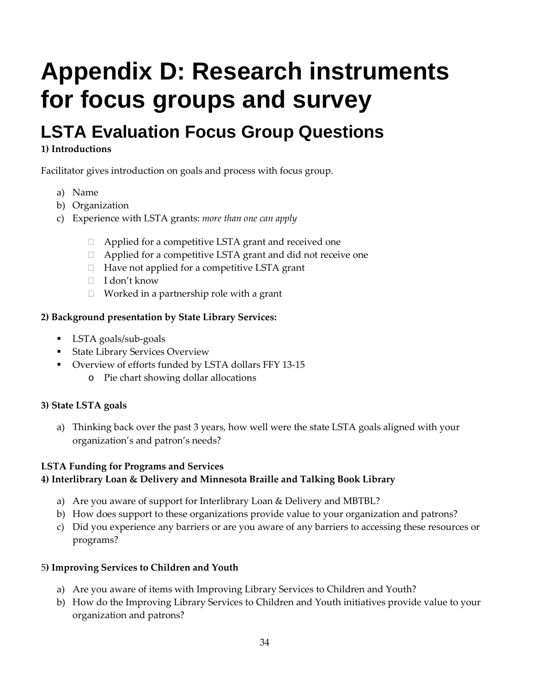# <span id="page-41-0"></span>**Appendix D: Research instruments for focus groups and survey**

## <span id="page-41-1"></span>**LSTA Evaluation Focus Group Questions**

### **1) Introductions**

Facilitator gives introduction on goals and process with focus group.

- a) Name
- b) Organization
- c) Experience with LSTA grants: *more than one can apply*
	- $\Box$  Applied for a competitive LSTA grant and received one
	- □ Applied for a competitive LSTA grant and did not receive one
	- $\Box$  Have not applied for a competitive LSTA grant
	- I don't know
	- $\Box$  Worked in a partnership role with a grant

### **2) Background presentation by State Library Services:**

- LSTA goals/sub-goals
- **State Library Services Overview**
- Overview of efforts funded by LSTA dollars FFY 13-15
	- o Pie chart showing dollar allocations

### **3) State LSTA goals**

a) Thinking back over the past 3 years, how well were the state LSTA goals aligned with your organization's and patron's needs?

### **LSTA Funding for Programs and Services**

### **4) Interlibrary Loan & Delivery and Minnesota Braille and Talking Book Library**

- a) Are you aware of support for Interlibrary Loan & Delivery and MBTBL?
- b) How does support to these organizations provide value to your organization and patrons?
- c) Did you experience any barriers or are you aware of any barriers to accessing these resources or programs?

### 5**) Improving Services to Children and Youth**

- a) Are you aware of items with Improving Library Services to Children and Youth?
- b) How do the Improving Library Services to Children and Youth initiatives provide value to your organization and patrons?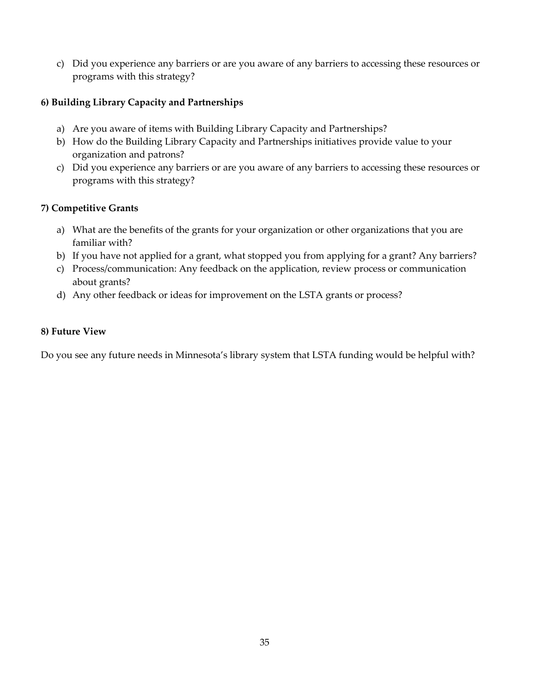c) Did you experience any barriers or are you aware of any barriers to accessing these resources or programs with this strategy?

#### **6) Building Library Capacity and Partnerships**

- a) Are you aware of items with Building Library Capacity and Partnerships?
- b) How do the Building Library Capacity and Partnerships initiatives provide value to your organization and patrons?
- c) Did you experience any barriers or are you aware of any barriers to accessing these resources or programs with this strategy?

#### **7) Competitive Grants**

- a) What are the benefits of the grants for your organization or other organizations that you are familiar with?
- b) If you have not applied for a grant, what stopped you from applying for a grant? Any barriers?
- c) Process/communication: Any feedback on the application, review process or communication about grants?
- d) Any other feedback or ideas for improvement on the LSTA grants or process?

#### **8) Future View**

Do you see any future needs in Minnesota's library system that LSTA funding would be helpful with?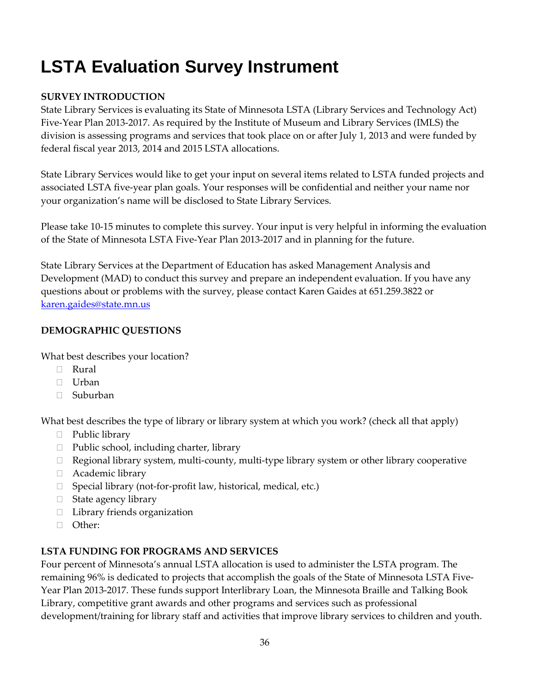## <span id="page-43-0"></span>**LSTA Evaluation Survey Instrument**

### **SURVEY INTRODUCTION**

State Library Services is evaluating its State of Minnesota LSTA (Library Services and Technology Act) Five-Year Plan 2013-2017. As required by the Institute of Museum and Library Services (IMLS) the division is assessing programs and services that took place on or after July 1, 2013 and were funded by federal fiscal year 2013, 2014 and 2015 LSTA allocations.

State Library Services would like to get your input on several items related to LSTA funded projects and associated LSTA five-year plan goals. Your responses will be confidential and neither your name nor your organization's name will be disclosed to State Library Services.

Please take 10-15 minutes to complete this survey. Your input is very helpful in informing the evaluation of the State of Minnesota LSTA Five-Year Plan 2013-2017 and in planning for the future.

State Library Services at the Department of Education has asked Management Analysis and Development (MAD) to conduct this survey and prepare an independent evaluation. If you have any questions about or problems with the survey, please contact Karen Gaides at 651.259.3822 or [karen.gaides@state.mn.us](mailto:karen.gaides@state.mn.us)

### **DEMOGRAPHIC QUESTIONS**

What best describes your location?

- Rural
- Urban
- Suburban

What best describes the type of library or library system at which you work? (check all that apply)

- □ Public library
- $\Box$  Public school, including charter, library
- Regional library system, multi-county, multi-type library system or other library cooperative
- Academic library
- $\Box$  Special library (not-for-profit law, historical, medical, etc.)
- $\Box$  State agency library
- □ Library friends organization
- Other:

### **LSTA FUNDING FOR PROGRAMS AND SERVICES**

Four percent of Minnesota's annual LSTA allocation is used to administer the LSTA program. The remaining 96% is dedicated to projects that accomplish the goals of the State of Minnesota LSTA Five-Year Plan 2013-2017. These funds support Interlibrary Loan, the Minnesota Braille and Talking Book Library, competitive grant awards and other programs and services such as professional development/training for library staff and activities that improve library services to children and youth.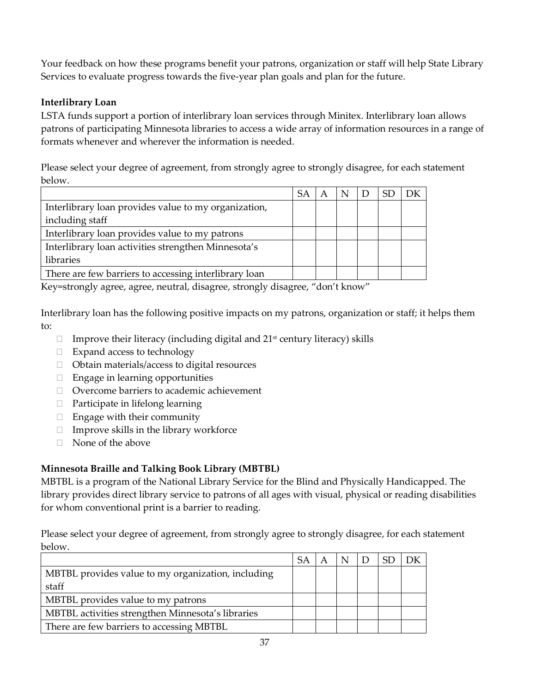Your feedback on how these programs benefit your patrons, organization or staff will help State Library Services to evaluate progress towards the five-year plan goals and plan for the future.

### **Interlibrary Loan**

LSTA funds support a portion of interlibrary loan services through Minitex. Interlibrary loan allows patrons of participating Minnesota libraries to access a wide array of information resources in a range of formats whenever and wherever the information is needed.

Please select your degree of agreement, from strongly agree to strongly disagree, for each statement below.

|                                                       | SА |  |  |  |
|-------------------------------------------------------|----|--|--|--|
| Interlibrary loan provides value to my organization,  |    |  |  |  |
| including staff                                       |    |  |  |  |
| Interlibrary loan provides value to my patrons        |    |  |  |  |
| Interlibrary loan activities strengthen Minnesota's   |    |  |  |  |
| libraries                                             |    |  |  |  |
| There are few barriers to accessing interlibrary loan |    |  |  |  |

Key=strongly agree, agree, neutral, disagree, strongly disagree, "don't know"

Interlibrary loan has the following positive impacts on my patrons, organization or staff; it helps them to:

- $\Box$  Improve their literacy (including digital and 21<sup>st</sup> century literacy) skills
- □ Expand access to technology
- □ Obtain materials/access to digital resources
- $\Box$  Engage in learning opportunities
- □ Overcome barriers to academic achievement
- Participate in lifelong learning
- $\Box$  Engage with their community
- $\Box$  Improve skills in the library workforce
- □ None of the above

### **Minnesota Braille and Talking Book Library (MBTBL)**

MBTBL is a program of the National Library Service for the Blind and Physically Handicapped. The library provides direct library service to patrons of all ages with visual, physical or reading disabilities for whom conventional print is a barrier to reading.

Please select your degree of agreement, from strongly agree to strongly disagree, for each statement below.

|                                                    | SA |  |  |  |
|----------------------------------------------------|----|--|--|--|
| MBTBL provides value to my organization, including |    |  |  |  |
| staff                                              |    |  |  |  |
| MBTBL provides value to my patrons                 |    |  |  |  |
| MBTBL activities strengthen Minnesota's libraries  |    |  |  |  |
| There are few barriers to accessing MBTBL          |    |  |  |  |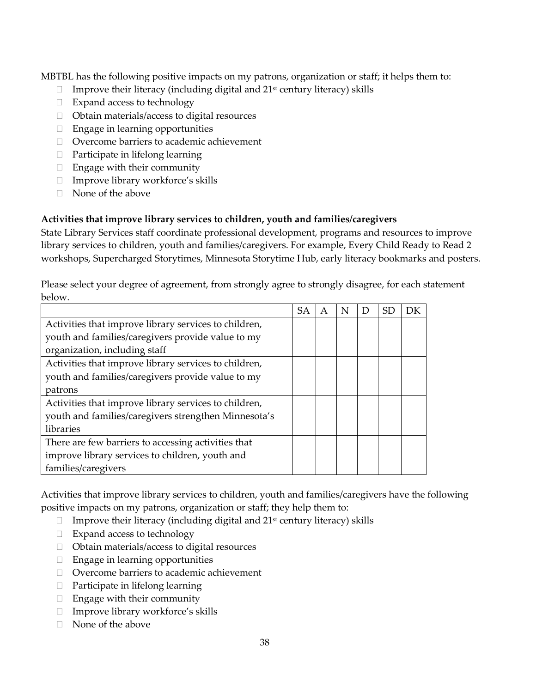MBTBL has the following positive impacts on my patrons, organization or staff; it helps them to:

- $\Box$  Improve their literacy (including digital and 21<sup>st</sup> century literacy) skills
- □ Expand access to technology
- $\Box$  Obtain materials/access to digital resources
- $\Box$  Engage in learning opportunities
- Overcome barriers to academic achievement
- $\Box$  Participate in lifelong learning
- $\Box$  Engage with their community
- $\Box$  Improve library workforce's skills
- $\Box$  None of the above

### **Activities that improve library services to children, youth and families/caregivers**

State Library Services staff coordinate professional development, programs and resources to improve library services to children, youth and families/caregivers. For example, Every Child Ready to Read 2 workshops, Supercharged Storytimes, Minnesota Storytime Hub, early literacy bookmarks and posters.

Please select your degree of agreement, from strongly agree to strongly disagree, for each statement below.

|                                                       | SA |  | SЕ |  |
|-------------------------------------------------------|----|--|----|--|
| Activities that improve library services to children, |    |  |    |  |
| youth and families/caregivers provide value to my     |    |  |    |  |
| organization, including staff                         |    |  |    |  |
| Activities that improve library services to children, |    |  |    |  |
| youth and families/caregivers provide value to my     |    |  |    |  |
| patrons                                               |    |  |    |  |
| Activities that improve library services to children, |    |  |    |  |
| youth and families/caregivers strengthen Minnesota's  |    |  |    |  |
| libraries                                             |    |  |    |  |
| There are few barriers to accessing activities that   |    |  |    |  |
| improve library services to children, youth and       |    |  |    |  |
| families/caregivers                                   |    |  |    |  |

Activities that improve library services to children, youth and families/caregivers have the following positive impacts on my patrons, organization or staff; they help them to:

- $\Box$  Improve their literacy (including digital and 21<sup>st</sup> century literacy) skills
- □ Expand access to technology
- □ Obtain materials/access to digital resources
- $\Box$  Engage in learning opportunities
- □ Overcome barriers to academic achievement
- $\Box$  Participate in lifelong learning
- □ Engage with their community
- Improve library workforce's skills
- $\Box$  None of the above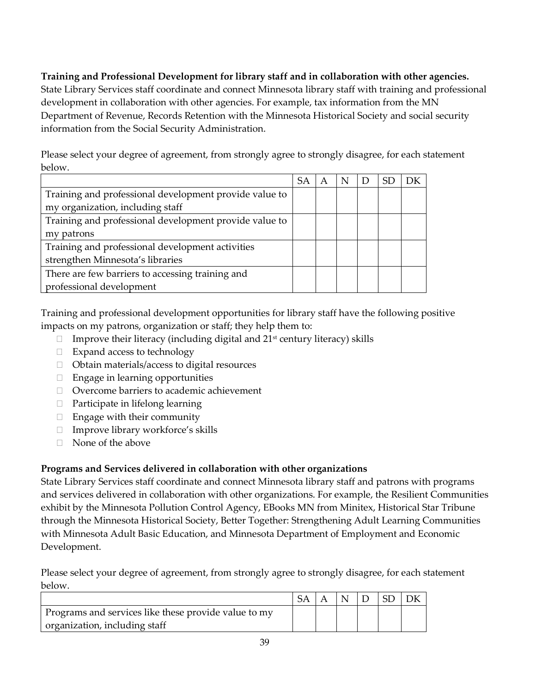### **Training and Professional Development for library staff and in collaboration with other agencies.**

State Library Services staff coordinate and connect Minnesota library staff with training and professional development in collaboration with other agencies. For example, tax information from the MN Department of Revenue, Records Retention with the Minnesota Historical Society and social security information from the Social Security Administration.

Please select your degree of agreement, from strongly agree to strongly disagree, for each statement below.

|                                                        | SА |  |  | DК |
|--------------------------------------------------------|----|--|--|----|
| Training and professional development provide value to |    |  |  |    |
| my organization, including staff                       |    |  |  |    |
| Training and professional development provide value to |    |  |  |    |
| my patrons                                             |    |  |  |    |
| Training and professional development activities       |    |  |  |    |
| strengthen Minnesota's libraries                       |    |  |  |    |
| There are few barriers to accessing training and       |    |  |  |    |
| professional development                               |    |  |  |    |

Training and professional development opportunities for library staff have the following positive impacts on my patrons, organization or staff; they help them to:

- $\Box$  Improve their literacy (including digital and 21<sup>st</sup> century literacy) skills
- □ Expand access to technology
- □ Obtain materials/access to digital resources
- $\Box$  Engage in learning opportunities
- Overcome barriers to academic achievement
- □ Participate in lifelong learning
- $\Box$  Engage with their community
- $\Box$  Improve library workforce's skills
- □ None of the above

### **Programs and Services delivered in collaboration with other organizations**

State Library Services staff coordinate and connect Minnesota library staff and patrons with programs and services delivered in collaboration with other organizations. For example, the Resilient Communities exhibit by the Minnesota Pollution Control Agency, EBooks MN from Minitex, Historical Star Tribune through the Minnesota Historical Society, Better Together: Strengthening Adult Learning Communities with Minnesota Adult Basic Education, and Minnesota Department of Employment and Economic Development.

Please select your degree of agreement, from strongly agree to strongly disagree, for each statement below.

| Programs and services like these provide value to my |  |  |  |
|------------------------------------------------------|--|--|--|
| organization, including staff                        |  |  |  |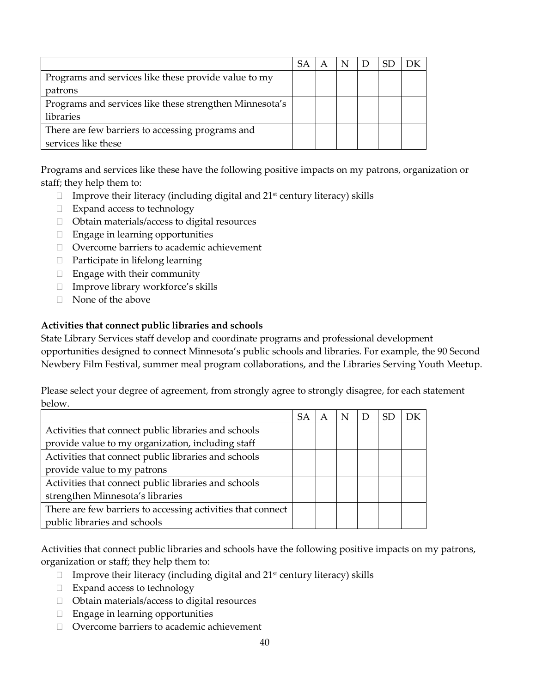|                                                         | SА |  |  |  |
|---------------------------------------------------------|----|--|--|--|
| Programs and services like these provide value to my    |    |  |  |  |
| patrons                                                 |    |  |  |  |
| Programs and services like these strengthen Minnesota's |    |  |  |  |
| libraries                                               |    |  |  |  |
| There are few barriers to accessing programs and        |    |  |  |  |
| services like these                                     |    |  |  |  |

Programs and services like these have the following positive impacts on my patrons, organization or staff; they help them to:

- $\Box$  Improve their literacy (including digital and 21<sup>st</sup> century literacy) skills
- $\Box$  Expand access to technology
- □ Obtain materials/access to digital resources
- $\Box$  Engage in learning opportunities
- Overcome barriers to academic achievement
- $\Box$  Participate in lifelong learning
- $\Box$  Engage with their community
- $\Box$  Improve library workforce's skills
- $\Box$  None of the above

### **Activities that connect public libraries and schools**

State Library Services staff develop and coordinate programs and professional development opportunities designed to connect Minnesota's public schools and libraries. For example, the 90 Second Newbery Film Festival, summer meal program collaborations, and the Libraries Serving Youth Meetup.

Please select your degree of agreement, from strongly agree to strongly disagree, for each statement below.

|                                                             | SА | A | N |  | DК |
|-------------------------------------------------------------|----|---|---|--|----|
| Activities that connect public libraries and schools        |    |   |   |  |    |
| provide value to my organization, including staff           |    |   |   |  |    |
| Activities that connect public libraries and schools        |    |   |   |  |    |
| provide value to my patrons                                 |    |   |   |  |    |
| Activities that connect public libraries and schools        |    |   |   |  |    |
| strengthen Minnesota's libraries                            |    |   |   |  |    |
| There are few barriers to accessing activities that connect |    |   |   |  |    |
| public libraries and schools                                |    |   |   |  |    |

Activities that connect public libraries and schools have the following positive impacts on my patrons, organization or staff; they help them to:

- $\Box$  Improve their literacy (including digital and 21<sup>st</sup> century literacy) skills
- $\Box$  Expand access to technology
- Obtain materials/access to digital resources
- $\Box$  Engage in learning opportunities
- □ Overcome barriers to academic achievement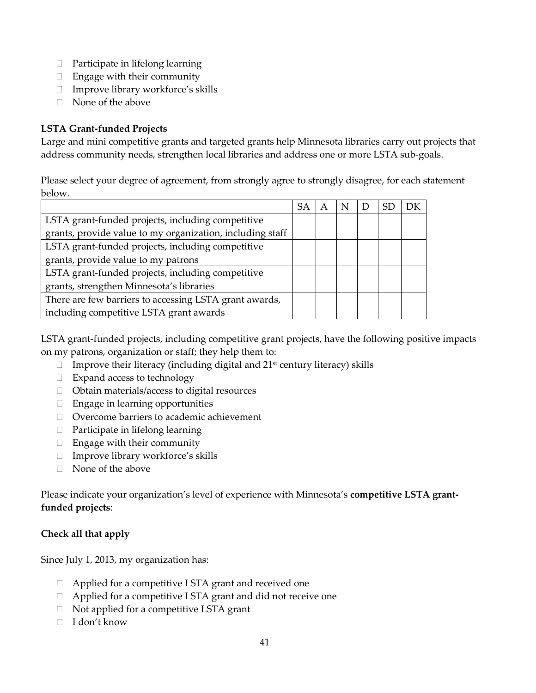- $\Box$  Participate in lifelong learning
- $\Box$  Engage with their community
- $\Box$  Improve library workforce's skills
- $\Box$  None of the above

### **LSTA Grant-funded Projects**

Large and mini competitive grants and targeted grants help Minnesota libraries carry out projects that address community needs, strengthen local libraries and address one or more LSTA sub-goals.

Please select your degree of agreement, from strongly agree to strongly disagree, for each statement below.

|                                                           | -SA | $\overline{A}$ | N |  | DΚ |
|-----------------------------------------------------------|-----|----------------|---|--|----|
| LSTA grant-funded projects, including competitive         |     |                |   |  |    |
| grants, provide value to my organization, including staff |     |                |   |  |    |
| LSTA grant-funded projects, including competitive         |     |                |   |  |    |
| grants, provide value to my patrons                       |     |                |   |  |    |
| LSTA grant-funded projects, including competitive         |     |                |   |  |    |
| grants, strengthen Minnesota's libraries                  |     |                |   |  |    |
| There are few barriers to accessing LSTA grant awards,    |     |                |   |  |    |
| including competitive LSTA grant awards                   |     |                |   |  |    |

LSTA grant-funded projects, including competitive grant projects, have the following positive impacts on my patrons, organization or staff; they help them to:

- $\Box$  Improve their literacy (including digital and 21<sup>st</sup> century literacy) skills
- $\Box$  Expand access to technology
- □ Obtain materials/access to digital resources
- Engage in learning opportunities
- Overcome barriers to academic achievement
- $\Box$  Participate in lifelong learning
- $\Box$  Engage with their community
- $\Box$  Improve library workforce's skills
- $\Box$  None of the above

Please indicate your organization's level of experience with Minnesota's **competitive LSTA grantfunded projects**:

### **Check all that apply**

Since July 1, 2013, my organization has:

- □ Applied for a competitive LSTA grant and received one
- □ Applied for a competitive LSTA grant and did not receive one
- $\Box$  Not applied for a competitive LSTA grant
- □ I don't know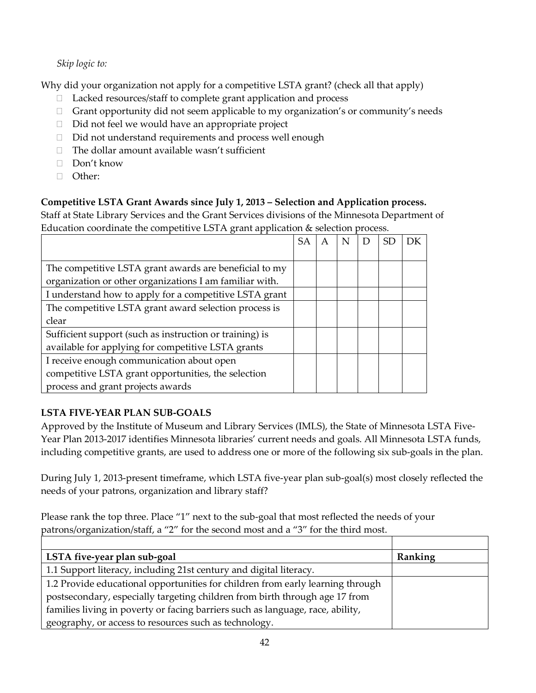### *Skip logic to:*

Why did your organization not apply for a competitive LSTA grant? (check all that apply)

- □ Lacked resources/staff to complete grant application and process
- Grant opportunity did not seem applicable to my organization's or community's needs
- $\Box$  Did not feel we would have an appropriate project
- $\Box$  Did not understand requirements and process well enough
- $\Box$  The dollar amount available wasn't sufficient
- □ Don't know
- Other:

### **Competitive LSTA Grant Awards since July 1, 2013 – Selection and Application process.**

Staff at State Library Services and the Grant Services divisions of the Minnesota Department of Education coordinate the competitive LSTA grant application & selection process.

|                                                         | <b>SA</b> |  |  |  |
|---------------------------------------------------------|-----------|--|--|--|
|                                                         |           |  |  |  |
| The competitive LSTA grant awards are beneficial to my  |           |  |  |  |
| organization or other organizations I am familiar with. |           |  |  |  |
| I understand how to apply for a competitive LSTA grant  |           |  |  |  |
| The competitive LSTA grant award selection process is   |           |  |  |  |
| clear                                                   |           |  |  |  |
| Sufficient support (such as instruction or training) is |           |  |  |  |
| available for applying for competitive LSTA grants      |           |  |  |  |
| I receive enough communication about open               |           |  |  |  |
| competitive LSTA grant opportunities, the selection     |           |  |  |  |
| process and grant projects awards                       |           |  |  |  |

### **LSTA FIVE-YEAR PLAN SUB-GOALS**

Approved by the Institute of Museum and Library Services (IMLS), the State of Minnesota LSTA Five-Year Plan 2013-2017 identifies Minnesota libraries' current needs and goals. All Minnesota LSTA funds, including competitive grants, are used to address one or more of the following six sub-goals in the plan.

During July 1, 2013-present timeframe, which LSTA five-year plan sub-goal(s) most closely reflected the needs of your patrons, organization and library staff?

Please rank the top three. Place "1" next to the sub-goal that most reflected the needs of your patrons/organization/staff, a "2" for the second most and a "3" for the third most.

| LSTA five-year plan sub-goal                                                   | Ranking |
|--------------------------------------------------------------------------------|---------|
| 1.1 Support literacy, including 21st century and digital literacy.             |         |
| 1.2 Provide educational opportunities for children from early learning through |         |
| postsecondary, especially targeting children from birth through age 17 from    |         |
| families living in poverty or facing barriers such as language, race, ability, |         |
| geography, or access to resources such as technology.                          |         |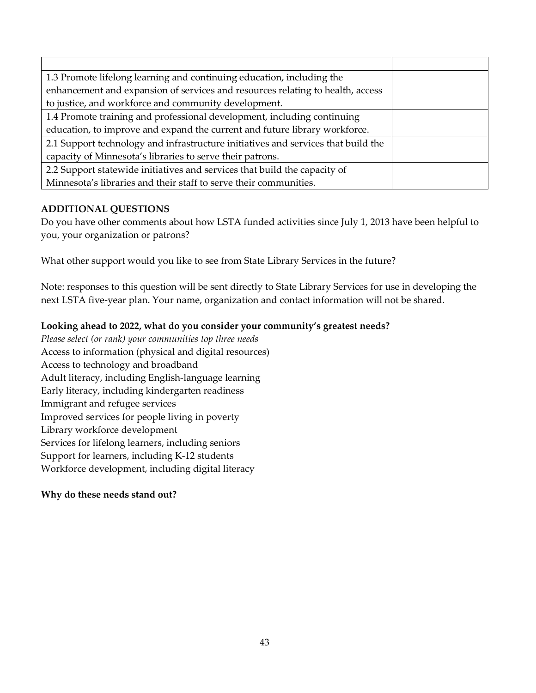| 1.3 Promote lifelong learning and continuing education, including the             |  |
|-----------------------------------------------------------------------------------|--|
| enhancement and expansion of services and resources relating to health, access    |  |
| to justice, and workforce and community development.                              |  |
| 1.4 Promote training and professional development, including continuing           |  |
| education, to improve and expand the current and future library workforce.        |  |
| 2.1 Support technology and infrastructure initiatives and services that build the |  |
| capacity of Minnesota's libraries to serve their patrons.                         |  |
| 2.2 Support statewide initiatives and services that build the capacity of         |  |
| Minnesota's libraries and their staff to serve their communities.                 |  |

### **ADDITIONAL QUESTIONS**

Do you have other comments about how LSTA funded activities since July 1, 2013 have been helpful to you, your organization or patrons?

What other support would you like to see from State Library Services in the future?

Note: responses to this question will be sent directly to State Library Services for use in developing the next LSTA five-year plan. Your name, organization and contact information will not be shared.

### **Looking ahead to 2022, what do you consider your community's greatest needs?**

*Please select (or rank) your communities top three needs* Access to information (physical and digital resources) Access to technology and broadband Adult literacy, including English-language learning Early literacy, including kindergarten readiness Immigrant and refugee services Improved services for people living in poverty Library workforce development Services for lifelong learners, including seniors Support for learners, including K-12 students Workforce development, including digital literacy

#### **Why do these needs stand out?**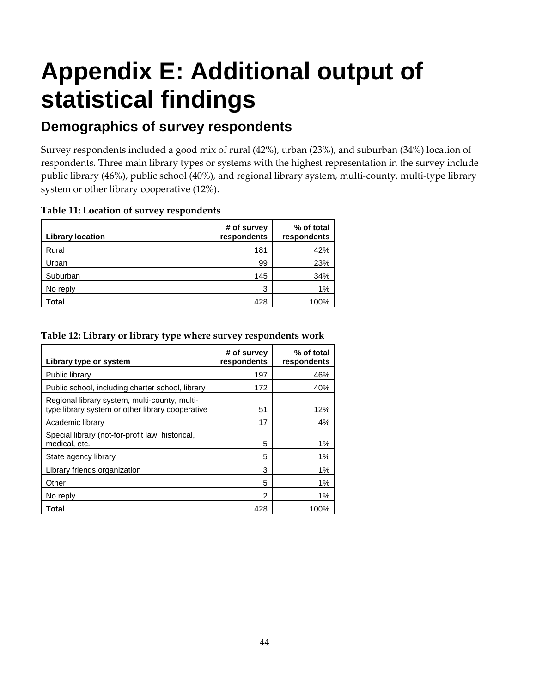# <span id="page-51-0"></span>**Appendix E: Additional output of statistical findings**

### **Demographics of survey respondents**

Survey respondents included a good mix of rural (42%), urban (23%), and suburban (34%) location of respondents. Three main library types or systems with the highest representation in the survey include public library (46%), public school (40%), and regional library system, multi-county, multi-type library system or other library cooperative (12%).

| <b>Library location</b> | # of survey<br>respondents | % of total<br>respondents |
|-------------------------|----------------------------|---------------------------|
| Rural                   | 181                        | 42%                       |
| Urban                   | 99                         | 23%                       |
| Suburban                | 145                        | 34%                       |
| No reply                | 3                          | 1%                        |
| Total                   | 428                        | 100%                      |

#### **Table 11: Location of survey respondents**

#### **Table 12: Library or library type where survey respondents work**

| Library type or system                                                                            | # of survey<br>respondents | % of total<br>respondents |
|---------------------------------------------------------------------------------------------------|----------------------------|---------------------------|
| Public library                                                                                    | 197                        | 46%                       |
| Public school, including charter school, library                                                  | 172                        | 40%                       |
| Regional library system, multi-county, multi-<br>type library system or other library cooperative | 51                         | 12%                       |
| Academic library                                                                                  | 17                         | 4%                        |
| Special library (not-for-profit law, historical,<br>medical, etc.                                 | 5                          | $1\%$                     |
| State agency library                                                                              | 5                          | $1\%$                     |
| Library friends organization                                                                      | 3                          | $1\%$                     |
| Other                                                                                             | 5                          | 1%                        |
| No reply                                                                                          | 2                          | 1%                        |
| Total                                                                                             | 428                        | 100%                      |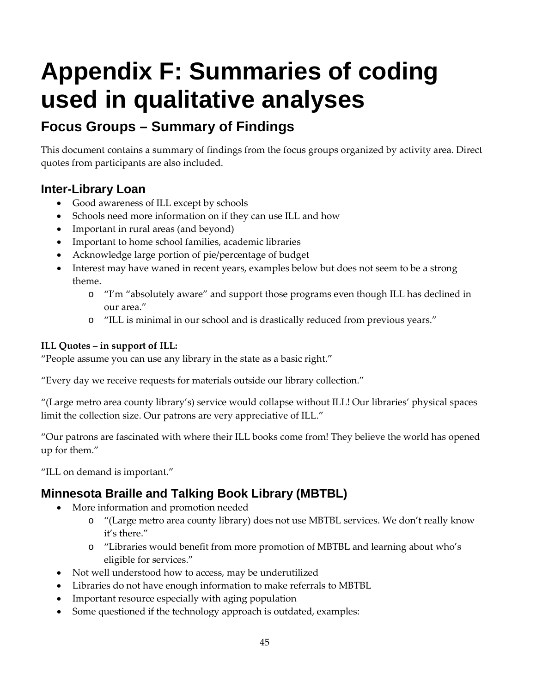# <span id="page-52-0"></span>**Appendix F: Summaries of coding used in qualitative analyses**

### **Focus Groups – Summary of Findings**

This document contains a summary of findings from the focus groups organized by activity area. Direct quotes from participants are also included.

### **Inter-Library Loan**

- Good awareness of ILL except by schools
- Schools need more information on if they can use ILL and how
- Important in rural areas (and beyond)
- Important to home school families, academic libraries
- Acknowledge large portion of pie/percentage of budget
- Interest may have waned in recent years, examples below but does not seem to be a strong theme.
	- o "I'm "absolutely aware" and support those programs even though ILL has declined in our area."
	- o "ILL is minimal in our school and is drastically reduced from previous years."

### **ILL Quotes – in support of ILL:**

"People assume you can use any library in the state as a basic right."

"Every day we receive requests for materials outside our library collection."

"(Large metro area county library's) service would collapse without ILL! Our libraries' physical spaces limit the collection size. Our patrons are very appreciative of ILL."

"Our patrons are fascinated with where their ILL books come from! They believe the world has opened up for them."

"ILL on demand is important."

### **Minnesota Braille and Talking Book Library (MBTBL)**

- More information and promotion needed
	- o "(Large metro area county library) does not use MBTBL services. We don't really know it's there."
	- o "Libraries would benefit from more promotion of MBTBL and learning about who's eligible for services."
- Not well understood how to access, may be underutilized
- Libraries do not have enough information to make referrals to MBTBL
- Important resource especially with aging population
- Some questioned if the technology approach is outdated, examples: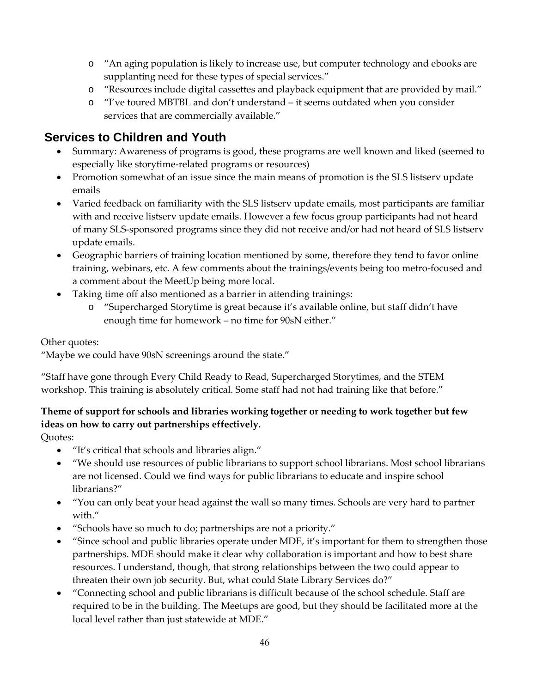- o "An aging population is likely to increase use, but computer technology and ebooks are supplanting need for these types of special services."
- o "Resources include digital cassettes and playback equipment that are provided by mail."
- o "I've toured MBTBL and don't understand it seems outdated when you consider services that are commercially available."

### **Services to Children and Youth**

- Summary: Awareness of programs is good, these programs are well known and liked (seemed to especially like storytime-related programs or resources)
- Promotion somewhat of an issue since the main means of promotion is the SLS listserv update emails
- Varied feedback on familiarity with the SLS listserv update emails, most participants are familiar with and receive listserv update emails. However a few focus group participants had not heard of many SLS-sponsored programs since they did not receive and/or had not heard of SLS listserv update emails.
- Geographic barriers of training location mentioned by some, therefore they tend to favor online training, webinars, etc. A few comments about the trainings/events being too metro-focused and a comment about the MeetUp being more local.
- Taking time off also mentioned as a barrier in attending trainings:
	- o "Supercharged Storytime is great because it's available online, but staff didn't have enough time for homework – no time for 90sN either."

Other quotes:

"Maybe we could have 90sN screenings around the state."

"Staff have gone through Every Child Ready to Read, Supercharged Storytimes, and the STEM workshop. This training is absolutely critical. Some staff had not had training like that before."

### **Theme of support for schools and libraries working together or needing to work together but few ideas on how to carry out partnerships effectively.**

Quotes:

- "It's critical that schools and libraries align."
- "We should use resources of public librarians to support school librarians. Most school librarians are not licensed. Could we find ways for public librarians to educate and inspire school librarians?"
- "You can only beat your head against the wall so many times. Schools are very hard to partner with."
- "Schools have so much to do; partnerships are not a priority."
- "Since school and public libraries operate under MDE, it's important for them to strengthen those partnerships. MDE should make it clear why collaboration is important and how to best share resources. I understand, though, that strong relationships between the two could appear to threaten their own job security. But, what could State Library Services do?"
- "Connecting school and public librarians is difficult because of the school schedule. Staff are required to be in the building. The Meetups are good, but they should be facilitated more at the local level rather than just statewide at MDE."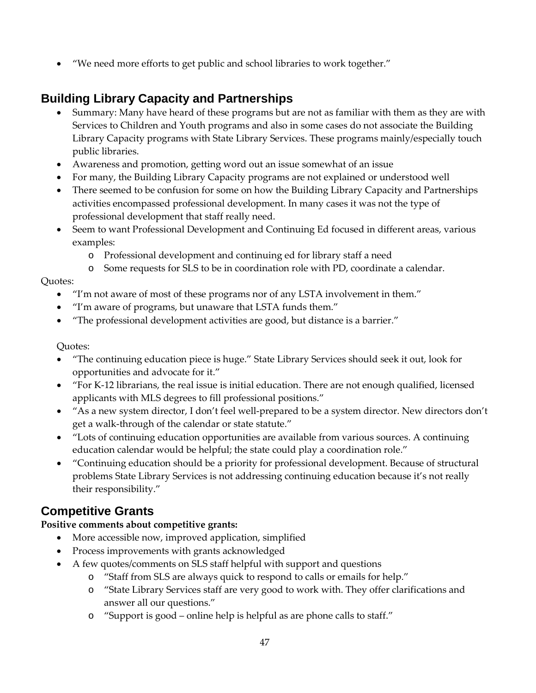• "We need more efforts to get public and school libraries to work together."

### **Building Library Capacity and Partnerships**

- Summary: Many have heard of these programs but are not as familiar with them as they are with Services to Children and Youth programs and also in some cases do not associate the Building Library Capacity programs with State Library Services. These programs mainly/especially touch public libraries.
- Awareness and promotion, getting word out an issue somewhat of an issue
- For many, the Building Library Capacity programs are not explained or understood well
- There seemed to be confusion for some on how the Building Library Capacity and Partnerships activities encompassed professional development. In many cases it was not the type of professional development that staff really need.
- Seem to want Professional Development and Continuing Ed focused in different areas, various examples:
	- o Professional development and continuing ed for library staff a need
	- o Some requests for SLS to be in coordination role with PD, coordinate a calendar.

### Quotes:

- "I'm not aware of most of these programs nor of any LSTA involvement in them."
- "I'm aware of programs, but unaware that LSTA funds them."
- "The professional development activities are good, but distance is a barrier."

#### Quotes:

- "The continuing education piece is huge." State Library Services should seek it out, look for opportunities and advocate for it."
- "For K-12 librarians, the real issue is initial education. There are not enough qualified, licensed applicants with MLS degrees to fill professional positions."
- "As a new system director, I don't feel well-prepared to be a system director. New directors don't get a walk-through of the calendar or state statute."
- "Lots of continuing education opportunities are available from various sources. A continuing education calendar would be helpful; the state could play a coordination role."
- "Continuing education should be a priority for professional development. Because of structural problems State Library Services is not addressing continuing education because it's not really their responsibility."

### **Competitive Grants**

### **Positive comments about competitive grants:**

- More accessible now, improved application, simplified
- Process improvements with grants acknowledged
- A few quotes/comments on SLS staff helpful with support and questions
	- o "Staff from SLS are always quick to respond to calls or emails for help."
	- o "State Library Services staff are very good to work with. They offer clarifications and answer all our questions."
	- o "Support is good online help is helpful as are phone calls to staff."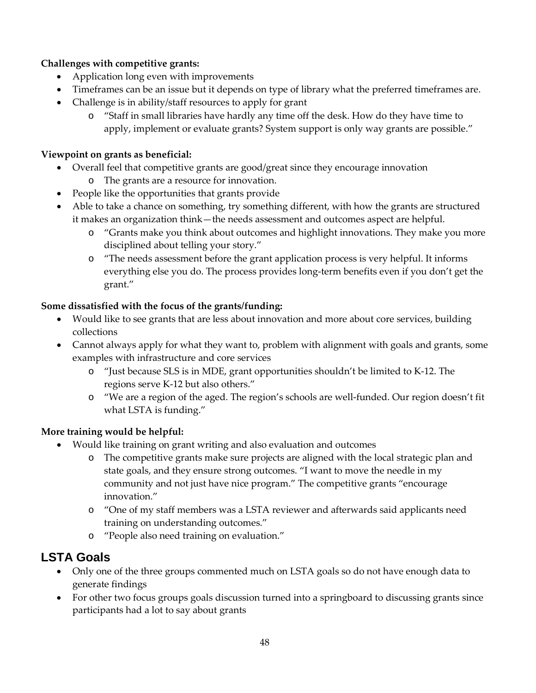### **Challenges with competitive grants:**

- Application long even with improvements
- Timeframes can be an issue but it depends on type of library what the preferred timeframes are.
- Challenge is in ability/staff resources to apply for grant
	- o "Staff in small libraries have hardly any time off the desk. How do they have time to apply, implement or evaluate grants? System support is only way grants are possible."

### **Viewpoint on grants as beneficial:**

- Overall feel that competitive grants are good/great since they encourage innovation
	- o The grants are a resource for innovation.
- People like the opportunities that grants provide
- Able to take a chance on something, try something different, with how the grants are structured it makes an organization think—the needs assessment and outcomes aspect are helpful.
	- o "Grants make you think about outcomes and highlight innovations. They make you more disciplined about telling your story."
	- o "The needs assessment before the grant application process is very helpful. It informs everything else you do. The process provides long-term benefits even if you don't get the grant."

### **Some dissatisfied with the focus of the grants/funding:**

- Would like to see grants that are less about innovation and more about core services, building collections
- Cannot always apply for what they want to, problem with alignment with goals and grants, some examples with infrastructure and core services
	- o "Just because SLS is in MDE, grant opportunities shouldn't be limited to K-12. The regions serve K-12 but also others."
	- o "We are a region of the aged. The region's schools are well-funded. Our region doesn't fit what LSTA is funding."

### **More training would be helpful:**

- Would like training on grant writing and also evaluation and outcomes
	- o The competitive grants make sure projects are aligned with the local strategic plan and state goals, and they ensure strong outcomes. "I want to move the needle in my community and not just have nice program." The competitive grants "encourage innovation."
	- o "One of my staff members was a LSTA reviewer and afterwards said applicants need training on understanding outcomes."
	- o "People also need training on evaluation."

### **LSTA Goals**

- Only one of the three groups commented much on LSTA goals so do not have enough data to generate findings
- For other two focus groups goals discussion turned into a springboard to discussing grants since participants had a lot to say about grants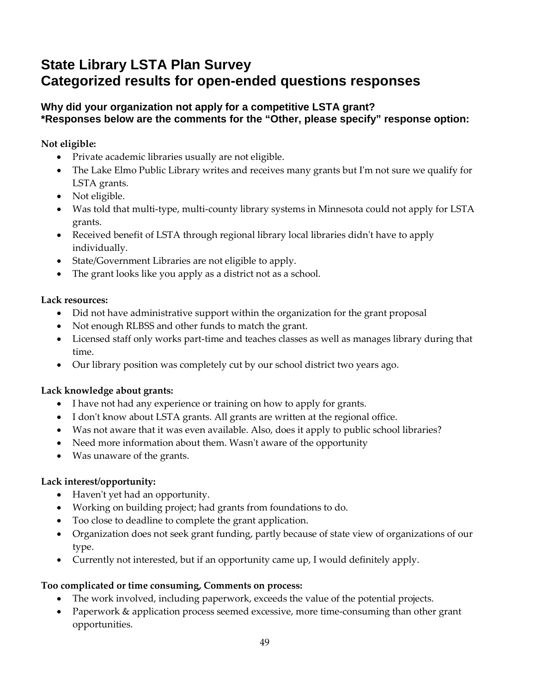### **State Library LSTA Plan Survey Categorized results for open-ended questions responses**

### **Why did your organization not apply for a competitive LSTA grant? \*Responses below are the comments for the "Other, please specify" response option:**

**Not eligible:**

- Private academic libraries usually are not eligible.
- The Lake Elmo Public Library writes and receives many grants but I'm not sure we qualify for LSTA grants.
- Not eligible.
- Was told that multi-type, multi-county library systems in Minnesota could not apply for LSTA grants.
- Received benefit of LSTA through regional library local libraries didn't have to apply individually.
- State/Government Libraries are not eligible to apply.
- The grant looks like you apply as a district not as a school.

### **Lack resources:**

- Did not have administrative support within the organization for the grant proposal
- Not enough RLBSS and other funds to match the grant.
- Licensed staff only works part-time and teaches classes as well as manages library during that time.
- Our library position was completely cut by our school district two years ago.

### **Lack knowledge about grants:**

- I have not had any experience or training on how to apply for grants.
- I don't know about LSTA grants. All grants are written at the regional office.
- Was not aware that it was even available. Also, does it apply to public school libraries?
- Need more information about them. Wasn't aware of the opportunity
- Was unaware of the grants.

### **Lack interest/opportunity:**

- Haven't yet had an opportunity.
- Working on building project; had grants from foundations to do.
- Too close to deadline to complete the grant application.
- Organization does not seek grant funding, partly because of state view of organizations of our type.
- Currently not interested, but if an opportunity came up, I would definitely apply.

### **Too complicated or time consuming, Comments on process:**

- The work involved, including paperwork, exceeds the value of the potential projects.
- Paperwork & application process seemed excessive, more time-consuming than other grant opportunities.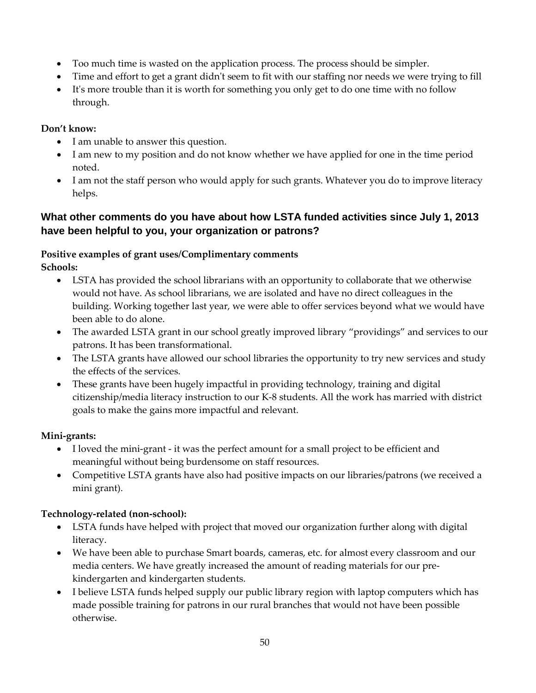- Too much time is wasted on the application process. The process should be simpler.
- Time and effort to get a grant didn't seem to fit with our staffing nor needs we were trying to fill
- It's more trouble than it is worth for something you only get to do one time with no follow through.

### **Don't know:**

- I am unable to answer this question.
- I am new to my position and do not know whether we have applied for one in the time period noted.
- I am not the staff person who would apply for such grants. Whatever you do to improve literacy helps.

### **What other comments do you have about how LSTA funded activities since July 1, 2013 have been helpful to you, your organization or patrons?**

### **Positive examples of grant uses/Complimentary comments**

**Schools:**

- LSTA has provided the school librarians with an opportunity to collaborate that we otherwise would not have. As school librarians, we are isolated and have no direct colleagues in the building. Working together last year, we were able to offer services beyond what we would have been able to do alone.
- The awarded LSTA grant in our school greatly improved library "providings" and services to our patrons. It has been transformational.
- The LSTA grants have allowed our school libraries the opportunity to try new services and study the effects of the services.
- These grants have been hugely impactful in providing technology, training and digital citizenship/media literacy instruction to our K-8 students. All the work has married with district goals to make the gains more impactful and relevant.

### **Mini-grants:**

- I loved the mini-grant it was the perfect amount for a small project to be efficient and meaningful without being burdensome on staff resources.
- Competitive LSTA grants have also had positive impacts on our libraries/patrons (we received a mini grant).

### **Technology-related (non-school):**

- LSTA funds have helped with project that moved our organization further along with digital literacy.
- We have been able to purchase Smart boards, cameras, etc. for almost every classroom and our media centers. We have greatly increased the amount of reading materials for our prekindergarten and kindergarten students.
- I believe LSTA funds helped supply our public library region with laptop computers which has made possible training for patrons in our rural branches that would not have been possible otherwise.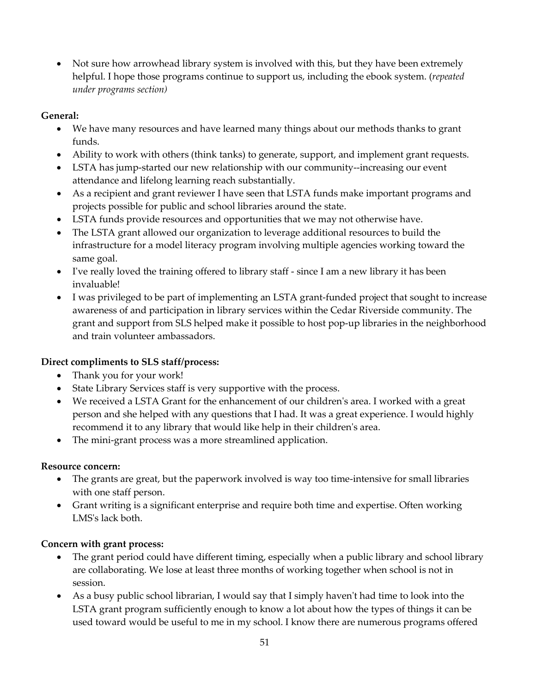• Not sure how arrowhead library system is involved with this, but they have been extremely helpful. I hope those programs continue to support us, including the ebook system. (*repeated under programs section)*

### **General:**

- We have many resources and have learned many things about our methods thanks to grant funds.
- Ability to work with others (think tanks) to generate, support, and implement grant requests.
- LSTA has jump-started our new relationship with our community--increasing our event attendance and lifelong learning reach substantially.
- As a recipient and grant reviewer I have seen that LSTA funds make important programs and projects possible for public and school libraries around the state.
- LSTA funds provide resources and opportunities that we may not otherwise have.
- The LSTA grant allowed our organization to leverage additional resources to build the infrastructure for a model literacy program involving multiple agencies working toward the same goal.
- I've really loved the training offered to library staff since I am a new library it has been invaluable!
- I was privileged to be part of implementing an LSTA grant-funded project that sought to increase awareness of and participation in library services within the Cedar Riverside community. The grant and support from SLS helped make it possible to host pop-up libraries in the neighborhood and train volunteer ambassadors.

### **Direct compliments to SLS staff/process:**

- Thank you for your work!
- State Library Services staff is very supportive with the process.
- We received a LSTA Grant for the enhancement of our children's area. I worked with a great person and she helped with any questions that I had. It was a great experience. I would highly recommend it to any library that would like help in their children's area.
- The mini-grant process was a more streamlined application.

### **Resource concern:**

- The grants are great, but the paperwork involved is way too time-intensive for small libraries with one staff person.
- Grant writing is a significant enterprise and require both time and expertise. Often working LMS's lack both.

### **Concern with grant process:**

- The grant period could have different timing, especially when a public library and school library are collaborating. We lose at least three months of working together when school is not in session.
- As a busy public school librarian, I would say that I simply haven't had time to look into the LSTA grant program sufficiently enough to know a lot about how the types of things it can be used toward would be useful to me in my school. I know there are numerous programs offered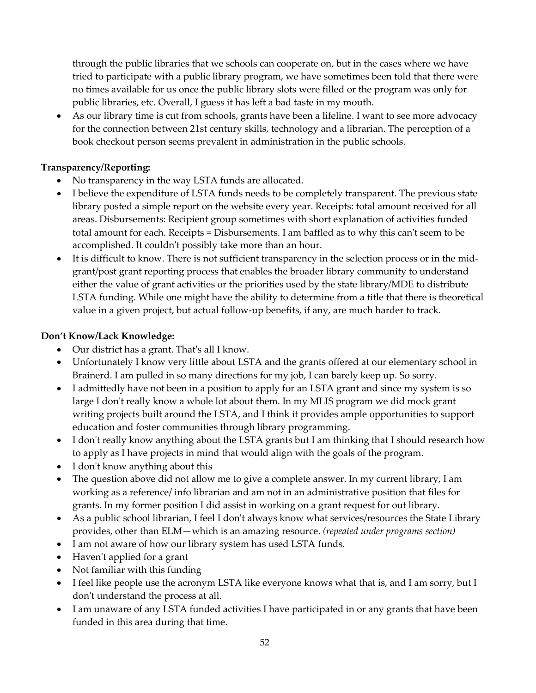through the public libraries that we schools can cooperate on, but in the cases where we have tried to participate with a public library program, we have sometimes been told that there were no times available for us once the public library slots were filled or the program was only for public libraries, etc. Overall, I guess it has left a bad taste in my mouth.

• As our library time is cut from schools, grants have been a lifeline. I want to see more advocacy for the connection between 21st century skills, technology and a librarian. The perception of a book checkout person seems prevalent in administration in the public schools.

### **Transparency/Reporting:**

- No transparency in the way LSTA funds are allocated.
- I believe the expenditure of LSTA funds needs to be completely transparent. The previous state library posted a simple report on the website every year. Receipts: total amount received for all areas. Disbursements: Recipient group sometimes with short explanation of activities funded total amount for each. Receipts = Disbursements. I am baffled as to why this can't seem to be accomplished. It couldn't possibly take more than an hour.
- It is difficult to know. There is not sufficient transparency in the selection process or in the midgrant/post grant reporting process that enables the broader library community to understand either the value of grant activities or the priorities used by the state library/MDE to distribute LSTA funding. While one might have the ability to determine from a title that there is theoretical value in a given project, but actual follow-up benefits, if any, are much harder to track.

### **Don't Know/Lack Knowledge:**

- Our district has a grant. That's all I know.
- Unfortunately I know very little about LSTA and the grants offered at our elementary school in Brainerd. I am pulled in so many directions for my job, I can barely keep up. So sorry.
- I admittedly have not been in a position to apply for an LSTA grant and since my system is so large I don't really know a whole lot about them. In my MLIS program we did mock grant writing projects built around the LSTA, and I think it provides ample opportunities to support education and foster communities through library programming.
- I don't really know anything about the LSTA grants but I am thinking that I should research how to apply as I have projects in mind that would align with the goals of the program.
- I don't know anything about this
- The question above did not allow me to give a complete answer. In my current library, I am working as a reference/ info librarian and am not in an administrative position that files for grants. In my former position I did assist in working on a grant request for out library.
- As a public school librarian, I feel I don't always know what services/resources the State Library provides, other than ELM—which is an amazing resource. *(repeated under programs section)*
- I am not aware of how our library system has used LSTA funds.
- Haven't applied for a grant
- Not familiar with this funding
- I feel like people use the acronym LSTA like everyone knows what that is, and I am sorry, but I don't understand the process at all.
- I am unaware of any LSTA funded activities I have participated in or any grants that have been funded in this area during that time.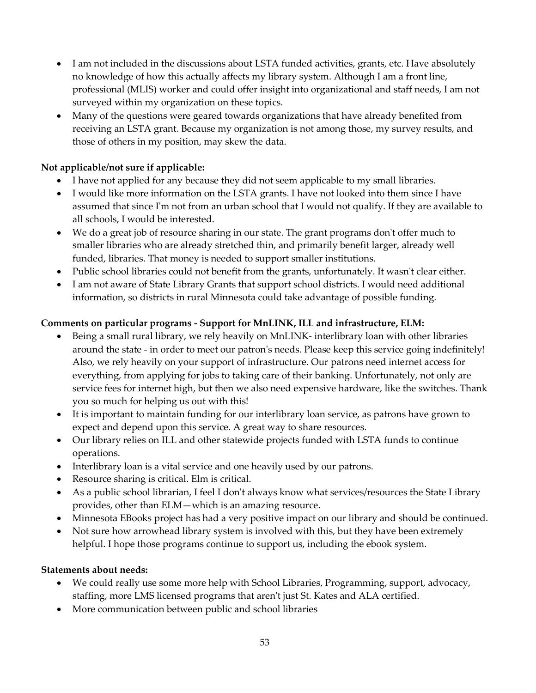- I am not included in the discussions about LSTA funded activities, grants, etc. Have absolutely no knowledge of how this actually affects my library system. Although I am a front line, professional (MLIS) worker and could offer insight into organizational and staff needs, I am not surveyed within my organization on these topics.
- Many of the questions were geared towards organizations that have already benefited from receiving an LSTA grant. Because my organization is not among those, my survey results, and those of others in my position, may skew the data.

### **Not applicable/not sure if applicable:**

- I have not applied for any because they did not seem applicable to my small libraries.
- I would like more information on the LSTA grants. I have not looked into them since I have assumed that since I'm not from an urban school that I would not qualify. If they are available to all schools, I would be interested.
- We do a great job of resource sharing in our state. The grant programs don't offer much to smaller libraries who are already stretched thin, and primarily benefit larger, already well funded, libraries. That money is needed to support smaller institutions.
- Public school libraries could not benefit from the grants, unfortunately. It wasn't clear either.
- I am not aware of State Library Grants that support school districts. I would need additional information, so districts in rural Minnesota could take advantage of possible funding.

### **Comments on particular programs - Support for MnLINK, ILL and infrastructure, ELM:**

- Being a small rural library, we rely heavily on MnLINK- interlibrary loan with other libraries around the state - in order to meet our patron's needs. Please keep this service going indefinitely! Also, we rely heavily on your support of infrastructure. Our patrons need internet access for everything, from applying for jobs to taking care of their banking. Unfortunately, not only are service fees for internet high, but then we also need expensive hardware, like the switches. Thank you so much for helping us out with this!
- It is important to maintain funding for our interlibrary loan service, as patrons have grown to expect and depend upon this service. A great way to share resources.
- Our library relies on ILL and other statewide projects funded with LSTA funds to continue operations.
- Interlibrary loan is a vital service and one heavily used by our patrons.
- Resource sharing is critical. Elm is critical.
- As a public school librarian, I feel I don't always know what services/resources the State Library provides, other than ELM—which is an amazing resource.
- Minnesota EBooks project has had a very positive impact on our library and should be continued.
- Not sure how arrowhead library system is involved with this, but they have been extremely helpful. I hope those programs continue to support us, including the ebook system.

### **Statements about needs:**

- We could really use some more help with School Libraries, Programming, support, advocacy, staffing, more LMS licensed programs that aren't just St. Kates and ALA certified.
- More communication between public and school libraries